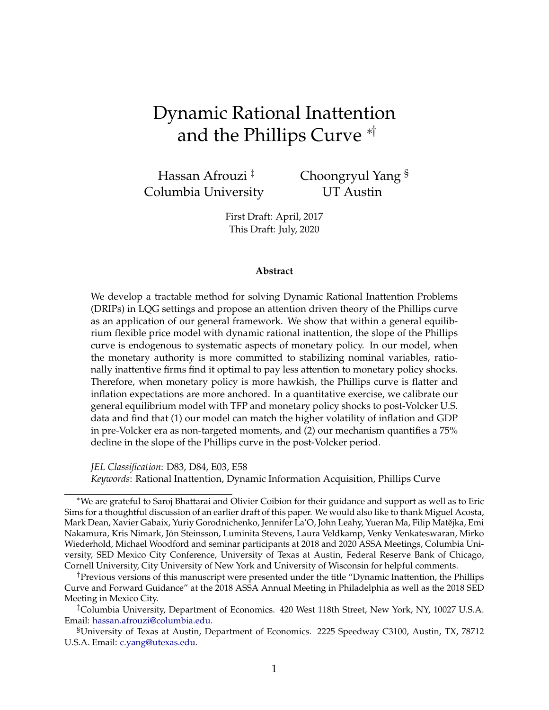# <span id="page-0-0"></span>Dynamic Rational Inattention and the Phillips Curve ∗†

Hassan Afrouzi ‡ Columbia University Choongryul Yang § UT Austin

First Draft: April, 2017 This Draft: July, 2020

#### **Abstract**

We develop a tractable method for solving Dynamic Rational Inattention Problems (DRIPs) in LQG settings and propose an attention driven theory of the Phillips curve as an application of our general framework. We show that within a general equilibrium flexible price model with dynamic rational inattention, the slope of the Phillips curve is endogenous to systematic aspects of monetary policy. In our model, when the monetary authority is more committed to stabilizing nominal variables, rationally inattentive firms find it optimal to pay less attention to monetary policy shocks. Therefore, when monetary policy is more hawkish, the Phillips curve is flatter and inflation expectations are more anchored. In a quantitative exercise, we calibrate our general equilibrium model with TFP and monetary policy shocks to post-Volcker U.S. data and find that (1) our model can match the higher volatility of inflation and GDP in pre-Volcker era as non-targeted moments, and (2) our mechanism quantifies a 75% decline in the slope of the Phillips curve in the post-Volcker period.

*JEL Classification*: D83, D84, E03, E58 *Keywords*: Rational Inattention, Dynamic Information Acquisition, Phillips Curve

<sup>∗</sup>We are grateful to Saroj Bhattarai and Olivier Coibion for their guidance and support as well as to Eric Sims for a thoughtful discussion of an earlier draft of this paper. We would also like to thank Miguel Acosta, Mark Dean, Xavier Gabaix, Yuriy Gorodnichenko, Jennifer La'O, John Leahy, Yueran Ma, Filip Matějka, Emi Nakamura, Kris Nimark, Jón Steinsson, Luminita Stevens, Laura Veldkamp, Venky Venkateswaran, Mirko Wiederhold, Michael Woodford and seminar participants at 2018 and 2020 ASSA Meetings, Columbia University, SED Mexico City Conference, University of Texas at Austin, Federal Reserve Bank of Chicago, Cornell University, City University of New York and University of Wisconsin for helpful comments.

<sup>†</sup>Previous versions of this manuscript were presented under the title "Dynamic Inattention, the Phillips Curve and Forward Guidance" at the 2018 ASSA Annual Meeting in Philadelphia as well as the 2018 SED Meeting in Mexico City.

<sup>‡</sup>Columbia University, Department of Economics. 420 West 118th Street, New York, NY, 10027 U.S.A. Email: [hassan.afrouzi@columbia.edu.](http://hassan.afrouzi@columbia.edu)

<sup>§</sup>University of Texas at Austin, Department of Economics. 2225 Speedway C3100, Austin, TX, 78712 U.S.A. Email: [c.yang@utexas.edu.](http://c.yang@utexas.edu)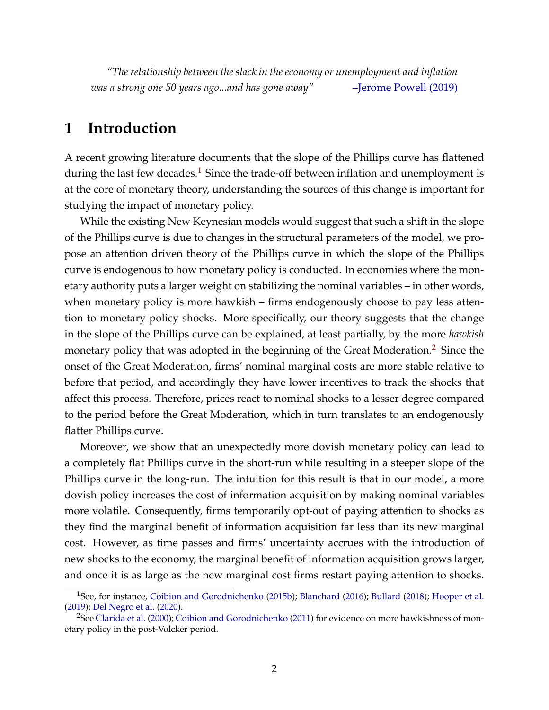*"The relationship between the slack in the economy or unemployment and inflation was a strong one 50 years ago...and has gone away"* [–Jerome Powell \(2019\)](#page-39-0)

## **1 Introduction**

A recent growing literature documents that the slope of the Phillips curve has flattened during the last few decades.<sup>[1](#page-0-0)</sup> Since the trade-off between inflation and unemployment is at the core of monetary theory, understanding the sources of this change is important for studying the impact of monetary policy.

While the existing New Keynesian models would suggest that such a shift in the slope of the Phillips curve is due to changes in the structural parameters of the model, we propose an attention driven theory of the Phillips curve in which the slope of the Phillips curve is endogenous to how monetary policy is conducted. In economies where the monetary authority puts a larger weight on stabilizing the nominal variables – in other words, when monetary policy is more hawkish – firms endogenously choose to pay less attention to monetary policy shocks. More specifically, our theory suggests that the change in the slope of the Phillips curve can be explained, at least partially, by the more *hawkish* monetary policy that was adopted in the beginning of the Great Moderation.[2](#page-0-0) Since the onset of the Great Moderation, firms' nominal marginal costs are more stable relative to before that period, and accordingly they have lower incentives to track the shocks that affect this process. Therefore, prices react to nominal shocks to a lesser degree compared to the period before the Great Moderation, which in turn translates to an endogenously flatter Phillips curve.

Moreover, we show that an unexpectedly more dovish monetary policy can lead to a completely flat Phillips curve in the short-run while resulting in a steeper slope of the Phillips curve in the long-run. The intuition for this result is that in our model, a more dovish policy increases the cost of information acquisition by making nominal variables more volatile. Consequently, firms temporarily opt-out of paying attention to shocks as they find the marginal benefit of information acquisition far less than its new marginal cost. However, as time passes and firms' uncertainty accrues with the introduction of new shocks to the economy, the marginal benefit of information acquisition grows larger, and once it is as large as the new marginal cost firms restart paying attention to shocks.

<sup>&</sup>lt;sup>1</sup>See, for instance, [Coibion and Gorodnichenko](#page-36-0) [\(2015b\)](#page-36-0); [Blanchard](#page-36-1) [\(2016\)](#page-36-1); [Bullard](#page-36-2) [\(2018\)](#page-36-2); [Hooper et al.](#page-37-0) [\(2019\)](#page-37-0); [Del Negro et al.](#page-37-1) [\(2020\)](#page-37-1).

<sup>&</sup>lt;sup>2</sup>See [Clarida et al.](#page-36-3) [\(2000\)](#page-36-3); [Coibion and Gorodnichenko](#page-36-4) [\(2011\)](#page-36-4) for evidence on more hawkishness of monetary policy in the post-Volcker period.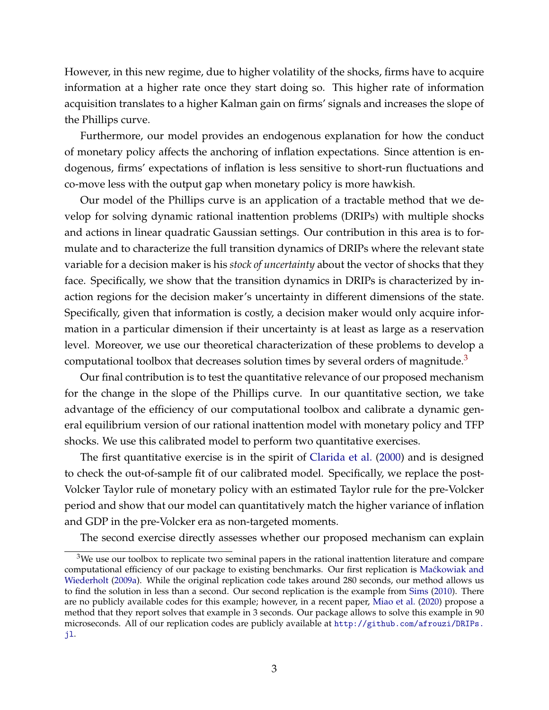However, in this new regime, due to higher volatility of the shocks, firms have to acquire information at a higher rate once they start doing so. This higher rate of information acquisition translates to a higher Kalman gain on firms' signals and increases the slope of the Phillips curve.

Furthermore, our model provides an endogenous explanation for how the conduct of monetary policy affects the anchoring of inflation expectations. Since attention is endogenous, firms' expectations of inflation is less sensitive to short-run fluctuations and co-move less with the output gap when monetary policy is more hawkish.

Our model of the Phillips curve is an application of a tractable method that we develop for solving dynamic rational inattention problems (DRIPs) with multiple shocks and actions in linear quadratic Gaussian settings. Our contribution in this area is to formulate and to characterize the full transition dynamics of DRIPs where the relevant state variable for a decision maker is his *stock of uncertainty* about the vector of shocks that they face. Specifically, we show that the transition dynamics in DRIPs is characterized by inaction regions for the decision maker's uncertainty in different dimensions of the state. Specifically, given that information is costly, a decision maker would only acquire information in a particular dimension if their uncertainty is at least as large as a reservation level. Moreover, we use our theoretical characterization of these problems to develop a computational toolbox that decreases solution times by several orders of magnitude. $3$ 

Our final contribution is to test the quantitative relevance of our proposed mechanism for the change in the slope of the Phillips curve. In our quantitative section, we take advantage of the efficiency of our computational toolbox and calibrate a dynamic general equilibrium version of our rational inattention model with monetary policy and TFP shocks. We use this calibrated model to perform two quantitative exercises.

The first quantitative exercise is in the spirit of [Clarida et al.](#page-36-3) [\(2000\)](#page-36-3) and is designed to check the out-of-sample fit of our calibrated model. Specifically, we replace the post-Volcker Taylor rule of monetary policy with an estimated Taylor rule for the pre-Volcker period and show that our model can quantitatively match the higher variance of inflation and GDP in the pre-Volcker era as non-targeted moments.

The second exercise directly assesses whether our proposed mechanism can explain

 $3$ We use our toolbox to replicate two seminal papers in the rational inattention literature and compare computational efficiency of our package to existing benchmarks. Our first replication is Maćkowiak and [Wiederholt](#page-38-0) [\(2009a\)](#page-38-0). While the original replication code takes around 280 seconds, our method allows us to find the solution in less than a second. Our second replication is the example from [Sims](#page-40-0) [\(2010\)](#page-40-0). There are no publicly available codes for this example; however, in a recent paper, [Miao et al.](#page-39-1) [\(2020\)](#page-39-1) propose a method that they report solves that example in 3 seconds. Our package allows to solve this example in 90 microseconds. All of our replication codes are publicly available at [http://github.com/afrouzi/DRIPs.](http://github.com/afrouzi/DRIPs.jl) [jl](http://github.com/afrouzi/DRIPs.jl).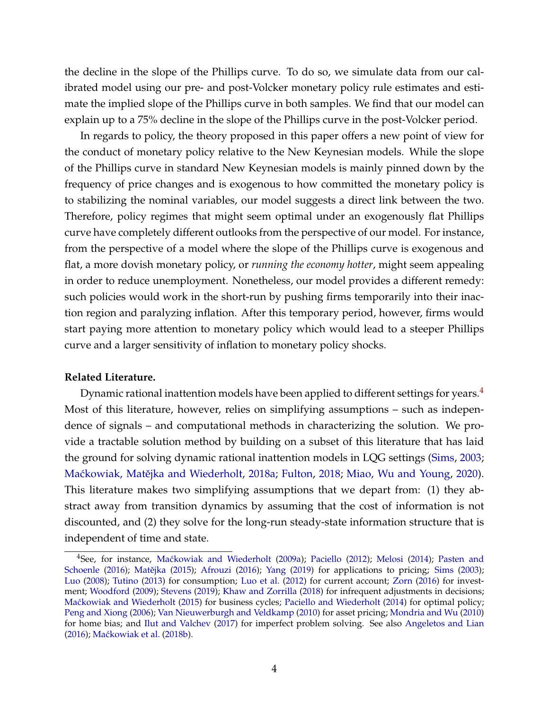the decline in the slope of the Phillips curve. To do so, we simulate data from our calibrated model using our pre- and post-Volcker monetary policy rule estimates and estimate the implied slope of the Phillips curve in both samples. We find that our model can explain up to a 75% decline in the slope of the Phillips curve in the post-Volcker period.

In regards to policy, the theory proposed in this paper offers a new point of view for the conduct of monetary policy relative to the New Keynesian models. While the slope of the Phillips curve in standard New Keynesian models is mainly pinned down by the frequency of price changes and is exogenous to how committed the monetary policy is to stabilizing the nominal variables, our model suggests a direct link between the two. Therefore, policy regimes that might seem optimal under an exogenously flat Phillips curve have completely different outlooks from the perspective of our model. For instance, from the perspective of a model where the slope of the Phillips curve is exogenous and flat, a more dovish monetary policy, or *running the economy hotter*, might seem appealing in order to reduce unemployment. Nonetheless, our model provides a different remedy: such policies would work in the short-run by pushing firms temporarily into their inaction region and paralyzing inflation. After this temporary period, however, firms would start paying more attention to monetary policy which would lead to a steeper Phillips curve and a larger sensitivity of inflation to monetary policy shocks.

#### **Related Literature.**

Dynamic rational inattention models have been applied to different settings for years.<sup>[4](#page-0-0)</sup> Most of this literature, however, relies on simplifying assumptions – such as independence of signals – and computational methods in characterizing the solution. We provide a tractable solution method by building on a subset of this literature that has laid the ground for solving dynamic rational inattention models in LQG settings [\(Sims,](#page-40-1) [2003;](#page-40-1) Maćkowiak, Matějka and Wiederholt, [2018a;](#page-38-1) [Fulton,](#page-37-2) [2018;](#page-37-2) [Miao, Wu and Young,](#page-39-1) [2020\)](#page-39-1). This literature makes two simplifying assumptions that we depart from: (1) they abstract away from transition dynamics by assuming that the cost of information is not discounted, and (2) they solve for the long-run steady-state information structure that is independent of time and state.

<sup>&</sup>lt;sup>4</sup>See, for instance, Mackowiak and Wiederholt [\(2009a\)](#page-38-0); [Paciello](#page-39-2) [\(2012\)](#page-39-2); [Melosi](#page-39-3) [\(2014\)](#page-39-3); [Pasten and](#page-39-4) [Schoenle](#page-39-4) [\(2016\)](#page-35-0); Matějka [\(2015\)](#page-38-2); [Afrouzi](#page-35-0) (2016); [Yang](#page-40-2) [\(2019\)](#page-40-2) for applications to pricing; [Sims](#page-40-1) [\(2003\)](#page-40-1); [Luo](#page-38-3) [\(2008\)](#page-38-3); [Tutino](#page-40-3) [\(2013\)](#page-40-3) for consumption; [Luo et al.](#page-38-4) [\(2012\)](#page-38-4) for current account; [Zorn](#page-40-4) [\(2016\)](#page-40-4) for investment; [Woodford](#page-40-5) [\(2009\)](#page-40-5); [Stevens](#page-40-6) [\(2019\)](#page-40-6); [Khaw and Zorrilla](#page-37-3) [\(2018\)](#page-37-3) for infrequent adjustments in decisions; Maćkowiak and Wiederholt [\(2015\)](#page-38-5) for business cycles; [Paciello and Wiederholt](#page-39-5) [\(2014\)](#page-39-5) for optimal policy; [Peng and Xiong](#page-39-6) [\(2006\)](#page-39-6); [Van Nieuwerburgh and Veldkamp](#page-39-7) [\(2010\)](#page-39-7) for asset pricing; [Mondria and Wu](#page-39-8) [\(2010\)](#page-39-8) for home bias; and [Ilut and Valchev](#page-37-4) [\(2017\)](#page-37-4) for imperfect problem solving. See also [Angeletos and Lian](#page-35-1) [\(2016\)](#page-35-1); Maćkowiak et al. [\(2018b\)](#page-38-6).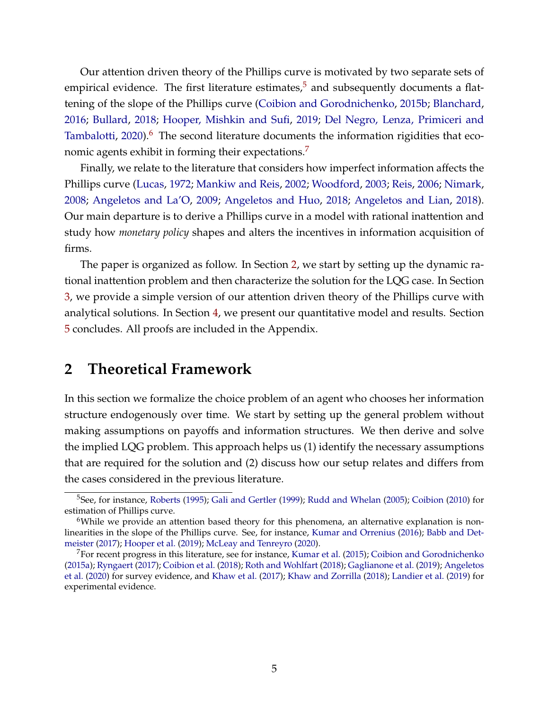Our attention driven theory of the Phillips curve is motivated by two separate sets of empirical evidence. The first literature estimates, $5$  and subsequently documents a flattening of the slope of the Phillips curve [\(Coibion and Gorodnichenko,](#page-36-0) [2015b;](#page-36-0) [Blanchard,](#page-36-1) [2016;](#page-36-1) [Bullard,](#page-36-2) [2018;](#page-36-2) [Hooper, Mishkin and Sufi,](#page-37-0) [2019;](#page-37-0) [Del Negro, Lenza, Primiceri and](#page-37-1) [Tambalotti,](#page-37-1)  $2020$ <sup>[6](#page-0-0)</sup>. The second literature documents the information rigidities that eco-nomic agents exhibit in forming their expectations.<sup>[7](#page-0-0)</sup>

Finally, we relate to the literature that considers how imperfect information affects the Phillips curve [\(Lucas,](#page-38-7) [1972;](#page-38-7) [Mankiw and Reis,](#page-38-8) [2002;](#page-38-8) [Woodford,](#page-40-7) [2003;](#page-40-7) [Reis,](#page-39-9) [2006;](#page-39-9) [Nimark,](#page-39-10) [2008;](#page-39-10) [Angeletos and La'O,](#page-35-2) [2009;](#page-35-2) [Angeletos and Huo,](#page-35-3) [2018;](#page-35-3) [Angeletos and Lian,](#page-35-4) [2018\)](#page-35-4). Our main departure is to derive a Phillips curve in a model with rational inattention and study how *monetary policy* shapes and alters the incentives in information acquisition of firms.

The paper is organized as follow. In Section [2,](#page-4-0) we start by setting up the dynamic rational inattention problem and then characterize the solution for the LQG case. In Section [3,](#page-13-0) we provide a simple version of our attention driven theory of the Phillips curve with analytical solutions. In Section [4,](#page-24-0) we present our quantitative model and results. Section [5](#page-35-5) concludes. All proofs are included in the Appendix.

## <span id="page-4-0"></span>**2 Theoretical Framework**

In this section we formalize the choice problem of an agent who chooses her information structure endogenously over time. We start by setting up the general problem without making assumptions on payoffs and information structures. We then derive and solve the implied LQG problem. This approach helps us (1) identify the necessary assumptions that are required for the solution and (2) discuss how our setup relates and differs from the cases considered in the previous literature.

<sup>5</sup>See, for instance, [Roberts](#page-40-8) [\(1995\)](#page-40-8); [Gali and Gertler](#page-37-5) [\(1999\)](#page-37-5); [Rudd and Whelan](#page-40-9) [\(2005\)](#page-40-9); [Coibion](#page-36-5) [\(2010\)](#page-36-5) for estimation of Phillips curve.

<sup>&</sup>lt;sup>6</sup>While we provide an attention based theory for this phenomena, an alternative explanation is nonlinearities in the slope of the Phillips curve. See, for instance, [Kumar and Orrenius](#page-38-9) [\(2016\)](#page-38-9); [Babb and Det](#page-36-6)[meister](#page-36-6) [\(2017\)](#page-36-6); [Hooper et al.](#page-37-0) [\(2019\)](#page-37-0); [McLeay and Tenreyro](#page-39-11) [\(2020\)](#page-39-11).

<sup>7</sup>For recent progress in this literature, see for instance, [Kumar et al.](#page-38-10) [\(2015\)](#page-38-10); [Coibion and Gorodnichenko](#page-36-7) [\(2015a\)](#page-36-7); [Ryngaert](#page-40-10) [\(2017\)](#page-40-10); [Coibion et al.](#page-36-8) [\(2018\)](#page-36-8); [Roth and Wohlfart](#page-40-11) [\(2018\)](#page-40-11); [Gaglianone et al.](#page-37-6) [\(2019\)](#page-37-6); [Angeletos](#page-35-6) [et al.](#page-35-6) [\(2020\)](#page-35-6) for survey evidence, and [Khaw et al.](#page-37-7) [\(2017\)](#page-37-7); [Khaw and Zorrilla](#page-37-3) [\(2018\)](#page-37-3); [Landier et al.](#page-38-11) [\(2019\)](#page-38-11) for experimental evidence.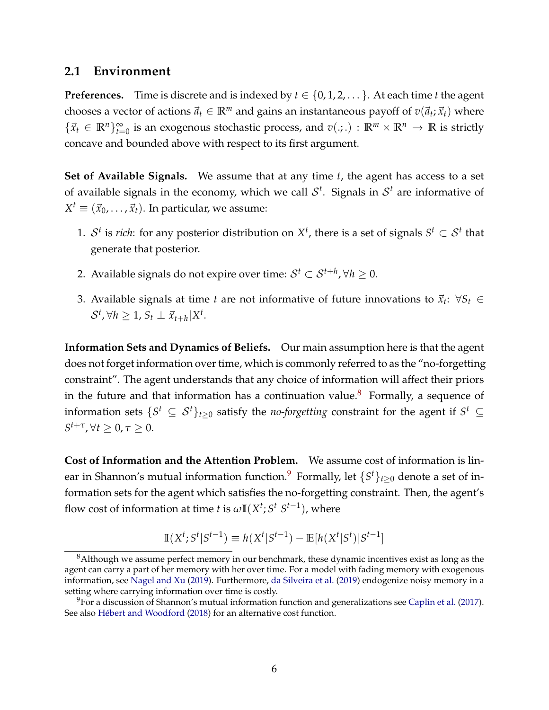### **2.1 Environment**

**Preferences.** Time is discrete and is indexed by  $t \in \{0, 1, 2, \ldots\}$ . At each time *t* the agent chooses a vector of actions  $\vec{a}_t \in \mathbb{R}^m$  and gains an instantaneous payoff of  $v(\vec{a}_t; \vec{x}_t)$  where  $\{\vec{x}_t \in \mathbb{R}^n\}_{t=0}^\infty$  is an exogenous stochastic process, and  $v(.;.) : \mathbb{R}^m \times \mathbb{R}^n \to \mathbb{R}$  is strictly concave and bounded above with respect to its first argument.

**Set of Available Signals.** We assume that at any time *t*, the agent has access to a set of available signals in the economy, which we call  $\mathcal{S}^t$ . Signals in  $\mathcal{S}^t$  are informative of  $X^t \equiv (\vec{x}_0, \ldots, \vec{x}_t).$  In particular, we assume:

- 1.  $S<sup>t</sup>$  is *rich*: for any posterior distribution on  $X<sup>t</sup>$ , there is a set of signals  $S<sup>t</sup> \subset S<sup>t</sup>$  that generate that posterior.
- 2. Available signals do not expire over time:  $\mathcal{S}^t \subset \mathcal{S}^{t+h}$ ,  $\forall h \geq 0$ .
- 3. Available signals at time *t* are not informative of future innovations to  $\vec{x}_t$ :  $\forall S_t \in$  $S^t$ ,  $\forall h \geq 1$ ,  $S_t \perp \vec{x}_{t+h} | X^t$ .

**Information Sets and Dynamics of Beliefs.** Our main assumption here is that the agent does not forget information over time, which is commonly referred to as the "no-forgetting constraint". The agent understands that any choice of information will affect their priors in the future and that information has a continuation value.<sup>[8](#page-0-0)</sup> Formally, a sequence of information sets  $\{S^t \subseteq S^t\}_{t\geq 0}$  satisfy the *no-forgetting* constraint for the agent if  $S^t \subseteq$  $S^{t+\tau}$ ,  $\forall t \geq 0$ ,  $\tau \geq 0$ .

**Cost of Information and the Attention Problem.** We assume cost of information is linear in Shannon's mutual information function. $^9$  $^9$  Formally, let  $\{S^t\}_{t\geq 0}$  denote a set of information sets for the agent which satisfies the no-forgetting constraint. Then, the agent's flow cost of information at time *t* is  $\omega \mathbb{I}(X^t; S^t | S^{t-1})$ , where

$$
\mathbb{I}(X^t; S^t | S^{t-1}) \equiv h(X^t | S^{t-1}) - \mathbb{E}[h(X^t | S^t) | S^{t-1}]
$$

<sup>&</sup>lt;sup>8</sup>Although we assume perfect memory in our benchmark, these dynamic incentives exist as long as the agent can carry a part of her memory with her over time. For a model with fading memory with exogenous information, see [Nagel and Xu](#page-39-12) [\(2019\)](#page-39-12). Furthermore, [da Silveira et al.](#page-37-8) [\(2019\)](#page-37-8) endogenize noisy memory in a setting where carrying information over time is costly.

 $9$ For a discussion of Shannon's mutual information function and generalizations see [Caplin et al.](#page-36-9) [\(2017\)](#page-36-9). See also [Hébert and Woodford](#page-37-9) [\(2018\)](#page-37-9) for an alternative cost function.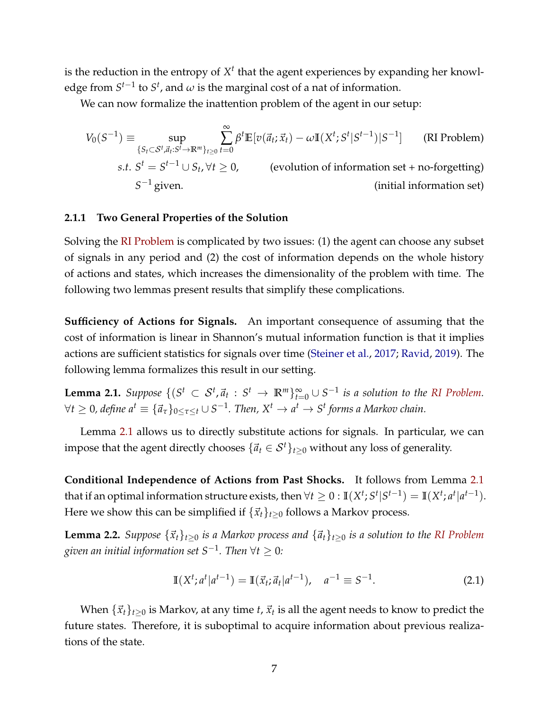is the reduction in the entropy of  $X<sup>t</sup>$  that the agent experiences by expanding her knowledge from  $S^{t-1}$  to  $S^t$ , and  $\omega$  is the marginal cost of a nat of information.

We can now formalize the inattention problem of the agent in our setup:

<span id="page-6-0"></span>
$$
V_0(S^{-1}) \equiv \sup_{\{S_t \subset S^t, \vec{a}_t : S^t \to \mathbb{R}^m\}_{t \ge 0}} \sum_{t=0}^{\infty} \beta^t \mathbb{E}[v(\vec{a}_t; \vec{x}_t) - \omega \mathbb{I}(X^t; S^t | S^{t-1}) | S^{-1}] \qquad \text{(RI Problem)}
$$
\n
$$
s.t. S^t = S^{t-1} \cup S_t, \forall t \ge 0, \qquad \text{(evolution of information set + no-forgetting)}
$$
\n
$$
S^{-1} \text{ given.} \qquad \text{(initial information set)}
$$

#### **2.1.1 Two General Properties of the Solution**

Solving the [RI Problem](#page-6-0) is complicated by two issues: (1) the agent can choose any subset of signals in any period and (2) the cost of information depends on the whole history of actions and states, which increases the dimensionality of the problem with time. The following two lemmas present results that simplify these complications.

**Sufficiency of Actions for Signals.** An important consequence of assuming that the cost of information is linear in Shannon's mutual information function is that it implies actions are sufficient statistics for signals over time [\(Steiner et al.,](#page-40-12) [2017;](#page-40-12) [Ravid,](#page-39-13) [2019\)](#page-39-13). The following lemma formalizes this result in our setting.

<span id="page-6-1"></span>**Lemma 2.1.** Suppose  $\{(S^t \subset S^t, \vec{a}_t : S^t \to \mathbb{R}^m\}_{t=0}^{\infty} \cup S^{-1}$  is a solution to the [RI Problem.](#page-6-0)  $\forall t \geq 0$ , define  $a^t \equiv \{\vec{a}_\tau\}_{0 \leq \tau \leq t} \cup S^{-1}$ . Then,  $X^t \to a^t \to S^t$  forms a Markov chain.

Lemma [2.1](#page-6-1) allows us to directly substitute actions for signals. In particular, we can impose that the agent directly chooses  $\{\vec{a}_t \in S^t\}_{t>0}$  without any loss of generality.

**Conditional Independence of Actions from Past Shocks.** It follows from Lemma [2.1](#page-6-1) that if an optimal information structure exists, then  $\forall t \geq 0: \mathbb{I}(X^t; S^t | S^{t-1}) = \mathbb{I}(X^t; a^t | a^{t-1}).$ Here we show this can be simplified if  $\{\vec{x}_t\}_{t>0}$  follows a Markov process.

<span id="page-6-2"></span>**Lemma 2.2.** *Suppose*  $\{\vec{x}_t\}_{t\geq 0}$  *is a Markov process and*  $\{\vec{a}_t\}_{t\geq 0}$  *is a solution to the [RI Problem](#page-6-0) given an initial information set S*−<sup>1</sup> *. Then* ∀*t* ≥ 0*:*

$$
\mathbb{I}(X^t; a^t | a^{t-1}) = \mathbb{I}(\vec{x}_t; \vec{a}_t | a^{t-1}), \quad a^{-1} \equiv S^{-1}.
$$
 (2.1)

When  $\{\vec{x}_t\}_{t\geq 0}$  is Markov, at any time *t*,  $\vec{x}_t$  is all the agent needs to know to predict the future states. Therefore, it is suboptimal to acquire information about previous realizations of the state.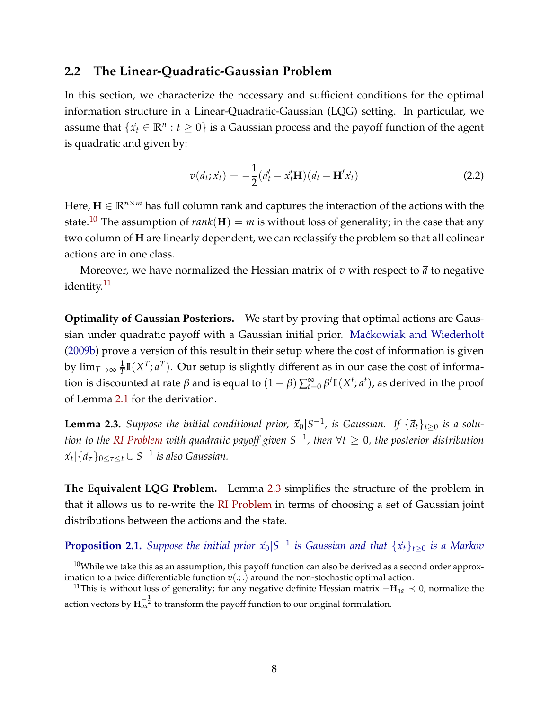### **2.2 The Linear-Quadratic-Gaussian Problem**

In this section, we characterize the necessary and sufficient conditions for the optimal information structure in a Linear-Quadratic-Gaussian (LQG) setting. In particular, we assume that  $\{\vec{x}_t \in \mathbb{R}^n : t \geq 0\}$  is a Gaussian process and the payoff function of the agent is quadratic and given by:

$$
v(\vec{a}_t; \vec{x}_t) = -\frac{1}{2}(\vec{a}'_t - \vec{x}'_t \mathbf{H})(\vec{a}_t - \mathbf{H}'\vec{x}_t)
$$
\n(2.2)

Here,  $\mathbf{H} \in \mathbb{R}^{n \times m}$  has full column rank and captures the interaction of the actions with the state.<sup>[10](#page-0-0)</sup> The assumption of *rank*( $\bf{H}$ ) = *m* is without loss of generality; in the case that any two column of **H** are linearly dependent, we can reclassify the problem so that all colinear actions are in one class.

Moreover, we have normalized the Hessian matrix of  $v$  with respect to  $\vec{a}$  to negative identity.<sup>[11](#page-0-0)</sup>

**Optimality of Gaussian Posteriors.** We start by proving that optimal actions are Gaussian under quadratic payoff with a Gaussian initial prior. Maćkowiak and Wiederholt [\(2009b\)](#page-38-12) prove a version of this result in their setup where the cost of information is given by  $\lim_{T \rightarrow \infty} \frac{1}{T}$  $\frac{1}{T}\mathbb{I}(X^T; a^T)$ . Our setup is slightly different as in our case the cost of information is discounted at rate  $\beta$  and is equal to  $(1-\beta)\sum_{t=0}^{\infty}\beta^t\mathbb{I}(X^t; a^t)$ , as derived in the proof of Lemma [2.1](#page-6-1) for the derivation.

<span id="page-7-0"></span>**Lemma 2.3.** Suppose the initial conditional prior,  $\vec{x}_0|S^{-1}$ , is Gaussian. If  $\{\vec{a}_t\}_{t\geq0}$  is a solu*tion to the [RI Problem](#page-6-0) with quadratic payoff given S*−<sup>1</sup> *, then* ∀*t* ≥ 0*, the posterior distribution*  $\vec{x}_t | {\vec{a}_\tau}_{0 \leq \tau \leq t} \cup S^{-1}$  *is also Gaussian.* 

**The Equivalent LQG Problem.** Lemma [2.3](#page-7-0) simplifies the structure of the problem in that it allows us to re-write the [RI Problem](#page-6-0) in terms of choosing a set of Gaussian joint distributions between the actions and the state.

<span id="page-7-1"></span>**Proposition 2.1.** Suppose the initial prior  $\vec{x}_0|S^{-1}$  is Gaussian and that  $\{\vec{x}_t\}_{t\geq 0}$  is a Markov

 $10$ While we take this as an assumption, this payoff function can also be derived as a second order approximation to a twice differentiable function  $v(.,.)$  around the non-stochastic optimal action.

<sup>11</sup>This is without loss of generality; for any negative definite Hessian matrix −**H***aa* ≺ 0, normalize the action vectors by  $\mathbf{H}^{-\frac{1}{2}}_{aa}$  to transform the payoff function to our original formulation.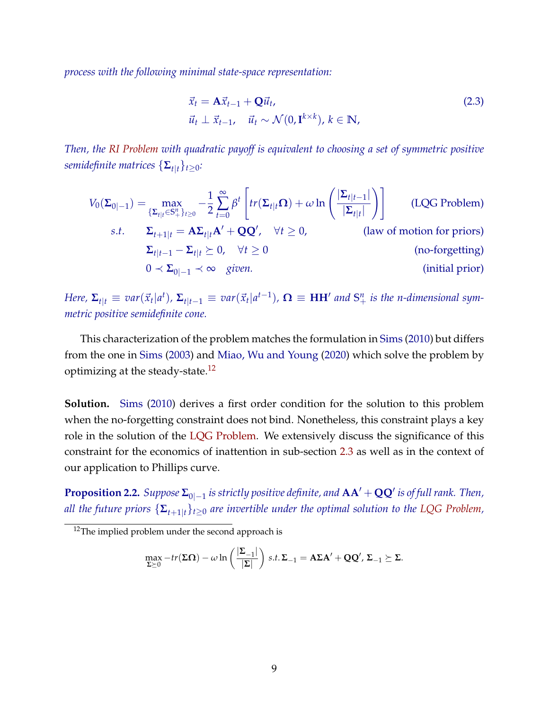*process with the following minimal state-space representation:*

<span id="page-8-2"></span><span id="page-8-0"></span>
$$
\vec{x}_t = \mathbf{A}\vec{x}_{t-1} + \mathbf{Q}\vec{u}_t, \n\vec{u}_t \perp \vec{x}_{t-1}, \quad \vec{u}_t \sim \mathcal{N}(0, \mathbf{I}^{k \times k}), k \in \mathbb{N},
$$
\n(2.3)

*Then, the [RI Problem](#page-6-0) with quadratic payoff is equivalent to choosing a set of symmetric positive semidefinite matrices*  $\{\mathbf{\Sigma}_{t|t}\}_{t>0}$ :

$$
V_0(\Sigma_{0|-1}) = \max_{\{\Sigma_{t|t} \in S_+^n\}_{t \ge 0}} -\frac{1}{2} \sum_{t=0}^{\infty} \beta^t \left[ tr(\Sigma_{t|t} \Omega) + \omega \ln \left( \frac{|\Sigma_{t|t-1}|}{|\Sigma_{t|t}|} \right) \right]
$$
(LQG Problem)  
s.t.  $\Sigma_{t+1|t} = A\Sigma_{t|t}A' + QQ', \quad \forall t \ge 0,$  (law of motion for priors)  
 $\Sigma_{t|t-1} - \Sigma_{t|t} \succeq 0, \quad \forall t \ge 0$   
 $0 \prec \Sigma_{0|-1} \prec \infty$  given. (initial prior)

Here,  $\Sigma_{t|t} \equiv var(\vec{x}_t|a^t)$ ,  $\Sigma_{t|t-1} \equiv var(\vec{x}_t|a^{t-1})$ ,  $\mathbf{\Omega} \equiv \mathbf{HH}'$  and  $\mathbf{S}^n_+$  is the n-dimensional sym*metric positive semidefinite cone.*

This characterization of the problem matches the formulation in [Sims](#page-40-0) [\(2010\)](#page-40-0) but differs from the one in [Sims](#page-40-1) [\(2003\)](#page-40-1) and [Miao, Wu and Young](#page-39-1) [\(2020\)](#page-39-1) which solve the problem by optimizing at the steady-state.<sup>[12](#page-0-0)</sup>

**Solution.** [Sims](#page-40-0) [\(2010\)](#page-40-0) derives a first order condition for the solution to this problem when the no-forgetting constraint does not bind. Nonetheless, this constraint plays a key role in the solution of the [LQG Problem.](#page-8-0) We extensively discuss the significance of this constraint for the economics of inattention in sub-section [2.3](#page-11-0) as well as in the context of our application to Phillips curve.

<span id="page-8-1"></span>**Proposition 2.2.**  $Suppose \Sigma_{0|-1}$  is strictly positive definite, and  $AA' + QQ'$  is of full rank. Then, *all the future priors*  $\{\mathbf{\Sigma}_{t+1|t}\}_{t\geq0}$  *are invertible under the optimal solution to the [LQG Problem,](#page-8-0)* 

$$
\max_{\Sigma \succeq 0} -tr(\Sigma \Omega) - \omega \ln \left( \frac{|\Sigma_{-1}|}{|\Sigma|} \right) \, s.t. \, \Sigma_{-1} = A \Sigma A' + QQ', \, \Sigma_{-1} \succeq \Sigma.
$$

 $12$ The implied problem under the second approach is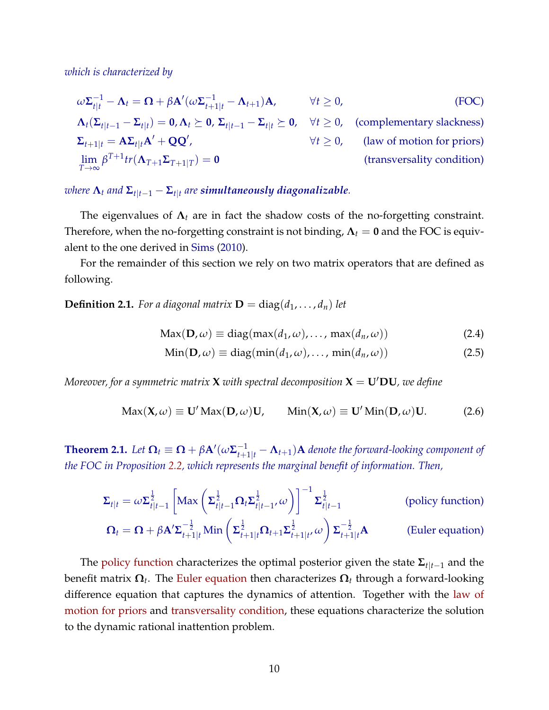*which is characterized by*

$$
\omega \Sigma_{t|t}^{-1} - \Lambda_t = \Omega + \beta \mathbf{A}'(\omega \Sigma_{t+1|t}^{-1} - \Lambda_{t+1}) \mathbf{A}, \qquad \forall t \ge 0,
$$
 (FOC)

<span id="page-9-2"></span>
$$
\Lambda_t(\Sigma_{t|t-1} - \Sigma_{t|t}) = \mathbf{0}, \Lambda_t \succeq \mathbf{0}, \Sigma_{t|t-1} - \Sigma_{t|t} \succeq \mathbf{0}, \quad \forall t \ge 0, \quad \text{(complementary slackness)}
$$
\n
$$
\Sigma_{t+1|t} = \mathbf{A}\Sigma_{t|t}\mathbf{A}' + \mathbf{Q}\mathbf{Q}', \qquad \forall t \ge 0, \quad \text{(law of motion for priors)}
$$
\n
$$
\lim_{T \to \infty} \beta^{T+1} \text{tr}(\Lambda_{T+1}\Sigma_{T+1|T}) = \mathbf{0} \qquad \qquad \text{(transversality condition)}
$$

 $\bm{x}$  *where*  $\bm{\Lambda}_t$  *and*  $\bm{\Sigma}_{t|t-1} - \bm{\Sigma}_{t|t}$  are simultaneously diagonalizable.

The eigenvalues of **Λ***<sup>t</sup>* are in fact the shadow costs of the no-forgetting constraint. Therefore, when the no-forgetting constraint is not binding,  $\Lambda_t = 0$  and the FOC is equivalent to the one derived in [Sims](#page-40-0) [\(2010\)](#page-40-0).

For the remainder of this section we rely on two matrix operators that are defined as following.

**Definition 2.1.** For a diagonal matrix  $\mathbf{D} = \text{diag}(d_1, \ldots, d_n)$  let

<span id="page-9-3"></span>
$$
Max(D, \omega) \equiv diag(max(d_1, \omega), ..., max(d_n, \omega))
$$
\n(2.4)

<span id="page-9-1"></span><span id="page-9-0"></span>
$$
Min(D, \omega) \equiv diag(min(d_1, \omega), ..., min(d_n, \omega))
$$
\n(2.5)

*Moreover, for a symmetric matrix* **X** *with spectral decomposition*  $X = U'DU$ *, we define* 

$$
Max(\mathbf{X}, \omega) \equiv \mathbf{U}' Max(\mathbf{D}, \omega) \mathbf{U}, \qquad Min(\mathbf{X}, \omega) \equiv \mathbf{U}' Min(\mathbf{D}, \omega) \mathbf{U}.
$$
 (2.6)

<span id="page-9-4"></span>**Theorem 2.1.** Let  $\mathbf{\Omega}_t \equiv \mathbf{\Omega} + \beta \mathbf{A}'(\omega \mathbf{\Sigma}_{t+1|t}^{-1} - \mathbf{\Lambda}_{t+1})\mathbf{A}$  denote the forward-looking component of *the FOC in Proposition [2.2,](#page-8-1) which represents the marginal benefit of information. Then,*

$$
\Sigma_{t|t} = \omega \Sigma_{t|t-1}^{\frac{1}{2}} \left[ \text{Max} \left( \Sigma_{t|t-1}^{\frac{1}{2}} \Omega_t \Sigma_{t|t-1}^{\frac{1}{2}}, \omega \right) \right]^{-1} \Sigma_{t|t-1}^{\frac{1}{2}} \qquad \text{(policy function)}
$$
\n
$$
\Omega_t = \Omega + \beta \mathbf{A}' \Sigma^{-\frac{1}{2}} \quad \text{Min} \left( \Sigma^{\frac{1}{2}} \quad \Omega_t \Sigma^{\frac{1}{2}} \quad \omega \right) \Sigma^{-\frac{1}{2}} \mathbf{A} \qquad \text{(Euler equation)}
$$

$$
\mathbf{\Omega}_{t} = \mathbf{\Omega} + \beta \mathbf{A}^{\prime} \mathbf{\Sigma}_{t+1|t}^{-\frac{1}{2}} \text{Min}\left(\mathbf{\Sigma}_{t+1|t}^{\frac{1}{2}} \mathbf{\Omega}_{t+1} \mathbf{\Sigma}_{t+1|t}^{\frac{1}{2}} \omega\right) \mathbf{\Sigma}_{t+1|t}^{-\frac{1}{2}} \mathbf{A}
$$
 (Euler equation)

The [policy function](#page-9-0) characterizes the optimal posterior given the state **Σ***t*|*t*−<sup>1</sup> and the benefit matrix **Ω***<sup>t</sup>* . The [Euler equation](#page-9-1) then characterizes **Ω***<sup>t</sup>* through a forward-looking difference equation that captures the dynamics of attention. Together with the [law of](#page-9-2) [motion for priors](#page-9-2) and [transversality condition,](#page-9-3) these equations characterize the solution to the dynamic rational inattention problem.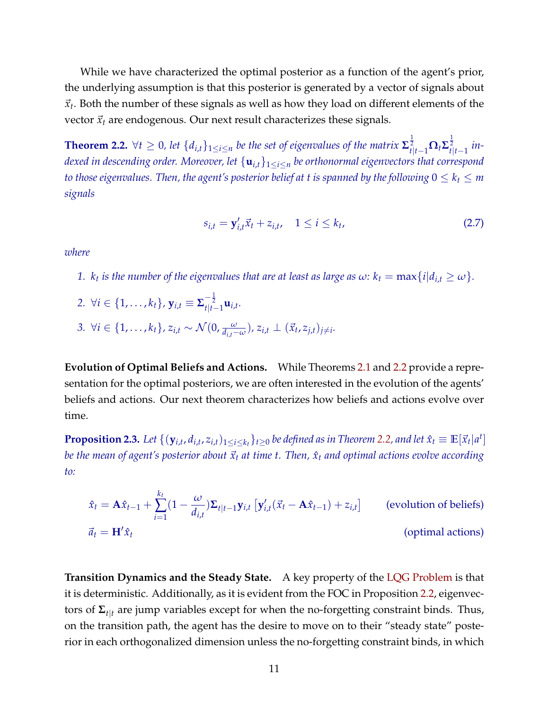While we have characterized the optimal posterior as a function of the agent's prior, the underlying assumption is that this posterior is generated by a vector of signals about  $\vec{x}_t$ . Both the number of these signals as well as how they load on different elements of the vector  $\vec{x}_t$  are endogenous. Our next result characterizes these signals.

<span id="page-10-0"></span>**Theorem 2.2.**  $\forall t \geq 0$ , let  $\{d_{i,t}\}_{1\leq i\leq n}$  be the set of eigenvalues of the matrix  $\mathbf{\Sigma}_{t|t-1}^{\frac{1}{2}} \mathbf{\Omega}_t \mathbf{\Sigma}_{t|t-1}^{\frac{1}{2}}$  in*dexed in descending order. Moreover, let* {**u***i*,*t*}1≤*i*≤*<sup>n</sup> be orthonormal eigenvectors that correspond to those eigenvalues. Then, the agent's posterior belief at t is spanned by the following*  $0 \leq k_t \leq m$ *signals*

$$
s_{i,t} = \mathbf{y}'_{i,t}\vec{x}_t + z_{i,t}, \quad 1 \le i \le k_t,
$$
\n(2.7)

*where*

- *1. k<sub>t</sub>* is the number of the eigenvalues that are at least as large as  $\omega$ :  $k_t = \max\{i | d_{i,t} \geq \omega\}$ .
- 2.  $\forall i \in \{1, \ldots, k_t\}, \mathbf{y}_{i,t} \equiv \mathbf{\Sigma}_{t|t-1}^{-\frac{1}{2}} \mathbf{u}_{i,t}.$
- 3.  $\forall i \in \{1, ..., k_t\}, z_{i,t} \sim \mathcal{N}(0, \frac{\omega}{d_{i,t}-\omega}), z_{i,t} \perp (\vec{x}_t, z_{j,t})_{j \neq i}.$

**Evolution of Optimal Beliefs and Actions.** While Theorems [2.1](#page-9-4) and [2.2](#page-10-0) provide a representation for the optimal posteriors, we are often interested in the evolution of the agents' beliefs and actions. Our next theorem characterizes how beliefs and actions evolve over time.

<span id="page-10-1"></span>**Proposition 2.3.** Let  $\{(\mathbf{y}_{i,t}, d_{i,t}, z_{i,t})_{1\leq i\leq k_t}\}_{t\geq 0}$  be defined as in Theorem [2.2,](#page-10-0) and let  $\hat{x}_t\equiv\mathbb{E}[\vec{x}_t|a^t]$ *be the mean of agent's posterior about*  $\vec{x}_t$  *at time t. Then,*  $\hat{x}_t$  *and optimal actions evolve according to:*

$$
\hat{x}_t = \mathbf{A}\hat{x}_{t-1} + \sum_{i=1}^{k_t} (1 - \frac{\omega}{d_{i,t}}) \Sigma_{t|t-1} \mathbf{y}_{i,t} \left[ \mathbf{y}'_{i,t} (\vec{x}_t - \mathbf{A}\hat{x}_{t-1}) + z_{i,t} \right]
$$
 (evolution of beliefs)  
\n
$$
\vec{a}_t = \mathbf{H}' \hat{x}_t
$$
 (optimal actions)

**Transition Dynamics and the Steady State.** A key property of the [LQG Problem](#page-8-0) is that it is deterministic. Additionally, as it is evident from the FOC in Proposition [2.2,](#page-8-1) eigenvectors of **Σ***t*|*<sup>t</sup>* are jump variables except for when the no-forgetting constraint binds. Thus, on the transition path, the agent has the desire to move on to their "steady state" posterior in each orthogonalized dimension unless the no-forgetting constraint binds, in which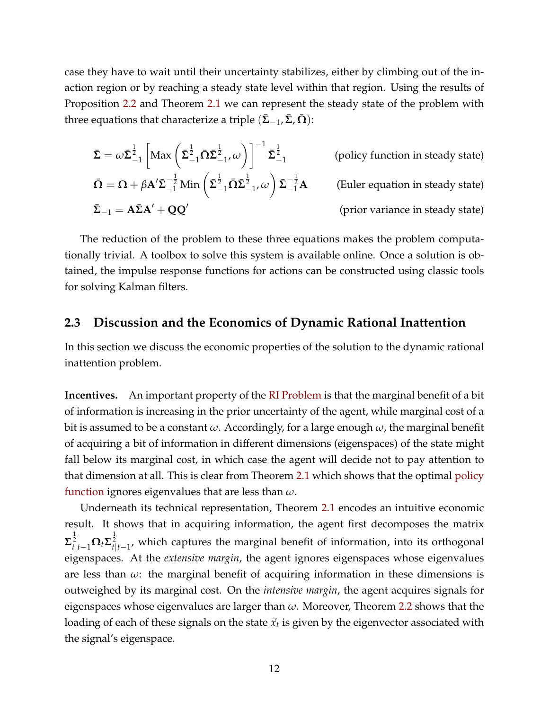case they have to wait until their uncertainty stabilizes, either by climbing out of the inaction region or by reaching a steady state level within that region. Using the results of Proposition [2.2](#page-8-1) and Theorem [2.1](#page-9-4) we can represent the steady state of the problem with three equations that characterize a triple  $(\Sigma_{-1}, \Sigma, \Omega)$ :

$$
\bar{\Sigma} = \omega \bar{\Sigma}_{-1}^{\frac{1}{2}} \left[ \text{Max} \left( \bar{\Sigma}_{-1}^{\frac{1}{2}} \bar{\Omega} \bar{\Sigma}_{-1}^{\frac{1}{2}}, \omega \right) \right]^{-1} \bar{\Sigma}_{-1}^{\frac{1}{2}}
$$
\n(policy function in steady state)

\n
$$
\bar{\Omega} = \Omega + \beta A' \bar{\Sigma}_{-1}^{-\frac{1}{2}} \text{Min} \left( \bar{\Sigma}_{-1}^{\frac{1}{2}} \bar{\Omega} \bar{\Sigma}_{-1}^{\frac{1}{2}}, \omega \right) \bar{\Sigma}_{-1}^{-\frac{1}{2}} A
$$
\n(Euler equation in steady state)

\n
$$
\bar{\Sigma}_{-1} = A \bar{\Sigma} A' + Q Q'
$$
\n(prior variance in steady state)

The reduction of the problem to these three equations makes the problem computationally trivial. A toolbox to solve this system is available online. Once a solution is obtained, the impulse response functions for actions can be constructed using classic tools for solving Kalman filters.

### <span id="page-11-0"></span>**2.3 Discussion and the Economics of Dynamic Rational Inattention**

In this section we discuss the economic properties of the solution to the dynamic rational inattention problem.

**Incentives.** An important property of the [RI Problem](#page-6-0) is that the marginal benefit of a bit of information is increasing in the prior uncertainty of the agent, while marginal cost of a bit is assumed to be a constant *ω*. Accordingly, for a large enough *ω*, the marginal benefit of acquiring a bit of information in different dimensions (eigenspaces) of the state might fall below its marginal cost, in which case the agent will decide not to pay attention to that dimension at all. This is clear from Theorem [2.1](#page-9-4) which shows that the optimal [policy](#page-9-0) [function](#page-9-0) ignores eigenvalues that are less than *ω*.

Underneath its technical representation, Theorem [2.1](#page-9-4) encodes an intuitive economic result. It shows that in acquiring information, the agent first decomposes the matrix  $\sum_{t|t-1}^{\frac{1}{2}} \Omega_t \Sigma_{t|t-1}^{\frac{1}{2}}$ , which captures the marginal benefit of information, into its orthogonal eigenspaces. At the *extensive margin*, the agent ignores eigenspaces whose eigenvalues are less than  $\omega$ : the marginal benefit of acquiring information in these dimensions is outweighed by its marginal cost. On the *intensive margin*, the agent acquires signals for eigenspaces whose eigenvalues are larger than *ω*. Moreover, Theorem [2.2](#page-10-0) shows that the loading of each of these signals on the state  $\vec{x}_t$  is given by the eigenvector associated with the signal's eigenspace.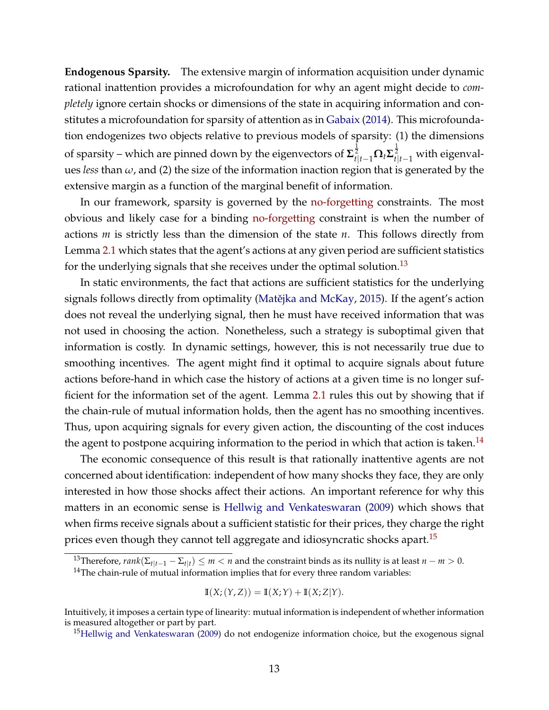**Endogenous Sparsity.** The extensive margin of information acquisition under dynamic rational inattention provides a microfoundation for why an agent might decide to *completely* ignore certain shocks or dimensions of the state in acquiring information and constitutes a microfoundation for sparsity of attention as in [Gabaix](#page-37-10) [\(2014\)](#page-37-10). This microfoundation endogenizes two objects relative to previous models of sparsity: (1) the dimensions of sparsity – which are pinned down by the eigenvectors of **Σ** 1 2 *<sup>t</sup>*|*t*−1**Ω***t***Σ** 1 2 *<sup>t</sup>*|*t*−<sup>1</sup> with eigenvalues *less* than *ω*, and (2) the size of the information inaction region that is generated by the extensive margin as a function of the marginal benefit of information.

In our framework, sparsity is governed by the [no-forgetting](#page-8-2) constraints. The most obvious and likely case for a binding [no-forgetting](#page-8-2) constraint is when the number of actions *m* is strictly less than the dimension of the state *n*. This follows directly from Lemma [2.1](#page-6-1) which states that the agent's actions at any given period are sufficient statistics for the underlying signals that she receives under the optimal solution.<sup>[13](#page-0-0)</sup>

In static environments, the fact that actions are sufficient statistics for the underlying signals follows directly from optimality (Matějka and McKay, [2015\)](#page-39-14). If the agent's action does not reveal the underlying signal, then he must have received information that was not used in choosing the action. Nonetheless, such a strategy is suboptimal given that information is costly. In dynamic settings, however, this is not necessarily true due to smoothing incentives. The agent might find it optimal to acquire signals about future actions before-hand in which case the history of actions at a given time is no longer sufficient for the information set of the agent. Lemma [2.1](#page-6-1) rules this out by showing that if the chain-rule of mutual information holds, then the agent has no smoothing incentives. Thus, upon acquiring signals for every given action, the discounting of the cost induces the agent to postpone acquiring information to the period in which that action is taken.<sup>[14](#page-0-0)</sup>

The economic consequence of this result is that rationally inattentive agents are not concerned about identification: independent of how many shocks they face, they are only interested in how those shocks affect their actions. An important reference for why this matters in an economic sense is [Hellwig and Venkateswaran](#page-37-11) [\(2009\)](#page-37-11) which shows that when firms receive signals about a sufficient statistic for their prices, they charge the right prices even though they cannot tell aggregate and idiosyncratic shocks apart.<sup>[15](#page-0-0)</sup>

$$
\mathbb{I}(X; (Y, Z)) = \mathbb{I}(X; Y) + \mathbb{I}(X; Z|Y).
$$

 $^{13}$ Therefore*,*  $rank(\Sigma_{t|t-1}-\Sigma_{t|t})\leq m < n$  and the constraint binds as its nullity is at least  $n-m>0.$  $14$ The chain-rule of mutual information implies that for every three random variables:

Intuitively, it imposes a certain type of linearity: mutual information is independent of whether information is measured altogether or part by part.

<sup>&</sup>lt;sup>15</sup>[Hellwig and Venkateswaran](#page-37-11) [\(2009\)](#page-37-11) do not endogenize information choice, but the exogenous signal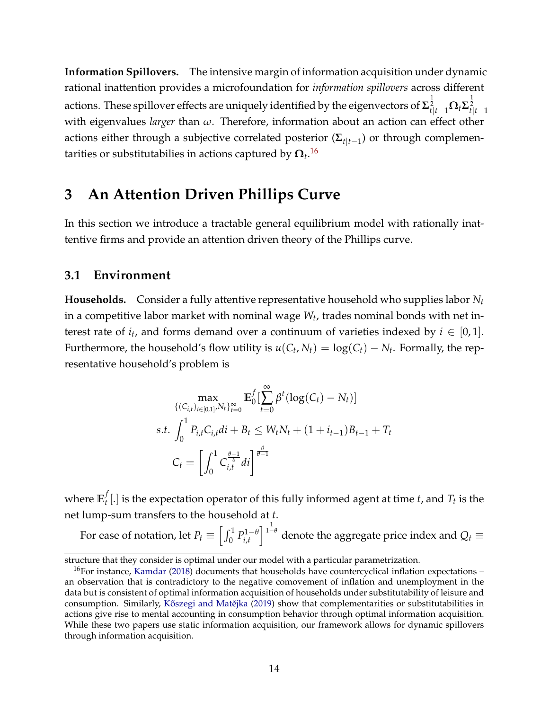**Information Spillovers.** The intensive margin of information acquisition under dynamic rational inattention provides a microfoundation for *information spillovers* across different actions. These spillover effects are uniquely identified by the eigenvectors of  $\mathbf{\Sigma}_{t|t-1}^{\frac{1}{2}}\mathbf{\Omega}_t\mathbf{\Sigma}_{t|t-1}^{\frac{1}{2}}$ with eigenvalues *larger* than *ω*. Therefore, information about an action can effect other actions either through a subjective correlated posterior (**Σ***t*|*t*−<sup>1</sup> ) or through complementarities or substitutabilies in actions captured by **Ω***<sup>t</sup>* . [16](#page-0-0)

## <span id="page-13-0"></span>**3 An Attention Driven Phillips Curve**

In this section we introduce a tractable general equilibrium model with rationally inattentive firms and provide an attention driven theory of the Phillips curve.

### **3.1 Environment**

**Households.** Consider a fully attentive representative household who supplies labor *N<sup>t</sup>* in a competitive labor market with nominal wage *W<sup>t</sup>* , trades nominal bonds with net interest rate of  $i_t$ , and forms demand over a continuum of varieties indexed by  $i \in [0,1]$ . Furthermore, the household's flow utility is  $u(C_t, N_t) = \log(C_t) - N_t$ . Formally, the representative household's problem is

$$
\max_{\{(C_{i,t})_{i\in[0,1]},N_t\}_{t=0}^{\infty}} \mathbb{E}_{0}^{f} \left[\sum_{t=0}^{\infty} \beta^t (\log(C_t) - N_t)\right]
$$
  
s.t. 
$$
\int_{0}^{1} P_{i,t} C_{i,t} dt + B_t \le W_t N_t + (1 + i_{t-1}) B_{t-1} + T_t
$$

$$
C_t = \left[\int_{0}^{1} C_{i,t}^{\frac{\theta-1}{\theta}} dt\right]^{\frac{\theta}{\theta-1}}
$$

where  $\mathbb{E}_t^f$  $T_t^f$  [.] is the expectation operator of this fully informed agent at time *t*, and  $T_t$  is the net lump-sum transfers to the household at *t*.

For ease of notation, let  $P_t \equiv \left[\int_0^1 P_{i,t}^{1-\theta} \right]$ *i*,*t*  $\int_0^{\frac{1}{1-\theta}}$  denote the aggregate price index and  $Q_t$   $\equiv$ 

structure that they consider is optimal under our model with a particular parametrization.

<sup>&</sup>lt;sup>16</sup>For instance, [Kamdar](#page-37-12) [\(2018\)](#page-37-12) documents that households have countercyclical inflation expectations  $$ an observation that is contradictory to the negative comovement of inflation and unemployment in the data but is consistent of optimal information acquisition of households under substitutability of leisure and consumption. Similarly, Kőszegi and Matějka [\(2019\)](#page-38-13) show that complementarities or substitutabilities in actions give rise to mental accounting in consumption behavior through optimal information acquisition. While these two papers use static information acquisition, our framework allows for dynamic spillovers through information acquisition.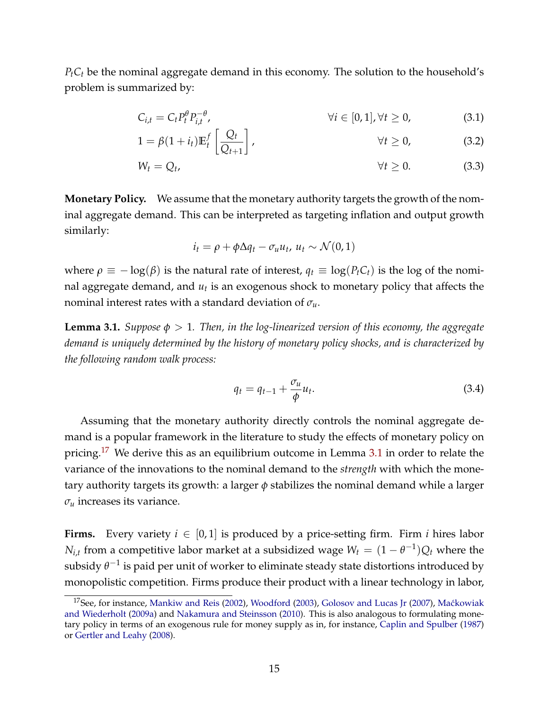*PtC<sup>t</sup>* be the nominal aggregate demand in this economy. The solution to the household's problem is summarized by:

$$
C_{i,t} = C_t P_t^{\theta} P_{i,t}^{-\theta}, \qquad \forall i \in [0,1], \forall t \ge 0,
$$
\n(3.1)

$$
1 = \beta(1 + i_t)\mathbb{E}_t^f\left[\frac{Q_t}{Q_{t+1}}\right], \qquad \forall t \ge 0,
$$
\n(3.2)

$$
W_t = Q_t, \qquad \forall t \geq 0. \qquad (3.3)
$$

**Monetary Policy.** We assume that the monetary authority targets the growth of the nominal aggregate demand. This can be interpreted as targeting inflation and output growth similarly:

$$
i_t = \rho + \phi \Delta q_t - \sigma_u u_t, \ u_t \sim \mathcal{N}(0, 1)
$$

where *ρ* ≡ − log(*β*) is the natural rate of interest,  $q_t$  ≡ log(*P*<sup>*t*</sup>*C*<sup>*t*</sup>) is the log of the nominal aggregate demand, and *u<sup>t</sup>* is an exogenous shock to monetary policy that affects the nominal interest rates with a standard deviation of *σu*.

<span id="page-14-0"></span>**Lemma 3.1.** *Suppose*  $\phi > 1$ *. Then, in the log-linearized version of this economy, the aggregate demand is uniquely determined by the history of monetary policy shocks, and is characterized by the following random walk process:*

$$
q_t = q_{t-1} + \frac{\sigma_u}{\phi} u_t. \tag{3.4}
$$

Assuming that the monetary authority directly controls the nominal aggregate demand is a popular framework in the literature to study the effects of monetary policy on pricing.<sup>[17](#page-0-0)</sup> We derive this as an equilibrium outcome in Lemma [3.1](#page-14-0) in order to relate the variance of the innovations to the nominal demand to the *strength* with which the monetary authority targets its growth: a larger *φ* stabilizes the nominal demand while a larger  $\sigma_u$  increases its variance.

**Firms.** Every variety  $i \in [0,1]$  is produced by a price-setting firm. Firm *i* hires labor *N*<sub>*i*,*t*</sub> from a competitive labor market at a subsidized wage  $W_t = (1 - \theta^{-1})Q_t$  where the subsidy  $\theta^{-1}$  is paid per unit of worker to eliminate steady state distortions introduced by monopolistic competition. Firms produce their product with a linear technology in labor,

<sup>&</sup>lt;sup>17</sup>See, for instance, [Mankiw and Reis](#page-38-8) [\(2002\)](#page-38-8), [Woodford](#page-40-7) [\(2003\)](#page-40-7), [Golosov and Lucas Jr](#page-37-13) [\(2007\)](#page-37-13), Maćkowiak [and Wiederholt](#page-38-0) [\(2009a\)](#page-38-0) and [Nakamura and Steinsson](#page-39-15) [\(2010\)](#page-39-15). This is also analogous to formulating monetary policy in terms of an exogenous rule for money supply as in, for instance, [Caplin and Spulber](#page-36-10) [\(1987\)](#page-36-10) or [Gertler and Leahy](#page-37-14) [\(2008\)](#page-37-14).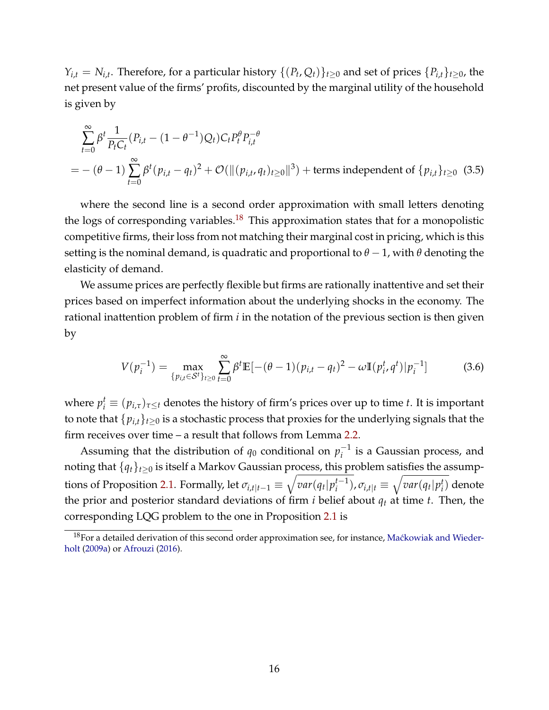$Y_{i,t} = N_{i,t}$ . Therefore, for a particular history  $\{(P_t, Q_t)\}_{t\geq 0}$  and set of prices  $\{P_{i,t}\}_{t\geq 0}$ , the net present value of the firms' profits, discounted by the marginal utility of the household is given by

$$
\sum_{t=0}^{\infty} \beta^{t} \frac{1}{P_{t}C_{t}} (P_{i,t} - (1 - \theta^{-1})Q_{t})C_{t} P_{t}^{\theta} P_{i,t}^{-\theta}
$$
\n
$$
= -(\theta - 1) \sum_{t=0}^{\infty} \beta^{t} (p_{i,t} - q_{t})^{2} + \mathcal{O}(\|(p_{i,t}, q_{t})_{t \ge 0}\|^{3}) + \text{terms independent of } \{p_{i,t}\}_{t \ge 0} \tag{3.5}
$$

where the second line is a second order approximation with small letters denoting the logs of corresponding variables.<sup>[18](#page-0-0)</sup> This approximation states that for a monopolistic competitive firms, their loss from not matching their marginal cost in pricing, which is this setting is the nominal demand, is quadratic and proportional to  $\theta$  − 1, with  $\theta$  denoting the elasticity of demand.

We assume prices are perfectly flexible but firms are rationally inattentive and set their prices based on imperfect information about the underlying shocks in the economy. The rational inattention problem of firm *i* in the notation of the previous section is then given by

$$
V(p_i^{-1}) = \max_{\{p_{i,t} \in \mathcal{S}^t\}_{t \ge 0}} \sum_{t=0}^{\infty} \beta^t \mathbb{E}[-(\theta - 1)(p_{i,t} - q_t)^2 - \omega \mathbb{I}(p_i^t, q^t) | p_i^{-1}]
$$
(3.6)

where  $p_i^t \equiv (p_{i,\tau})_{\tau\leq t}$  denotes the history of firm's prices over up to time *t*. It is important to note that  $\{p_{i,t}\}_{t\geq 0}$  is a stochastic process that proxies for the underlying signals that the firm receives over time – a result that follows from Lemma [2.2.](#page-6-2)

Assuming that the distribution of  $q_0$  conditional on  $p_i^{-1}$  $i^{-1}$  is a Gaussian process, and noting that  $\{q_t\}_{t\geq0}$  is itself a Markov Gaussian process, this problem satisfies the assump-tions of Proposition [2.1.](#page-7-1) Formally, let  $\sigma_{i,t|t-1} \equiv \sqrt{var(q_t|p_i^{t-1})}$  $\overline{a_{i}^{t-1}}$ ,  $\sigma_{i,t|t} \equiv \sqrt{var(q_t|p_i^t)}$ *i* ) denote the prior and posterior standard deviations of firm  $i$  belief about  $q_t$  at time  $t$ . Then, the corresponding LQG problem to the one in Proposition [2.1](#page-7-1) is

 $18$ For a detailed derivation of this second order approximation see, for instance, Maćkowiak and Wieder[holt](#page-38-0) [\(2009a\)](#page-38-0) or [Afrouzi](#page-35-0) [\(2016\)](#page-35-0).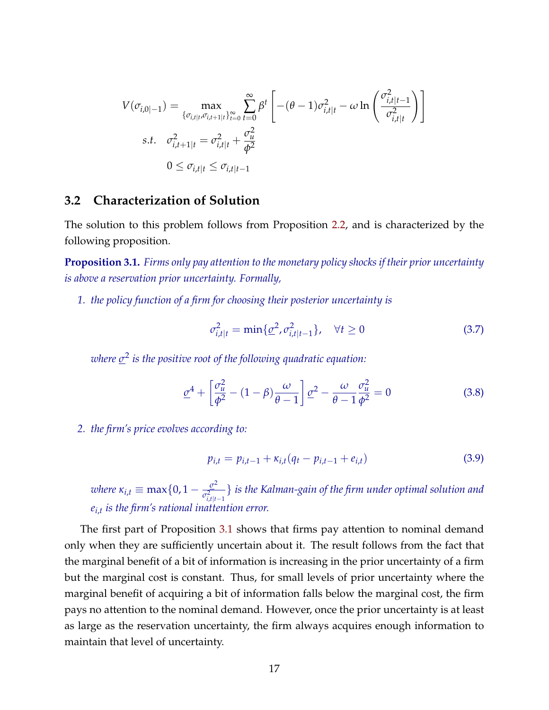$$
V(\sigma_{i,0|-1}) = \max_{\{\sigma_{i,t|t}, \sigma_{i,t+1|t}\}_{t=0}^{\infty}} \sum_{t=0}^{\infty} \beta^t \left[ -(\theta - 1)\sigma_{i,t|t}^2 - \omega \ln \left( \frac{\sigma_{i,t|t-1}^2}{\sigma_{i,t|t}^2} \right) \right]
$$
  
s.t.  $\sigma_{i,t+1|t}^2 = \sigma_{i,t|t}^2 + \frac{\sigma_u^2}{\phi^2}$   
 $0 \le \sigma_{i,t|t} \le \sigma_{i,t|t-1}$ 

### **3.2 Characterization of Solution**

The solution to this problem follows from Proposition [2.2,](#page-8-1) and is characterized by the following proposition.

<span id="page-16-0"></span>**Proposition 3.1.** *Firms only pay attention to the monetary policy shocks if their prior uncertainty is above a reservation prior uncertainty. Formally,*

*1. the policy function of a firm for choosing their posterior uncertainty is*

$$
\sigma_{i,t|t}^2 = \min\{\underline{\sigma}^2, \sigma_{i,t|t-1}^2\}, \quad \forall t \ge 0
$$
\n(3.7)

*where σ* 2 *is the positive root of the following quadratic equation:*

$$
\underline{\sigma}^4 + \left[\frac{\sigma_u^2}{\phi^2} - (1 - \beta)\frac{\omega}{\theta - 1}\right] \underline{\sigma}^2 - \frac{\omega}{\theta - 1} \frac{\sigma_u^2}{\phi^2} = 0 \tag{3.8}
$$

*2. the firm's price evolves according to:*

$$
p_{i,t} = p_{i,t-1} + \kappa_{i,t}(q_t - p_{i,t-1} + e_{i,t})
$$
\n(3.9)

*where*  $\kappa_{i,t} \equiv \max\{0, 1 - \frac{\sigma^2}{\sigma^2}\}$  $\sigma_{i,t|t-1}^2$ } *is the Kalman-gain of the firm under optimal solution and ei*,*t is the firm's rational inattention error.*

The first part of Proposition [3.1](#page-16-0) shows that firms pay attention to nominal demand only when they are sufficiently uncertain about it. The result follows from the fact that the marginal benefit of a bit of information is increasing in the prior uncertainty of a firm but the marginal cost is constant. Thus, for small levels of prior uncertainty where the marginal benefit of acquiring a bit of information falls below the marginal cost, the firm pays no attention to the nominal demand. However, once the prior uncertainty is at least as large as the reservation uncertainty, the firm always acquires enough information to maintain that level of uncertainty.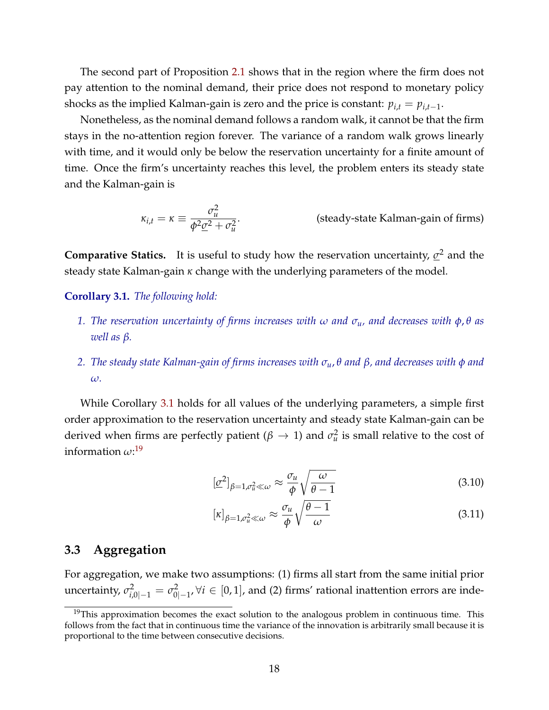The second part of Proposition [2.1](#page-7-1) shows that in the region where the firm does not pay attention to the nominal demand, their price does not respond to monetary policy shocks as the implied Kalman-gain is zero and the price is constant:  $p_{i,t} = p_{i,t-1}$ .

Nonetheless, as the nominal demand follows a random walk, it cannot be that the firm stays in the no-attention region forever. The variance of a random walk grows linearly with time, and it would only be below the reservation uncertainty for a finite amount of time. Once the firm's uncertainty reaches this level, the problem enters its steady state and the Kalman-gain is

<span id="page-17-1"></span>
$$
\kappa_{i,t} = \kappa \equiv \frac{\sigma_u^2}{\phi^2 \underline{\sigma}^2 + \sigma_u^2}.
$$
 (steady-state Kalman-gain of firms)

**Comparative Statics.** It is useful to study how the reservation uncertainty, *σ* <sup>2</sup> and the steady state Kalman-gain *κ* change with the underlying parameters of the model.

#### <span id="page-17-0"></span>**Corollary 3.1.** *The following hold:*

- *1. The reservation uncertainty of firms increases with ω and σu, and decreases with φ*, *θ as well as β.*
- *2. The steady state Kalman-gain of firms increases with σu*, *θ and β, and decreases with φ and ω.*

While Corollary [3.1](#page-17-0) holds for all values of the underlying parameters, a simple first order approximation to the reservation uncertainty and steady state Kalman-gain can be derived when firms are perfectly patient ( $\beta \rightarrow 1$ ) and  $\sigma_u^2$  is small relative to the cost of information *ω*: [19](#page-0-0)

$$
[\underline{\sigma}^2]_{\beta=1,\sigma_u^2\ll\omega} \approx \frac{\sigma_u}{\phi} \sqrt{\frac{\omega}{\theta-1}}
$$
(3.10)

$$
[\kappa]_{\beta=1,\sigma_u^2\ll\omega}\approx\frac{\sigma_u}{\phi}\sqrt{\frac{\theta-1}{\omega}}
$$
\n(3.11)

### **3.3 Aggregation**

For aggregation, we make two assumptions: (1) firms all start from the same initial prior uncertainty,  $\sigma^2_{i,0|-1} = \sigma^2_0$ 0|−1 , ∀*i* ∈ [0, 1], and (2) firms' rational inattention errors are inde-

 $19$ This approximation becomes the exact solution to the analogous problem in continuous time. This follows from the fact that in continuous time the variance of the innovation is arbitrarily small because it is proportional to the time between consecutive decisions.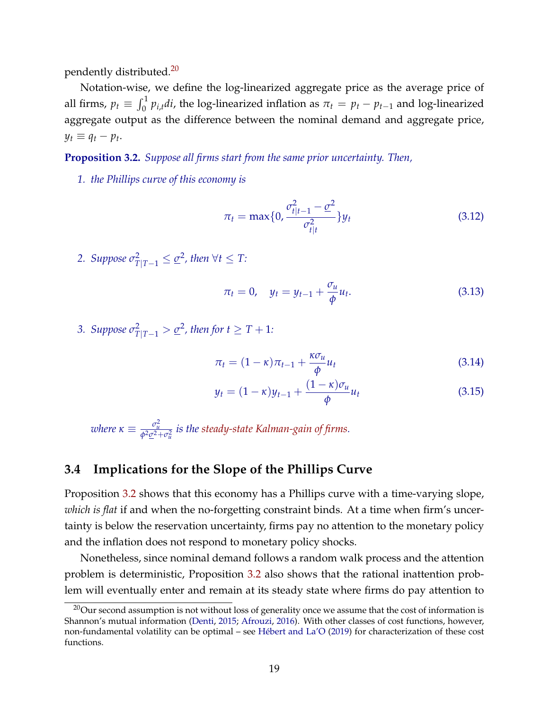pendently distributed.[20](#page-0-0)

Notation-wise, we define the log-linearized aggregate price as the average price of all firms,  $p_t \equiv \int_0^1 p_{i,t} dt$ , the log-linearized inflation as  $\pi_t = p_t - p_{t-1}$  and log-linearized aggregate output as the difference between the nominal demand and aggregate price,  $y_t \equiv q_t - p_t$ .

<span id="page-18-0"></span>**Proposition 3.2.** *Suppose all firms start from the same prior uncertainty. Then,*

*1. the Phillips curve of this economy is*

$$
\pi_t = \max\{0, \frac{\sigma_{t|t-1}^2 - \underline{\sigma}^2}{\sigma_{t|t}^2}\} y_t
$$
\n(3.12)

2. Suppose  $\sigma_{T|T-1}^2 \leq \underline{\sigma}^2$ , then  $\forall t \leq T$ :

$$
\pi_t = 0, \quad y_t = y_{t-1} + \frac{\sigma_u}{\phi} u_t.
$$
\n(3.13)

3. Suppose  $\sigma_{T|T-1}^2 > \underline{\sigma}^2$ , then for  $t \geq T+1$ :

$$
\pi_t = (1 - \kappa)\pi_{t-1} + \frac{\kappa \sigma_u}{\phi} u_t \tag{3.14}
$$

$$
y_t = (1 - \kappa)y_{t-1} + \frac{(1 - \kappa)\sigma_u}{\phi}u_t
$$
\n(3.15)

 $\omega$ here  $\kappa \equiv \frac{\sigma_u^2}{\phi^2 \underline{\sigma}^2 + \sigma_u^2}$  is the [steady-state Kalman-gain of firms.](#page-17-1)

### **3.4 Implications for the Slope of the Phillips Curve**

Proposition [3.2](#page-18-0) shows that this economy has a Phillips curve with a time-varying slope, *which is flat* if and when the no-forgetting constraint binds. At a time when firm's uncertainty is below the reservation uncertainty, firms pay no attention to the monetary policy and the inflation does not respond to monetary policy shocks.

Nonetheless, since nominal demand follows a random walk process and the attention problem is deterministic, Proposition [3.2](#page-18-0) also shows that the rational inattention problem will eventually enter and remain at its steady state where firms do pay attention to

<sup>&</sup>lt;sup>20</sup>Our second assumption is not without loss of generality once we assume that the cost of information is Shannon's mutual information [\(Denti,](#page-37-15) [2015;](#page-37-15) [Afrouzi,](#page-35-0) [2016\)](#page-35-0). With other classes of cost functions, however, non-fundamental volatility can be optimal – see [Hébert and La'O](#page-37-16) [\(2019\)](#page-37-16) for characterization of these cost functions.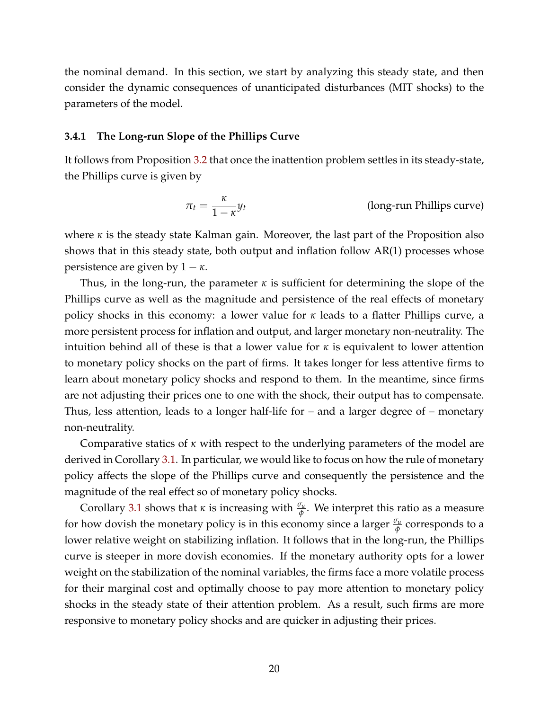the nominal demand. In this section, we start by analyzing this steady state, and then consider the dynamic consequences of unanticipated disturbances (MIT shocks) to the parameters of the model.

#### **3.4.1 The Long-run Slope of the Phillips Curve**

It follows from Proposition [3.2](#page-18-0) that once the inattention problem settles in its steady-state, the Phillips curve is given by

$$
\pi_t = \frac{\kappa}{1 - \kappa} y_t
$$
 (long-run Phillips curve)

where *κ* is the steady state Kalman gain. Moreover, the last part of the Proposition also shows that in this steady state, both output and inflation follow AR(1) processes whose persistence are given by  $1 - \kappa$ .

Thus, in the long-run, the parameter *κ* is sufficient for determining the slope of the Phillips curve as well as the magnitude and persistence of the real effects of monetary policy shocks in this economy: a lower value for *κ* leads to a flatter Phillips curve, a more persistent process for inflation and output, and larger monetary non-neutrality. The intuition behind all of these is that a lower value for  $\kappa$  is equivalent to lower attention to monetary policy shocks on the part of firms. It takes longer for less attentive firms to learn about monetary policy shocks and respond to them. In the meantime, since firms are not adjusting their prices one to one with the shock, their output has to compensate. Thus, less attention, leads to a longer half-life for – and a larger degree of – monetary non-neutrality.

Comparative statics of *κ* with respect to the underlying parameters of the model are derived in Corollary [3.1.](#page-17-0) In particular, we would like to focus on how the rule of monetary policy affects the slope of the Phillips curve and consequently the persistence and the magnitude of the real effect so of monetary policy shocks.

Corollary [3.1](#page-17-0) shows that *κ* is increasing with  $\frac{\sigma_u}{\phi}$ . We interpret this ratio as a measure for how dovish the monetary policy is in this economy since a larger  $\frac{\sigma_u}{\phi}$  corresponds to a lower relative weight on stabilizing inflation. It follows that in the long-run, the Phillips curve is steeper in more dovish economies. If the monetary authority opts for a lower weight on the stabilization of the nominal variables, the firms face a more volatile process for their marginal cost and optimally choose to pay more attention to monetary policy shocks in the steady state of their attention problem. As a result, such firms are more responsive to monetary policy shocks and are quicker in adjusting their prices.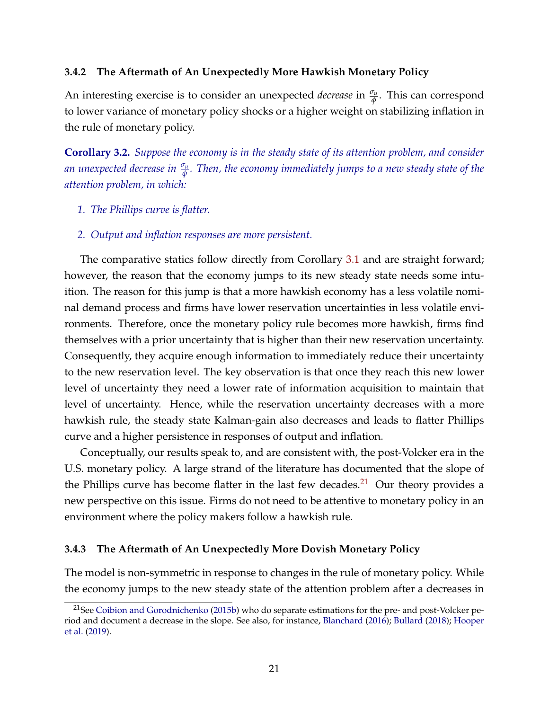#### **3.4.2 The Aftermath of An Unexpectedly More Hawkish Monetary Policy**

An interesting exercise is to consider an unexpected *decrease* in  $\frac{\sigma_u}{\phi}$ . This can correspond to lower variance of monetary policy shocks or a higher weight on stabilizing inflation in the rule of monetary policy.

<span id="page-20-0"></span>**Corollary 3.2.** *Suppose the economy is in the steady state of its attention problem, and consider an unexpected decrease in <sup>σ</sup><sup>u</sup> φ . Then, the economy immediately jumps to a new steady state of the attention problem, in which:*

- *1. The Phillips curve is flatter.*
- *2. Output and inflation responses are more persistent.*

The comparative statics follow directly from Corollary [3.1](#page-17-0) and are straight forward; however, the reason that the economy jumps to its new steady state needs some intuition. The reason for this jump is that a more hawkish economy has a less volatile nominal demand process and firms have lower reservation uncertainties in less volatile environments. Therefore, once the monetary policy rule becomes more hawkish, firms find themselves with a prior uncertainty that is higher than their new reservation uncertainty. Consequently, they acquire enough information to immediately reduce their uncertainty to the new reservation level. The key observation is that once they reach this new lower level of uncertainty they need a lower rate of information acquisition to maintain that level of uncertainty. Hence, while the reservation uncertainty decreases with a more hawkish rule, the steady state Kalman-gain also decreases and leads to flatter Phillips curve and a higher persistence in responses of output and inflation.

Conceptually, our results speak to, and are consistent with, the post-Volcker era in the U.S. monetary policy. A large strand of the literature has documented that the slope of the Phillips curve has become flatter in the last few decades.<sup>[21](#page-0-0)</sup> Our theory provides a new perspective on this issue. Firms do not need to be attentive to monetary policy in an environment where the policy makers follow a hawkish rule.

#### **3.4.3 The Aftermath of An Unexpectedly More Dovish Monetary Policy**

The model is non-symmetric in response to changes in the rule of monetary policy. While the economy jumps to the new steady state of the attention problem after a decreases in

<sup>&</sup>lt;sup>21</sup>See [Coibion and Gorodnichenko](#page-36-0) [\(2015b\)](#page-36-0) who do separate estimations for the pre- and post-Volcker period and document a decrease in the slope. See also, for instance, [Blanchard](#page-36-1) [\(2016\)](#page-36-1); [Bullard](#page-36-2) [\(2018\)](#page-36-2); [Hooper](#page-37-0) [et al.](#page-37-0) [\(2019\)](#page-37-0).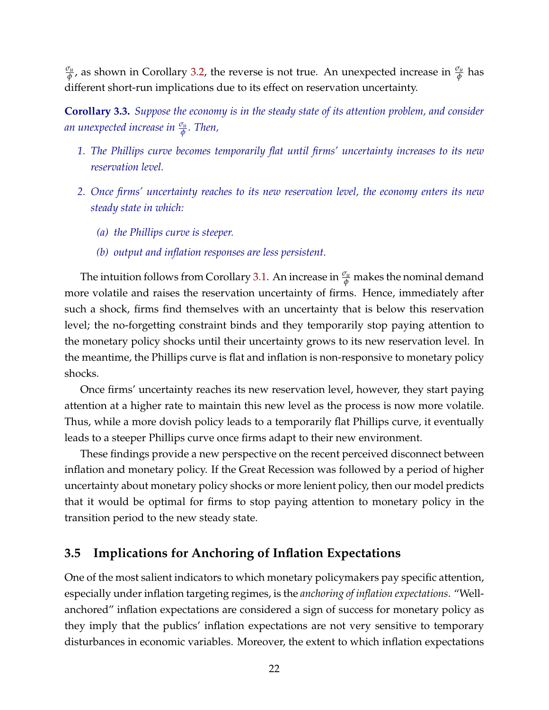*σu*  $\frac{\sigma_{\mu}}{\phi}$ , as shown in Corollary [3.2,](#page-20-0) the reverse is not true. An unexpected increase in  $\frac{\sigma_{\mu}}{\phi}$  has different short-run implications due to its effect on reservation uncertainty.

<span id="page-21-0"></span>**Corollary 3.3.** *Suppose the economy is in the steady state of its attention problem, and consider an unexpected increase in <sup>σ</sup><sup>u</sup> φ . Then,*

- *1. The Phillips curve becomes temporarily flat until firms' uncertainty increases to its new reservation level.*
- *2. Once firms' uncertainty reaches to its new reservation level, the economy enters its new steady state in which:*
	- *(a) the Phillips curve is steeper.*
	- *(b) output and inflation responses are less persistent.*

The intuition follows from Corollary [3.1.](#page-17-0) An increase in *<sup>σ</sup><sup>u</sup> <sup>φ</sup>* makes the nominal demand more volatile and raises the reservation uncertainty of firms. Hence, immediately after such a shock, firms find themselves with an uncertainty that is below this reservation level; the no-forgetting constraint binds and they temporarily stop paying attention to the monetary policy shocks until their uncertainty grows to its new reservation level. In the meantime, the Phillips curve is flat and inflation is non-responsive to monetary policy shocks.

Once firms' uncertainty reaches its new reservation level, however, they start paying attention at a higher rate to maintain this new level as the process is now more volatile. Thus, while a more dovish policy leads to a temporarily flat Phillips curve, it eventually leads to a steeper Phillips curve once firms adapt to their new environment.

These findings provide a new perspective on the recent perceived disconnect between inflation and monetary policy. If the Great Recession was followed by a period of higher uncertainty about monetary policy shocks or more lenient policy, then our model predicts that it would be optimal for firms to stop paying attention to monetary policy in the transition period to the new steady state.

### **3.5 Implications for Anchoring of Inflation Expectations**

One of the most salient indicators to which monetary policymakers pay specific attention, especially under inflation targeting regimes, is the *anchoring of inflation expectations*. "Wellanchored" inflation expectations are considered a sign of success for monetary policy as they imply that the publics' inflation expectations are not very sensitive to temporary disturbances in economic variables. Moreover, the extent to which inflation expectations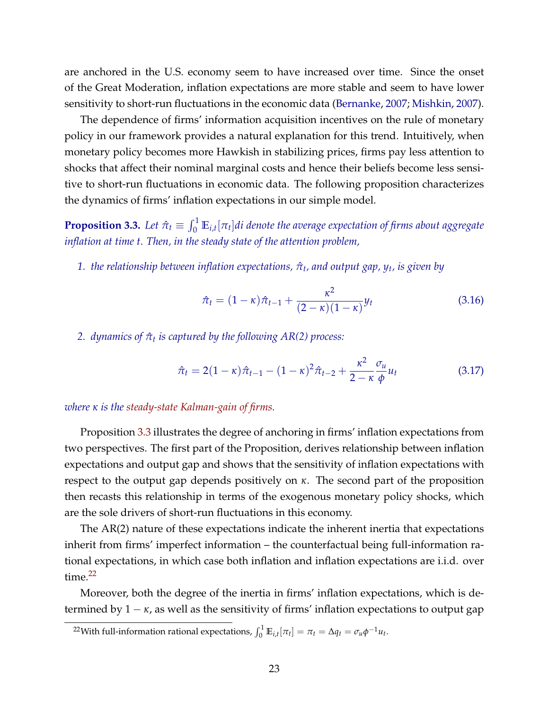are anchored in the U.S. economy seem to have increased over time. Since the onset of the Great Moderation, inflation expectations are more stable and seem to have lower sensitivity to short-run fluctuations in the economic data [\(Bernanke,](#page-36-11) [2007;](#page-36-11) [Mishkin,](#page-39-16) [2007\)](#page-39-16).

The dependence of firms' information acquisition incentives on the rule of monetary policy in our framework provides a natural explanation for this trend. Intuitively, when monetary policy becomes more Hawkish in stabilizing prices, firms pay less attention to shocks that affect their nominal marginal costs and hence their beliefs become less sensitive to short-run fluctuations in economic data. The following proposition characterizes the dynamics of firms' inflation expectations in our simple model.

<span id="page-22-0"></span>**Proposition 3.3.** Let  $\hat{\pi}_t \equiv \int_0^1 \mathbb{E}_{i,t}[\pi_t] dt$  denote the average expectation of firms about aggregate *inflation at time t. Then, in the steady state of the attention problem,*

*1. the relationship between inflation expectations, π*ˆ*<sup>t</sup> , and output gap, y<sup>t</sup> , is given by*

$$
\hat{\pi}_t = (1 - \kappa)\hat{\pi}_{t-1} + \frac{\kappa^2}{(2 - \kappa)(1 - \kappa)}y_t
$$
\n(3.16)

*2. dynamics of π*ˆ*<sup>t</sup> is captured by the following AR(2) process:*

$$
\hat{\pi}_t = 2(1 - \kappa)\hat{\pi}_{t-1} - (1 - \kappa)^2 \hat{\pi}_{t-2} + \frac{\kappa^2}{2 - \kappa} \frac{\sigma_u}{\phi} u_t \tag{3.17}
$$

*where κ is the [steady-state Kalman-gain of firms.](#page-17-1)*

Proposition [3.3](#page-22-0) illustrates the degree of anchoring in firms' inflation expectations from two perspectives. The first part of the Proposition, derives relationship between inflation expectations and output gap and shows that the sensitivity of inflation expectations with respect to the output gap depends positively on *κ*. The second part of the proposition then recasts this relationship in terms of the exogenous monetary policy shocks, which are the sole drivers of short-run fluctuations in this economy.

The AR(2) nature of these expectations indicate the inherent inertia that expectations inherit from firms' imperfect information – the counterfactual being full-information rational expectations, in which case both inflation and inflation expectations are i.i.d. over time. $22$ 

Moreover, both the degree of the inertia in firms' inflation expectations, which is determined by 1 − *κ*, as well as the sensitivity of firms' inflation expectations to output gap

<sup>&</sup>lt;sup>22</sup>With full-information rational expectations,  $\int_0^1 \mathbb{E}_{i,t}[\pi_t] = \pi_t = \Delta q_t = \sigma_u \phi^{-1} u_t$ .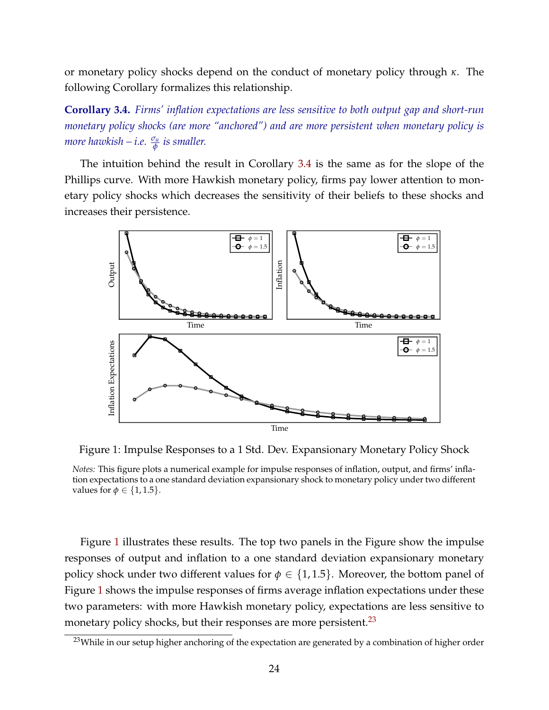or monetary policy shocks depend on the conduct of monetary policy through *κ*. The following Corollary formalizes this relationship.

<span id="page-23-0"></span>**Corollary 3.4.** *Firms' inflation expectations are less sensitive to both output gap and short-run monetary policy shocks (are more "anchored") and are more persistent when monetary policy is more hawkish – i.e. <sup>σ</sup><sup>u</sup> φ is smaller.*

The intuition behind the result in Corollary [3.4](#page-23-0) is the same as for the slope of the Phillips curve. With more Hawkish monetary policy, firms pay lower attention to monetary policy shocks which decreases the sensitivity of their beliefs to these shocks and increases their persistence.

<span id="page-23-1"></span>

Figure 1: Impulse Responses to a 1 Std. Dev. Expansionary Monetary Policy Shock

*Notes:* This figure plots a numerical example for impulse responses of inflation, output, and firms' inflation expectations to a one standard deviation expansionary shock to monetary policy under two different values for  $\phi \in \{1, 1.5\}$ .

Figure [1](#page-23-1) illustrates these results. The top two panels in the Figure show the impulse responses of output and inflation to a one standard deviation expansionary monetary policy shock under two different values for  $\phi \in \{1, 1.5\}$ . Moreover, the bottom panel of Figure [1](#page-23-1) shows the impulse responses of firms average inflation expectations under these two parameters: with more Hawkish monetary policy, expectations are less sensitive to monetary policy shocks, but their responses are more persistent.<sup>[23](#page-0-0)</sup>

<sup>&</sup>lt;sup>23</sup>While in our setup higher anchoring of the expectation are generated by a combination of higher order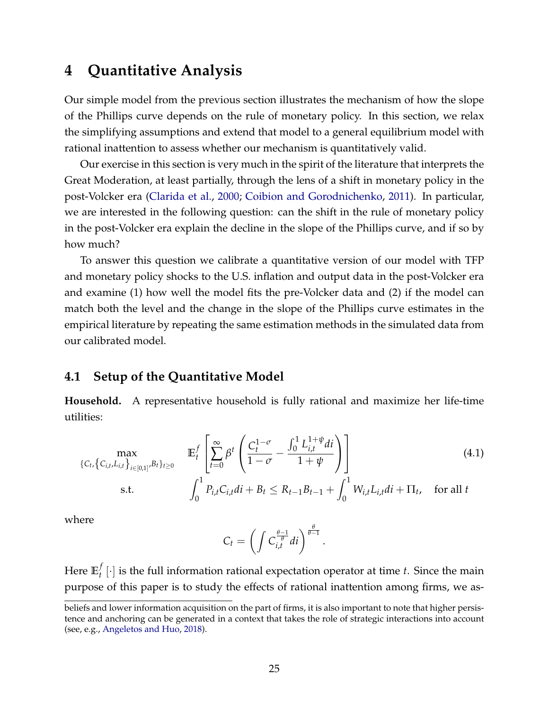## <span id="page-24-0"></span>**4 Quantitative Analysis**

Our simple model from the previous section illustrates the mechanism of how the slope of the Phillips curve depends on the rule of monetary policy. In this section, we relax the simplifying assumptions and extend that model to a general equilibrium model with rational inattention to assess whether our mechanism is quantitatively valid.

Our exercise in this section is very much in the spirit of the literature that interprets the Great Moderation, at least partially, through the lens of a shift in monetary policy in the post-Volcker era [\(Clarida et al.,](#page-36-3) [2000;](#page-36-3) [Coibion and Gorodnichenko,](#page-36-4) [2011\)](#page-36-4). In particular, we are interested in the following question: can the shift in the rule of monetary policy in the post-Volcker era explain the decline in the slope of the Phillips curve, and if so by how much?

To answer this question we calibrate a quantitative version of our model with TFP and monetary policy shocks to the U.S. inflation and output data in the post-Volcker era and examine (1) how well the model fits the pre-Volcker data and (2) if the model can match both the level and the change in the slope of the Phillips curve estimates in the empirical literature by repeating the same estimation methods in the simulated data from our calibrated model.

### **4.1 Setup of the Quantitative Model**

**Household.** A representative household is fully rational and maximize her life-time utilities:

$$
\max_{\{C_{t}, \{C_{i,t}, L_{i,t}\}_{i \in [0,1]}, B_{t}\}_{t \geq 0}} \mathbb{E}_{t}^{f} \left[ \sum_{t=0}^{\infty} \beta^{t} \left( \frac{C_{t}^{1-\sigma}}{1-\sigma} - \frac{\int_{0}^{1} L_{i,t}^{1+\psi} di}{1+\psi} \right) \right]
$$
\ns.t. 
$$
\int_{0}^{1} P_{i,t} C_{i,t} di + B_{t} \leq R_{t-1} B_{t-1} + \int_{0}^{1} W_{i,t} L_{i,t} di + \Pi_{t}, \text{ for all } t
$$
\n(4.1)

where

<span id="page-24-1"></span>
$$
C_t = \left(\int C_{i,t}^{\frac{\theta-1}{\theta}}di\right)^{\frac{\theta}{\theta-1}}.
$$

Here **E** *f*  $\mathcal{F}_t^f$  [ $\cdot$ ] is the full information rational expectation operator at time *t*. Since the main purpose of this paper is to study the effects of rational inattention among firms, we as-

beliefs and lower information acquisition on the part of firms, it is also important to note that higher persistence and anchoring can be generated in a context that takes the role of strategic interactions into account (see, e.g., [Angeletos and Huo,](#page-35-3) [2018\)](#page-35-3).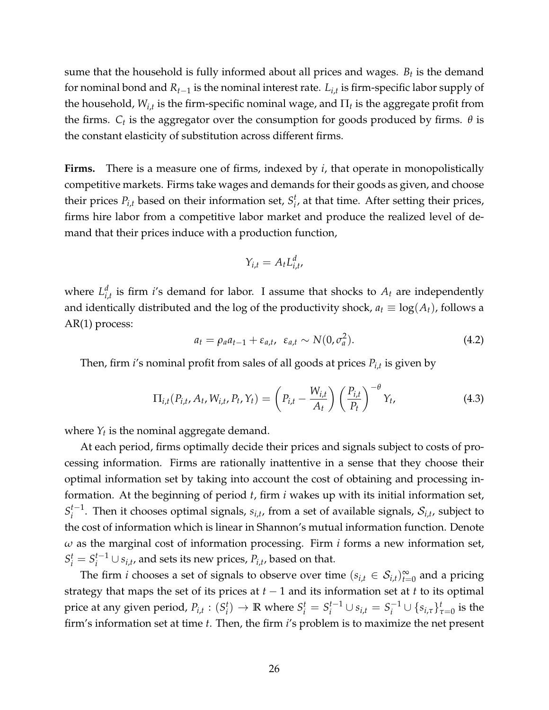sume that the household is fully informed about all prices and wages.  $B_t$  is the demand for nominal bond and *Rt*−<sup>1</sup> is the nominal interest rate. *Li*,*<sup>t</sup>* is firm-specific labor supply of the household,  $W_{i,t}$  is the firm-specific nominal wage, and  $\Pi_t$  is the aggregate profit from the firms.  $C_t$  is the aggregator over the consumption for goods produced by firms.  $\theta$  is the constant elasticity of substitution across different firms.

**Firms.** There is a measure one of firms, indexed by *i*, that operate in monopolistically competitive markets. Firms take wages and demands for their goods as given, and choose their prices  $P_{i,t}$  based on their information set,  $S_i^t$  $i<sub>i</sub>$ , at that time. After setting their prices, firms hire labor from a competitive labor market and produce the realized level of demand that their prices induce with a production function,

$$
Y_{i,t} = A_t L_{i,t}^d,
$$

where  $L_i^d$  $\sum_{i,t}^{d}$  is firm *i*'s demand for labor. I assume that shocks to  $A_t$  are independently and identically distributed and the log of the productivity shock,  $a_t \equiv \log(A_t)$ , follows a AR(1) process:

$$
a_t = \rho_a a_{t-1} + \varepsilon_{a,t}, \ \varepsilon_{a,t} \sim N(0, \sigma_a^2). \tag{4.2}
$$

Then, firm *i*'s nominal profit from sales of all goods at prices *Pi*,*<sup>t</sup>* is given by

<span id="page-25-0"></span>
$$
\Pi_{i,t}(P_{i,t}, A_t, W_{i,t}, P_t, Y_t) = \left(P_{i,t} - \frac{W_{i,t}}{A_t}\right) \left(\frac{P_{i,t}}{P_t}\right)^{-\theta} Y_t,
$$
\n(4.3)

where  $Y_t$  is the nominal aggregate demand.

At each period, firms optimally decide their prices and signals subject to costs of processing information. Firms are rationally inattentive in a sense that they choose their optimal information set by taking into account the cost of obtaining and processing information. At the beginning of period *t*, firm *i* wakes up with its initial information set,  $S_i^{t-1}$  $i$ <sup>t-1</sup>. Then it chooses optimal signals,  $s_{i,t}$ , from a set of available signals,  $\mathcal{S}_{i,t}$ , subject to the cost of information which is linear in Shannon's mutual information function. Denote *ω* as the marginal cost of information processing. Firm *i* forms a new information set,  $S_i^t = S_i^{t-1}$  $j_i^{t-1}$  ∪  $s_{i,t}$ , and sets its new prices,  $P_{i,t}$ , based on that.

The firm *i* chooses a set of signals to observe over time  $(s_{i,t} \in S_{i,t})_{t=0}^{\infty}$  and a pricing strategy that maps the set of its prices at  $t-1$  and its information set at  $t$  to its optimal price at any given period,  $P_{i,t}$ :  $(S_i^t)$  $\mathbf{F}_i^t$   $\rightarrow$  **R** where  $S_i^t = S_i^{t-1}$  $i^{t-1}$  ∪  $s_{i,t} = S_i^{-1}$  $\frac{1}{i}$   $\cup$   $\{s_{i,\tau}\}_{\tau=0}^{t}$  is the firm's information set at time *t*. Then, the firm *i*'s problem is to maximize the net present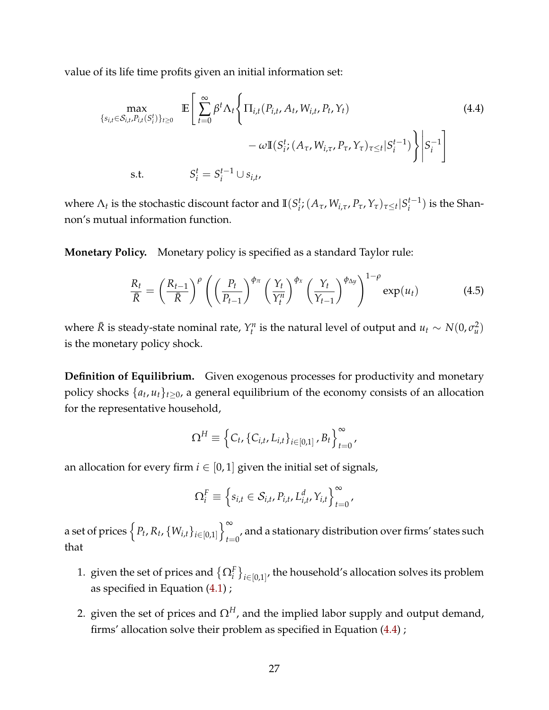value of its life time profits given an initial information set:

<span id="page-26-0"></span>
$$
\max_{\{s_{i,t} \in \mathcal{S}_{i,t}, P_{i,t}(S_i^t)\}_{t \ge 0}} \mathbb{E}\left[\sum_{t=0}^{\infty} \beta^t \Lambda_t \left\{\Pi_{i,t}(P_{i,t}, A_t, W_{i,t}, P_t, Y_t) -\omega \mathbb{I}(S_i^t; (A_\tau, W_{i,\tau}, P_\tau, Y_\tau)_{\tau \le t} | S_i^{t-1})\right\}\bigg| S_i^{-1}\right]
$$
\ns.t.  $S_i^t = S_i^{t-1} \cup s_{i,t}$ , (4.4)

where  $\Lambda_t$  is the stochastic discount factor and  $\mathbb{I}(S_i^t)$  $i$  *i*</sub>;  $(A_{\tau}, W_{i,\tau}, P_{\tau}, Y_{\tau})_{\tau \leq t} | S_i^{t-1}$  $i^{t-1}$ ) is the Shannon's mutual information function.

**Monetary Policy.** Monetary policy is specified as a standard Taylor rule:

<span id="page-26-1"></span>
$$
\frac{R_t}{\bar{R}} = \left(\frac{R_{t-1}}{\bar{R}}\right)^{\rho} \left(\left(\frac{P_t}{P_{t-1}}\right)^{\phi_{\pi}} \left(\frac{Y_t}{Y_t^n}\right)^{\phi_{\chi}} \left(\frac{Y_t}{Y_{t-1}}\right)^{\phi_{\Delta y}}\right)^{1-\rho} \exp(u_t) \tag{4.5}
$$

where  $\bar{R}$  is steady-state nominal rate,  $Y_t^n$  is the natural level of output and  $u_t \sim N(0, \sigma_u^2)$ is the monetary policy shock.

**Definition of Equilibrium.** Given exogenous processes for productivity and monetary policy shocks {*a<sup>t</sup>* , *ut*}*t*≥0, a general equilibrium of the economy consists of an allocation for the representative household,

$$
\Omega^H \equiv \left\{ C_t, \{C_{i,t}, L_{i,t}\}_{i \in [0,1]}, B_t \right\}_{t=0}^{\infty},
$$

an allocation for every firm  $i \in [0, 1]$  given the initial set of signals,

$$
\Omega_i^F \equiv \left\{ s_{i,t} \in \mathcal{S}_{i,t}, P_{i,t}, L_{i,t}^d, Y_{i,t} \right\}_{t=0}^{\infty},
$$

a set of prices  $\left\{P_t, R_t, \{W_{i,t}\}_{i \in [0,1]}\right\}_{t=1}^{\infty}$  $_{t=0}^{\prime}$ , and a stationary distribution over firms' states such that

- 1. given the set of prices and  $\{\Omega^F_i\}_{i\in[0,1]},$  the household's allocation solves its problem as specified in Equation [\(4.1\)](#page-24-1) ;
- 2. given the set of prices and  $\Omega^H$ , and the implied labor supply and output demand, firms' allocation solve their problem as specified in Equation [\(4.4\)](#page-26-0) ;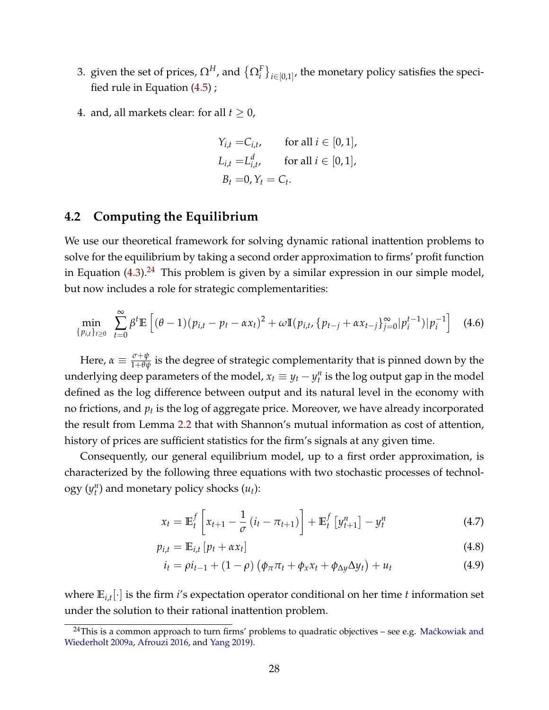- 3. given the set of prices,  $\Omega^H$ , and  $\big\{\Omega^F_i\big\}_{i\in[0,1]'}$ , the monetary policy satisfies the specified rule in Equation [\(4.5\)](#page-26-1) ;
- 4. and, all markets clear: for all  $t \geq 0$ ,

$$
Y_{i,t} = C_{i,t}, \quad \text{for all } i \in [0,1],
$$
  
\n
$$
L_{i,t} = L_{i,t}^d, \quad \text{for all } i \in [0,1],
$$
  
\n
$$
B_t = 0, Y_t = C_t.
$$

### <span id="page-27-1"></span>**4.2 Computing the Equilibrium**

We use our theoretical framework for solving dynamic rational inattention problems to solve for the equilibrium by taking a second order approximation to firms' profit function in Equation  $(4.3)$ .<sup>[24](#page-0-0)</sup> This problem is given by a similar expression in our simple model, but now includes a role for strategic complementarities:

$$
\min_{\{p_{i,t}\}_{t\geq 0}} \sum_{t=0}^{\infty} \beta^t \mathbb{E}\left[ (\theta - 1)(p_{i,t} - p_t - \alpha x_t)^2 + \omega \mathbb{I}(p_{i,t}, \{p_{t-j} + \alpha x_{t-j}\}_{j=0}^{\infty} | p_i^{t-1}) | p_i^{-1} \right] \tag{4.6}
$$

Here,  $\alpha \equiv \frac{\sigma + \psi}{1+\theta \psi}$  is the degree of strategic complementarity that is pinned down by the underlying deep parameters of the model,  $x_t \equiv y_t - y_t^n$  is the log output gap in the model defined as the log difference between output and its natural level in the economy with no frictions*,* and  $p_t$  is the log of aggregate price. Moreover, we have already incorporated the result from Lemma [2.2](#page-6-2) that with Shannon's mutual information as cost of attention, history of prices are sufficient statistics for the firm's signals at any given time.

Consequently, our general equilibrium model, up to a first order approximation, is characterized by the following three equations with two stochastic processes of technol- $\log y(y_t^n)$  and monetary policy shocks  $(u_t)$ :

$$
x_{t} = \mathbb{E}_{t}^{f} \left[ x_{t+1} - \frac{1}{\sigma} \left( i_{t} - \pi_{t+1} \right) \right] + \mathbb{E}_{t}^{f} \left[ y_{t+1}^{n} \right] - y_{t}^{n}
$$
 (4.7)

$$
p_{i,t} = \mathbb{E}_{i,t} \left[ p_t + \alpha x_t \right] \tag{4.8}
$$

<span id="page-27-0"></span>
$$
i_t = \rho i_{t-1} + (1 - \rho) \left( \phi_\pi \pi_t + \phi_x x_t + \phi_{\Delta y} \Delta y_t \right) + u_t \tag{4.9}
$$

where **E***i*,*<sup>t</sup>* [·] is the firm *i*'s expectation operator conditional on her time *t* information set under the solution to their rational inattention problem.

 $24$ This is a common approach to turn firms' problems to quadratic objectives – see e.g. Maćkowiak and [Wiederholt](#page-38-0) [2009a,](#page-38-0) [Afrouzi](#page-35-0) [2016,](#page-35-0) and [Yang](#page-40-2) [2019\)](#page-40-2).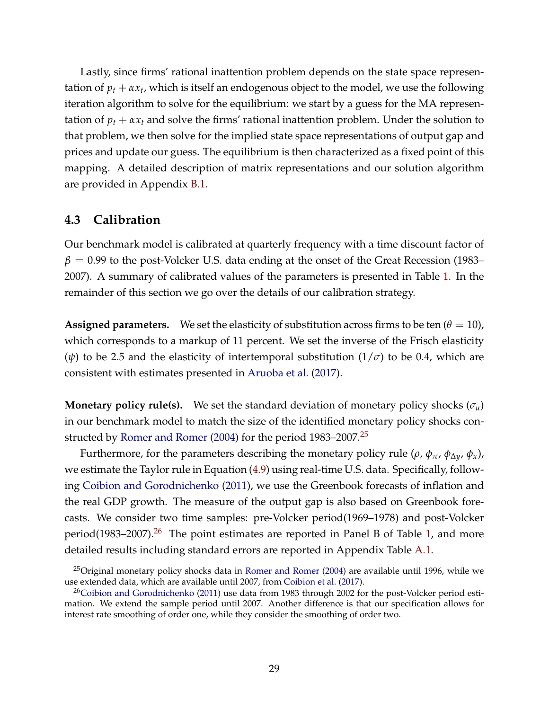Lastly, since firms' rational inattention problem depends on the state space representation of  $p_t + \alpha x_t$ , which is itself an endogenous object to the model, we use the following iteration algorithm to solve for the equilibrium: we start by a guess for the MA representation of  $p_t + \alpha x_t$  and solve the firms' rational inattention problem. Under the solution to that problem, we then solve for the implied state space representations of output gap and prices and update our guess. The equilibrium is then characterized as a fixed point of this mapping. A detailed description of matrix representations and our solution algorithm are provided in Appendix [B.1.](#page-54-0)

### <span id="page-28-0"></span>**4.3 Calibration**

Our benchmark model is calibrated at quarterly frequency with a time discount factor of  $\beta$  = 0.99 to the post-Volcker U.S. data ending at the onset of the Great Recession (1983– 2007). A summary of calibrated values of the parameters is presented in Table [1.](#page-29-0) In the remainder of this section we go over the details of our calibration strategy.

**Assigned parameters.** We set the elasticity of substitution across firms to be ten  $(\theta = 10)$ , which corresponds to a markup of 11 percent. We set the inverse of the Frisch elasticity ( $\psi$ ) to be 2.5 and the elasticity of intertemporal substitution ( $1/\sigma$ ) to be 0.4, which are consistent with estimates presented in [Aruoba et al.](#page-36-12) [\(2017\)](#page-36-12).

**Monetary policy rule(s).** We set the standard deviation of monetary policy shocks  $(\sigma_u)$ in our benchmark model to match the size of the identified monetary policy shocks con-structed by [Romer and Romer](#page-40-13) [\(2004\)](#page-40-13) for the period 1983–2007.<sup>[25](#page-0-0)</sup>

Furthermore, for the parameters describing the monetary policy rule ( $\rho$ ,  $\phi_{\pi}$ ,  $\phi_{\Delta y}$ ,  $\phi_{x}$ ), we estimate the Taylor rule in Equation [\(4.9\)](#page-27-0) using real-time U.S. data. Specifically, following [Coibion and Gorodnichenko](#page-36-4) [\(2011\)](#page-36-4), we use the Greenbook forecasts of inflation and the real GDP growth. The measure of the output gap is also based on Greenbook forecasts. We consider two time samples: pre-Volcker period(1969–1978) and post-Volcker period(1983–2007).<sup>[26](#page-0-0)</sup> The point estimates are reported in Panel B of Table [1,](#page-29-0) and more detailed results including standard errors are reported in Appendix Table [A.1.](#page-57-0)

 $^{25}$ Original monetary policy shocks data in [Romer and Romer](#page-40-13) [\(2004\)](#page-40-13) are available until 1996, while we use extended data, which are available until 2007, from [Coibion et al.](#page-36-13) [\(2017\)](#page-36-13).

<sup>&</sup>lt;sup>26</sup>[Coibion and Gorodnichenko](#page-36-4) [\(2011\)](#page-36-4) use data from 1983 through 2002 for the post-Volcker period estimation. We extend the sample period until 2007. Another difference is that our specification allows for interest rate smoothing of order one, while they consider the smoothing of order two.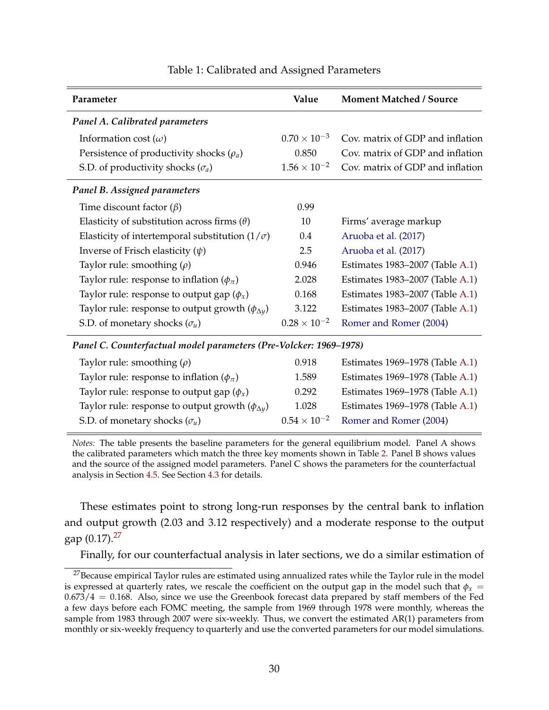<span id="page-29-0"></span>

| Parameter                                                                                                                           | Value                                     | <b>Moment Matched / Source</b>   |
|-------------------------------------------------------------------------------------------------------------------------------------|-------------------------------------------|----------------------------------|
| Panel A. Calibrated parameters                                                                                                      |                                           |                                  |
| Information cost $(\omega)$                                                                                                         | $0.70 \times 10^{-3}$                     | Cov. matrix of GDP and inflation |
| Persistence of productivity shocks $(\rho_a)$                                                                                       | 0.850                                     | Cov. matrix of GDP and inflation |
| S.D. of productivity shocks $(\sigma_a)$                                                                                            | $1.56 \times 10^{-2}$                     | Cov. matrix of GDP and inflation |
| <b>Panel B. Assigned parameters</b>                                                                                                 |                                           |                                  |
| Time discount factor $(\beta)$                                                                                                      | 0.99                                      |                                  |
| Elasticity of substitution across firms $(\theta)$                                                                                  | 10                                        | Firms' average markup            |
| Elasticity of intertemporal substitution $(1/\sigma)$                                                                               | 0.4                                       | Aruoba et al. (2017)             |
| Inverse of Frisch elasticity $(\psi)$                                                                                               | 2.5                                       | Aruoba et al. (2017)             |
| Taylor rule: smoothing $(\rho)$                                                                                                     | 0.946                                     | Estimates 1983-2007 (Table A.1)  |
| Taylor rule: response to inflation $(\phi_{\pi})$                                                                                   | 2.028                                     | Estimates 1983–2007 (Table A.1)  |
| Taylor rule: response to output gap $(\phi_x)$                                                                                      | 0.168                                     | Estimates 1983–2007 (Table A.1)  |
| Taylor rule: response to output growth $(\phi_{\Delta y})$                                                                          | 3.122                                     | Estimates 1983–2007 (Table A.1)  |
| S.D. of monetary shocks $(\sigma_u)$                                                                                                | $0.28 \times 10^{-2}$                     | Romer and Romer (2004)           |
| Panel C. Counterfactual model parameters (Pre-Volcker: 1969–1978)                                                                   |                                           |                                  |
| $\mathbf{r}$ and $\mathbf{r}$ and $\mathbf{r}$ and $\mathbf{r}$ and $\mathbf{r}$ and $\mathbf{r}$ and $\mathbf{r}$ and $\mathbf{r}$ | $\sim$ $\sim$ $\sim$ $\sim$ $\sim$ $\sim$ |                                  |

#### Table 1: Calibrated and Assigned Parameters

Taylor rule: smoothing (*ρ*) 0.918 Estimates 1969–1978 (Table [A.1\)](#page-57-0)

| Taylor rule: response to inflation $(\phi_{\pi})$          | 1.589 | Estimates 1969–1978 (Table A.1)              |
|------------------------------------------------------------|-------|----------------------------------------------|
| Taylor rule: response to output gap $(\phi_x)$             | 0.292 | Estimates 1969–1978 (Table A.1)              |
| Taylor rule: response to output growth $(\phi_{\Delta y})$ | 1.028 | Estimates 1969–1978 (Table A.1)              |
| S.D. of monetary shocks $(\sigma_u)$                       |       | $0.54 \times 10^{-2}$ Romer and Romer (2004) |
|                                                            |       |                                              |

*Notes:* The table presents the baseline parameters for the general equilibrium model. Panel A shows the calibrated parameters which match the three key moments shown in Table [2.](#page-31-0) Panel B shows values and the source of the assigned model parameters. Panel C shows the parameters for the counterfactual analysis in Section [4.5.](#page-32-0) See Section [4.3](#page-28-0) for details.

These estimates point to strong long-run responses by the central bank to inflation and output growth (2.03 and 3.12 respectively) and a moderate response to the output gap  $(0.17).^{27}$  $(0.17).^{27}$  $(0.17).^{27}$ 

Finally, for our counterfactual analysis in later sections, we do a similar estimation of

<sup>&</sup>lt;sup>27</sup>Because empirical Taylor rules are estimated using annualized rates while the Taylor rule in the model is expressed at quarterly rates, we rescale the coefficient on the output gap in the model such that  $\phi_x$  =  $0.673/4 = 0.168$ . Also, since we use the Greenbook forecast data prepared by staff members of the Fed a few days before each FOMC meeting, the sample from 1969 through 1978 were monthly, whereas the sample from 1983 through 2007 were six-weekly. Thus, we convert the estimated AR(1) parameters from monthly or six-weekly frequency to quarterly and use the converted parameters for our model simulations.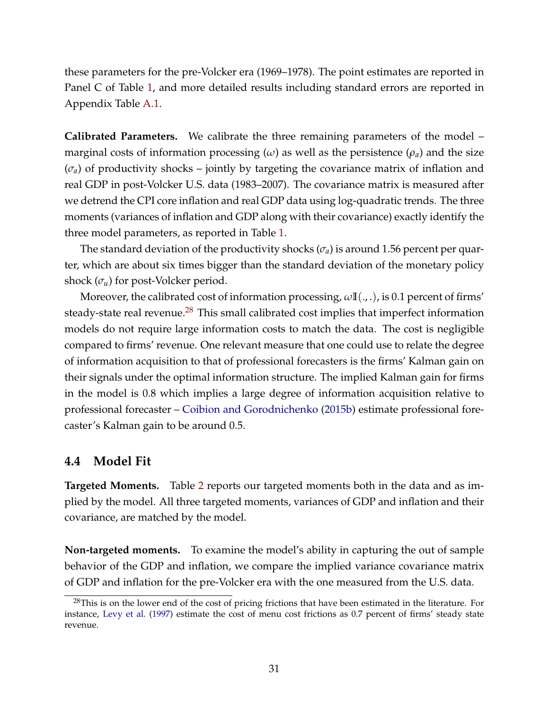these parameters for the pre-Volcker era (1969–1978). The point estimates are reported in Panel C of Table [1,](#page-29-0) and more detailed results including standard errors are reported in Appendix Table [A.1.](#page-57-0)

**Calibrated Parameters.** We calibrate the three remaining parameters of the model – marginal costs of information processing  $(\omega)$  as well as the persistence  $(\rho_a)$  and the size  $(\sigma_a)$  of productivity shocks – jointly by targeting the covariance matrix of inflation and real GDP in post-Volcker U.S. data (1983–2007). The covariance matrix is measured after we detrend the CPI core inflation and real GDP data using log-quadratic trends. The three moments (variances of inflation and GDP along with their covariance) exactly identify the three model parameters, as reported in Table [1.](#page-29-0)

The standard deviation of the productivity shocks  $(\sigma_a)$  is around 1.56 percent per quarter, which are about six times bigger than the standard deviation of the monetary policy shock  $(\sigma_u)$  for post-Volcker period.

Moreover, the calibrated cost of information processing, *ω***I**(., .), is 0.1 percent of firms' steady-state real revenue.<sup>[28](#page-0-0)</sup> This small calibrated cost implies that imperfect information models do not require large information costs to match the data. The cost is negligible compared to firms' revenue. One relevant measure that one could use to relate the degree of information acquisition to that of professional forecasters is the firms' Kalman gain on their signals under the optimal information structure. The implied Kalman gain for firms in the model is 0.8 which implies a large degree of information acquisition relative to professional forecaster – [Coibion and Gorodnichenko](#page-36-0) [\(2015b\)](#page-36-0) estimate professional forecaster's Kalman gain to be around 0.5.

### <span id="page-30-0"></span>**4.4 Model Fit**

**Targeted Moments.** Table [2](#page-31-0) reports our targeted moments both in the data and as implied by the model. All three targeted moments, variances of GDP and inflation and their covariance, are matched by the model.

**Non-targeted moments.** To examine the model's ability in capturing the out of sample behavior of the GDP and inflation, we compare the implied variance covariance matrix of GDP and inflation for the pre-Volcker era with the one measured from the U.S. data.

<sup>&</sup>lt;sup>28</sup>This is on the lower end of the cost of pricing frictions that have been estimated in the literature. For instance, [Levy et al.](#page-38-14) [\(1997\)](#page-38-14) estimate the cost of menu cost frictions as 0.7 percent of firms' steady state revenue.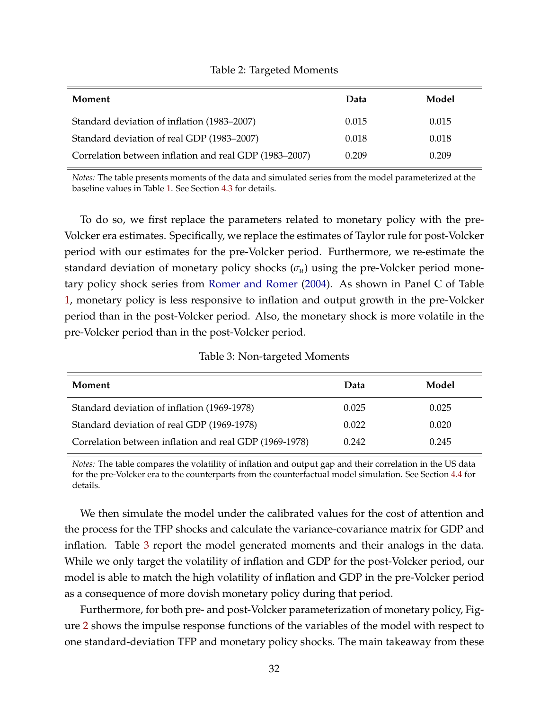<span id="page-31-0"></span>

| Moment                                                 | Data  | Model |
|--------------------------------------------------------|-------|-------|
| Standard deviation of inflation (1983–2007)            | 0.015 | 0.015 |
| Standard deviation of real GDP (1983–2007)             | 0.018 | 0.018 |
| Correlation between inflation and real GDP (1983–2007) | 0.209 | 0.209 |

#### Table 2: Targeted Moments

*Notes:* The table presents moments of the data and simulated series from the model parameterized at the baseline values in Table [1.](#page-29-0) See Section [4.3](#page-28-0) for details.

To do so, we first replace the parameters related to monetary policy with the pre-Volcker era estimates. Specifically, we replace the estimates of Taylor rule for post-Volcker period with our estimates for the pre-Volcker period. Furthermore, we re-estimate the standard deviation of monetary policy shocks  $(\sigma_u)$  using the pre-Volcker period monetary policy shock series from [Romer and Romer](#page-40-13) [\(2004\)](#page-40-13). As shown in Panel C of Table [1,](#page-29-0) monetary policy is less responsive to inflation and output growth in the pre-Volcker period than in the post-Volcker period. Also, the monetary shock is more volatile in the pre-Volcker period than in the post-Volcker period.

#### Table 3: Non-targeted Moments

<span id="page-31-1"></span>

| Moment                                                 | Data  | Model |
|--------------------------------------------------------|-------|-------|
| Standard deviation of inflation (1969-1978)            | 0.025 | 0.025 |
| Standard deviation of real GDP (1969-1978)             | 0.022 | 0.020 |
| Correlation between inflation and real GDP (1969-1978) | 0.242 | 0.245 |

*Notes:* The table compares the volatility of inflation and output gap and their correlation in the US data for the pre-Volcker era to the counterparts from the counterfactual model simulation. See Section [4.4](#page-30-0) for details.

We then simulate the model under the calibrated values for the cost of attention and the process for the TFP shocks and calculate the variance-covariance matrix for GDP and inflation. Table [3](#page-31-1) report the model generated moments and their analogs in the data. While we only target the volatility of inflation and GDP for the post-Volcker period, our model is able to match the high volatility of inflation and GDP in the pre-Volcker period as a consequence of more dovish monetary policy during that period.

Furthermore, for both pre- and post-Volcker parameterization of monetary policy, Figure [2](#page-32-1) shows the impulse response functions of the variables of the model with respect to one standard-deviation TFP and monetary policy shocks. The main takeaway from these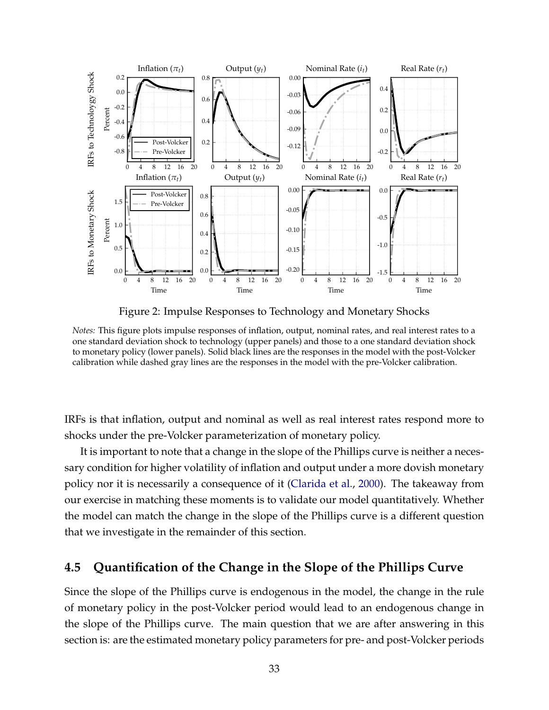<span id="page-32-1"></span>

Figure 2: Impulse Responses to Technology and Monetary Shocks

*Notes:* This figure plots impulse responses of inflation, output, nominal rates, and real interest rates to a one standard deviation shock to technology (upper panels) and those to a one standard deviation shock to monetary policy (lower panels). Solid black lines are the responses in the model with the post-Volcker calibration while dashed gray lines are the responses in the model with the pre-Volcker calibration.

IRFs is that inflation, output and nominal as well as real interest rates respond more to shocks under the pre-Volcker parameterization of monetary policy.

It is important to note that a change in the slope of the Phillips curve is neither a necessary condition for higher volatility of inflation and output under a more dovish monetary policy nor it is necessarily a consequence of it [\(Clarida et al.,](#page-36-3) [2000\)](#page-36-3). The takeaway from our exercise in matching these moments is to validate our model quantitatively. Whether the model can match the change in the slope of the Phillips curve is a different question that we investigate in the remainder of this section.

### <span id="page-32-0"></span>**4.5 Quantification of the Change in the Slope of the Phillips Curve**

Since the slope of the Phillips curve is endogenous in the model, the change in the rule of monetary policy in the post-Volcker period would lead to an endogenous change in the slope of the Phillips curve. The main question that we are after answering in this section is: are the estimated monetary policy parameters for pre- and post-Volcker periods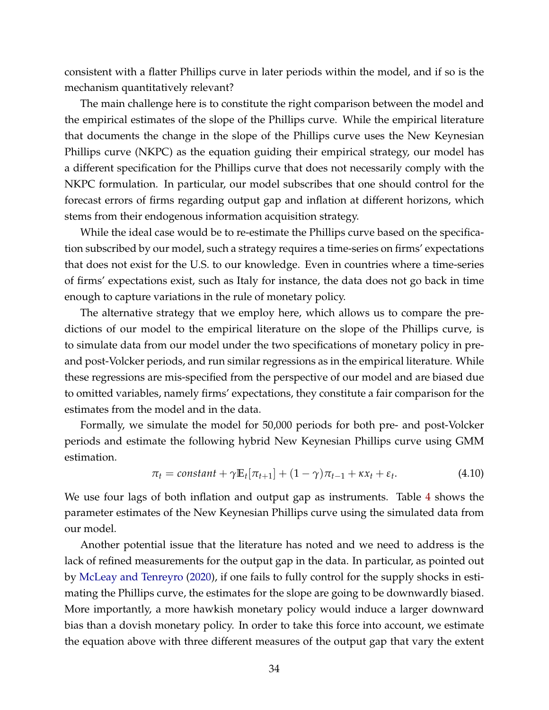consistent with a flatter Phillips curve in later periods within the model, and if so is the mechanism quantitatively relevant?

The main challenge here is to constitute the right comparison between the model and the empirical estimates of the slope of the Phillips curve. While the empirical literature that documents the change in the slope of the Phillips curve uses the New Keynesian Phillips curve (NKPC) as the equation guiding their empirical strategy, our model has a different specification for the Phillips curve that does not necessarily comply with the NKPC formulation. In particular, our model subscribes that one should control for the forecast errors of firms regarding output gap and inflation at different horizons, which stems from their endogenous information acquisition strategy.

While the ideal case would be to re-estimate the Phillips curve based on the specification subscribed by our model, such a strategy requires a time-series on firms' expectations that does not exist for the U.S. to our knowledge. Even in countries where a time-series of firms' expectations exist, such as Italy for instance, the data does not go back in time enough to capture variations in the rule of monetary policy.

The alternative strategy that we employ here, which allows us to compare the predictions of our model to the empirical literature on the slope of the Phillips curve, is to simulate data from our model under the two specifications of monetary policy in preand post-Volcker periods, and run similar regressions as in the empirical literature. While these regressions are mis-specified from the perspective of our model and are biased due to omitted variables, namely firms' expectations, they constitute a fair comparison for the estimates from the model and in the data.

Formally, we simulate the model for 50,000 periods for both pre- and post-Volcker periods and estimate the following hybrid New Keynesian Phillips curve using GMM estimation.

<span id="page-33-0"></span>
$$
\pi_t = constant + \gamma \mathbb{E}_t[\pi_{t+1}] + (1 - \gamma)\pi_{t-1} + \kappa x_t + \varepsilon_t.
$$
\n(4.10)

We use four lags of both inflation and output gap as instruments. Table [4](#page-34-0) shows the parameter estimates of the New Keynesian Phillips curve using the simulated data from our model.

Another potential issue that the literature has noted and we need to address is the lack of refined measurements for the output gap in the data. In particular, as pointed out by [McLeay and Tenreyro](#page-39-11) [\(2020\)](#page-39-11), if one fails to fully control for the supply shocks in estimating the Phillips curve, the estimates for the slope are going to be downwardly biased. More importantly, a more hawkish monetary policy would induce a larger downward bias than a dovish monetary policy. In order to take this force into account, we estimate the equation above with three different measures of the output gap that vary the extent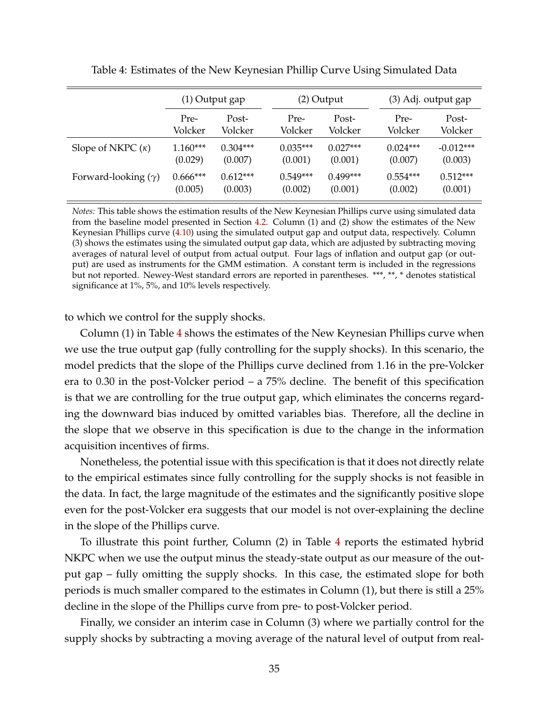<span id="page-34-0"></span>

|                            | (1) Output gap |            |            | $(2)$ Output |            | (3) Adj. output gap |  |
|----------------------------|----------------|------------|------------|--------------|------------|---------------------|--|
|                            | Pre-           | Post-      | Pre-       | Post-        | Pre-       | Post-               |  |
|                            | Volcker        | Volcker    | Volcker    | Volcker      | Volcker    | Volcker             |  |
| Slope of NKPC $(\kappa)$   | $1.160***$     | $0.304***$ | $0.035***$ | $0.027***$   | $0.024***$ | $-0.012***$         |  |
|                            | (0.029)        | (0.007)    | (0.001)    | (0.001)      | (0.007)    | (0.003)             |  |
| Forward-looking $(\gamma)$ | $0.666***$     | $0.612***$ | $0.549***$ | $0.499***$   | $0.554***$ | $0.512***$          |  |
|                            | (0.005)        | (0.003)    | (0.002)    | (0.001)      | (0.002)    | (0.001)             |  |

Table 4: Estimates of the New Keynesian Phillip Curve Using Simulated Data

*Notes:* This table shows the estimation results of the New Keynesian Phillips curve using simulated data from the baseline model presented in Section [4.2.](#page-27-1) Column (1) and (2) show the estimates of the New Keynesian Phillips curve [\(4.10\)](#page-33-0) using the simulated output gap and output data, respectively. Column (3) shows the estimates using the simulated output gap data, which are adjusted by subtracting moving averages of natural level of output from actual output. Four lags of inflation and output gap (or output) are used as instruments for the GMM estimation. A constant term is included in the regressions but not reported. Newey-West standard errors are reported in parentheses. \*\*\*, \*\*, \* denotes statistical significance at 1%, 5%, and 10% levels respectively.

to which we control for the supply shocks.

Column (1) in Table [4](#page-34-0) shows the estimates of the New Keynesian Phillips curve when we use the true output gap (fully controlling for the supply shocks). In this scenario, the model predicts that the slope of the Phillips curve declined from 1.16 in the pre-Volcker era to 0.30 in the post-Volcker period – a 75% decline. The benefit of this specification is that we are controlling for the true output gap, which eliminates the concerns regarding the downward bias induced by omitted variables bias. Therefore, all the decline in the slope that we observe in this specification is due to the change in the information acquisition incentives of firms.

Nonetheless, the potential issue with this specification is that it does not directly relate to the empirical estimates since fully controlling for the supply shocks is not feasible in the data. In fact, the large magnitude of the estimates and the significantly positive slope even for the post-Volcker era suggests that our model is not over-explaining the decline in the slope of the Phillips curve.

To illustrate this point further, Column (2) in Table [4](#page-34-0) reports the estimated hybrid NKPC when we use the output minus the steady-state output as our measure of the output gap – fully omitting the supply shocks. In this case, the estimated slope for both periods is much smaller compared to the estimates in Column (1), but there is still a 25% decline in the slope of the Phillips curve from pre- to post-Volcker period.

Finally, we consider an interim case in Column (3) where we partially control for the supply shocks by subtracting a moving average of the natural level of output from real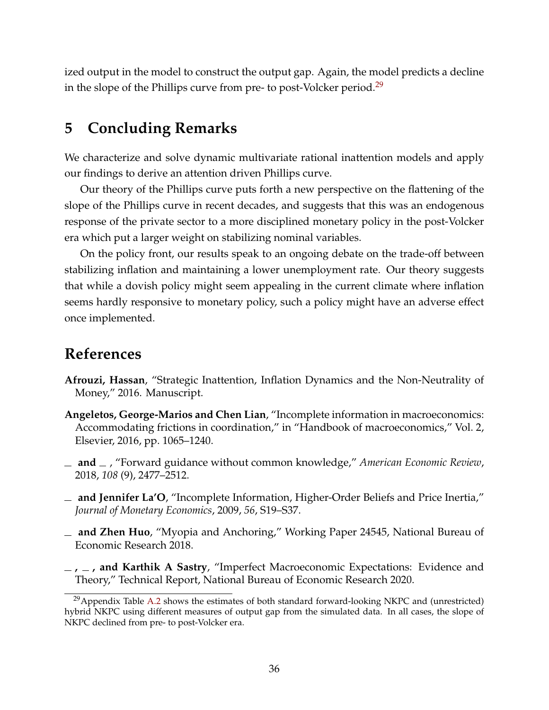ized output in the model to construct the output gap. Again, the model predicts a decline in the slope of the Phillips curve from pre- to post-Volcker period.<sup>[29](#page-0-0)</sup>

## <span id="page-35-5"></span>**5 Concluding Remarks**

We characterize and solve dynamic multivariate rational inattention models and apply our findings to derive an attention driven Phillips curve.

Our theory of the Phillips curve puts forth a new perspective on the flattening of the slope of the Phillips curve in recent decades, and suggests that this was an endogenous response of the private sector to a more disciplined monetary policy in the post-Volcker era which put a larger weight on stabilizing nominal variables.

On the policy front, our results speak to an ongoing debate on the trade-off between stabilizing inflation and maintaining a lower unemployment rate. Our theory suggests that while a dovish policy might seem appealing in the current climate where inflation seems hardly responsive to monetary policy, such a policy might have an adverse effect once implemented.

## **References**

- <span id="page-35-0"></span>**Afrouzi, Hassan**, "Strategic Inattention, Inflation Dynamics and the Non-Neutrality of Money," 2016. Manuscript.
- <span id="page-35-1"></span>**Angeletos, George-Marios and Chen Lian**, "Incomplete information in macroeconomics: Accommodating frictions in coordination," in "Handbook of macroeconomics," Vol. 2, Elsevier, 2016, pp. 1065–1240.
- <span id="page-35-4"></span>**and** , "Forward guidance without common knowledge," *American Economic Review*, 2018, *108* (9), 2477–2512.
- <span id="page-35-2"></span>**and Jennifer La'O**, "Incomplete Information, Higher-Order Beliefs and Price Inertia," *Journal of Monetary Economics*, 2009, *56*, S19–S37.
- <span id="page-35-3"></span>**and Zhen Huo**, "Myopia and Anchoring," Working Paper 24545, National Bureau of Economic Research 2018.
- <span id="page-35-6"></span>**, , and Karthik A Sastry**, "Imperfect Macroeconomic Expectations: Evidence and Theory," Technical Report, National Bureau of Economic Research 2020.

 $^{29}$ Appendix Table [A.2](#page-58-0) shows the estimates of both standard forward-looking NKPC and (unrestricted) hybrid NKPC using different measures of output gap from the simulated data. In all cases, the slope of NKPC declined from pre- to post-Volcker era.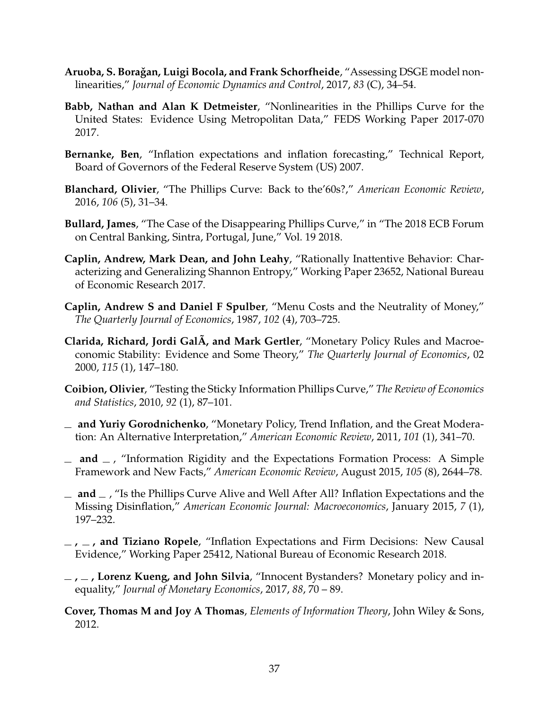- <span id="page-36-12"></span>**Aruoba, S. Boragan, Luigi Bocola, and Frank Schorfheide ˇ** , "Assessing DSGE model nonlinearities," *Journal of Economic Dynamics and Control*, 2017, *83* (C), 34–54.
- <span id="page-36-6"></span>**Babb, Nathan and Alan K Detmeister**, "Nonlinearities in the Phillips Curve for the United States: Evidence Using Metropolitan Data," FEDS Working Paper 2017-070 2017.
- <span id="page-36-11"></span>**Bernanke, Ben**, "Inflation expectations and inflation forecasting," Technical Report, Board of Governors of the Federal Reserve System (US) 2007.
- <span id="page-36-1"></span>**Blanchard, Olivier**, "The Phillips Curve: Back to the'60s?," *American Economic Review*, 2016, *106* (5), 31–34.
- <span id="page-36-2"></span>**Bullard, James**, "The Case of the Disappearing Phillips Curve," in "The 2018 ECB Forum on Central Banking, Sintra, Portugal, June," Vol. 19 2018.
- <span id="page-36-9"></span>**Caplin, Andrew, Mark Dean, and John Leahy**, "Rationally Inattentive Behavior: Characterizing and Generalizing Shannon Entropy," Working Paper 23652, National Bureau of Economic Research 2017.
- <span id="page-36-10"></span>**Caplin, Andrew S and Daniel F Spulber**, "Menu Costs and the Neutrality of Money," *The Quarterly Journal of Economics*, 1987, *102* (4), 703–725.
- <span id="page-36-3"></span>**Clarida, Richard, Jordi GalÃ, and Mark Gertler**, "Monetary Policy Rules and Macroeconomic Stability: Evidence and Some Theory," *The Quarterly Journal of Economics*, 02 2000, *115* (1), 147–180.
- <span id="page-36-5"></span>**Coibion, Olivier**, "Testing the Sticky Information Phillips Curve," *The Review of Economics and Statistics*, 2010, *92* (1), 87–101.
- <span id="page-36-4"></span>**and Yuriy Gorodnichenko**, "Monetary Policy, Trend Inflation, and the Great Moderation: An Alternative Interpretation," *American Economic Review*, 2011, *101* (1), 341–70.
- <span id="page-36-7"></span>**and** , "Information Rigidity and the Expectations Formation Process: A Simple Framework and New Facts," *American Economic Review*, August 2015, *105* (8), 2644–78.
- <span id="page-36-0"></span> $\equiv$  **and**  $\equiv$ , "Is the Phillips Curve Alive and Well After All? Inflation Expectations and the Missing Disinflation," *American Economic Journal: Macroeconomics*, January 2015, *7* (1), 197–232.
- <span id="page-36-8"></span>**, , and Tiziano Ropele**, "Inflation Expectations and Firm Decisions: New Causal Evidence," Working Paper 25412, National Bureau of Economic Research 2018.
- <span id="page-36-13"></span>**, , Lorenz Kueng, and John Silvia**, "Innocent Bystanders? Monetary policy and inequality," *Journal of Monetary Economics*, 2017, *88*, 70 – 89.
- <span id="page-36-14"></span>**Cover, Thomas M and Joy A Thomas**, *Elements of Information Theory*, John Wiley & Sons, 2012.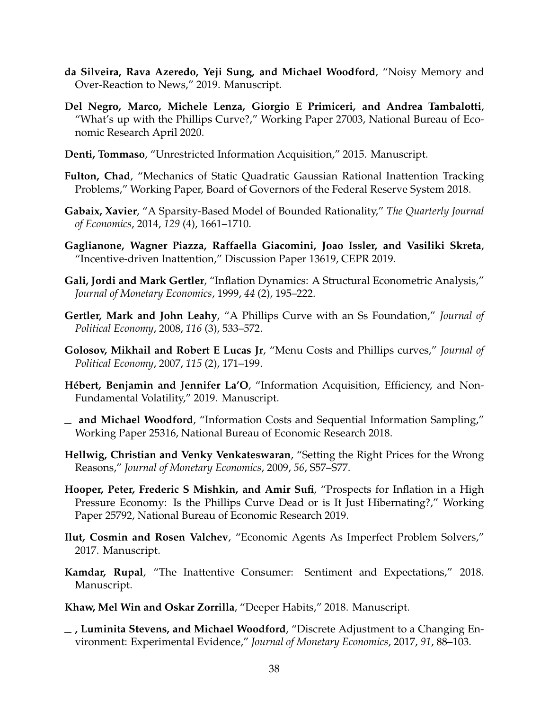- <span id="page-37-8"></span>**da Silveira, Rava Azeredo, Yeji Sung, and Michael Woodford**, "Noisy Memory and Over-Reaction to News," 2019. Manuscript.
- <span id="page-37-1"></span>**Del Negro, Marco, Michele Lenza, Giorgio E Primiceri, and Andrea Tambalotti**, "What's up with the Phillips Curve?," Working Paper 27003, National Bureau of Economic Research April 2020.
- <span id="page-37-15"></span>**Denti, Tommaso**, "Unrestricted Information Acquisition," 2015. Manuscript.
- <span id="page-37-2"></span>**Fulton, Chad**, "Mechanics of Static Quadratic Gaussian Rational Inattention Tracking Problems," Working Paper, Board of Governors of the Federal Reserve System 2018.
- <span id="page-37-10"></span>**Gabaix, Xavier**, "A Sparsity-Based Model of Bounded Rationality," *The Quarterly Journal of Economics*, 2014, *129* (4), 1661–1710.
- <span id="page-37-6"></span>**Gaglianone, Wagner Piazza, Raffaella Giacomini, Joao Issler, and Vasiliki Skreta**, "Incentive-driven Inattention," Discussion Paper 13619, CEPR 2019.
- <span id="page-37-5"></span>**Gali, Jordi and Mark Gertler**, "Inflation Dynamics: A Structural Econometric Analysis," *Journal of Monetary Economics*, 1999, *44* (2), 195–222.
- <span id="page-37-14"></span>**Gertler, Mark and John Leahy**, "A Phillips Curve with an Ss Foundation," *Journal of Political Economy*, 2008, *116* (3), 533–572.
- <span id="page-37-13"></span>**Golosov, Mikhail and Robert E Lucas Jr**, "Menu Costs and Phillips curves," *Journal of Political Economy*, 2007, *115* (2), 171–199.
- <span id="page-37-16"></span>**Hébert, Benjamin and Jennifer La'O**, "Information Acquisition, Efficiency, and Non-Fundamental Volatility," 2019. Manuscript.
- <span id="page-37-9"></span>**and Michael Woodford**, "Information Costs and Sequential Information Sampling," Working Paper 25316, National Bureau of Economic Research 2018.
- <span id="page-37-11"></span>**Hellwig, Christian and Venky Venkateswaran**, "Setting the Right Prices for the Wrong Reasons," *Journal of Monetary Economics*, 2009, *56*, S57–S77.
- <span id="page-37-0"></span>**Hooper, Peter, Frederic S Mishkin, and Amir Sufi**, "Prospects for Inflation in a High Pressure Economy: Is the Phillips Curve Dead or is It Just Hibernating?," Working Paper 25792, National Bureau of Economic Research 2019.
- <span id="page-37-4"></span>**Ilut, Cosmin and Rosen Valchev**, "Economic Agents As Imperfect Problem Solvers," 2017. Manuscript.
- <span id="page-37-12"></span>**Kamdar, Rupal**, "The Inattentive Consumer: Sentiment and Expectations," 2018. Manuscript.
- <span id="page-37-3"></span>**Khaw, Mel Win and Oskar Zorrilla**, "Deeper Habits," 2018. Manuscript.
- <span id="page-37-7"></span>**, Luminita Stevens, and Michael Woodford**, "Discrete Adjustment to a Changing Environment: Experimental Evidence," *Journal of Monetary Economics*, 2017, *91*, 88–103.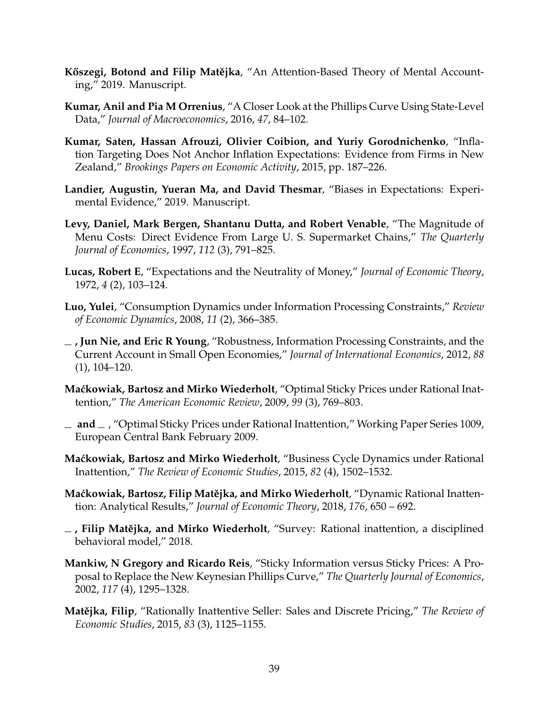- <span id="page-38-13"></span>**Kőszegi, Botond and Filip Matějka**, "An Attention-Based Theory of Mental Accounting," 2019. Manuscript.
- <span id="page-38-9"></span>**Kumar, Anil and Pia M Orrenius**, "A Closer Look at the Phillips Curve Using State-Level Data," *Journal of Macroeconomics*, 2016, *47*, 84–102.
- <span id="page-38-10"></span>**Kumar, Saten, Hassan Afrouzi, Olivier Coibion, and Yuriy Gorodnichenko**, "Inflation Targeting Does Not Anchor Inflation Expectations: Evidence from Firms in New Zealand," *Brookings Papers on Economic Activity*, 2015, pp. 187–226.
- <span id="page-38-11"></span>**Landier, Augustin, Yueran Ma, and David Thesmar**, "Biases in Expectations: Experimental Evidence," 2019. Manuscript.
- <span id="page-38-14"></span>**Levy, Daniel, Mark Bergen, Shantanu Dutta, and Robert Venable**, "The Magnitude of Menu Costs: Direct Evidence From Large U. S. Supermarket Chains," *The Quarterly Journal of Economics*, 1997, *112* (3), 791–825.
- <span id="page-38-7"></span>**Lucas, Robert E**, "Expectations and the Neutrality of Money," *Journal of Economic Theory*, 1972, *4* (2), 103–124.
- <span id="page-38-3"></span>**Luo, Yulei**, "Consumption Dynamics under Information Processing Constraints," *Review of Economic Dynamics*, 2008, *11* (2), 366–385.
- <span id="page-38-4"></span>**, Jun Nie, and Eric R Young**, "Robustness, Information Processing Constraints, and the Current Account in Small Open Economies," *Journal of International Economics*, 2012, *88* (1), 104–120.
- <span id="page-38-0"></span>**Ma´ckowiak, Bartosz and Mirko Wiederholt**, "Optimal Sticky Prices under Rational Inattention," *The American Economic Review*, 2009, *99* (3), 769–803.
- <span id="page-38-12"></span>**and** , "Optimal Sticky Prices under Rational Inattention," Working Paper Series 1009, European Central Bank February 2009.
- <span id="page-38-5"></span>**Ma´ckowiak, Bartosz and Mirko Wiederholt**, "Business Cycle Dynamics under Rational Inattention," *The Review of Economic Studies*, 2015, *82* (4), 1502–1532.
- <span id="page-38-1"></span>**Maćkowiak, Bartosz, Filip Matějka, and Mirko Wiederholt**, "Dynamic Rational Inattention: Analytical Results," *Journal of Economic Theory*, 2018, *176*, 650 – 692.
- <span id="page-38-6"></span> $\overline{\phantom{a}}$ , Filip Matějka, and Mirko Wiederholt, "Survey: Rational inattention, a disciplined behavioral model," 2018.
- <span id="page-38-8"></span>**Mankiw, N Gregory and Ricardo Reis**, "Sticky Information versus Sticky Prices: A Proposal to Replace the New Keynesian Phillips Curve," *The Quarterly Journal of Economics*, 2002, *117* (4), 1295–1328.
- <span id="page-38-2"></span>**Matějka, Filip**, "Rationally Inattentive Seller: Sales and Discrete Pricing," *The Review of Economic Studies*, 2015, *83* (3), 1125–1155.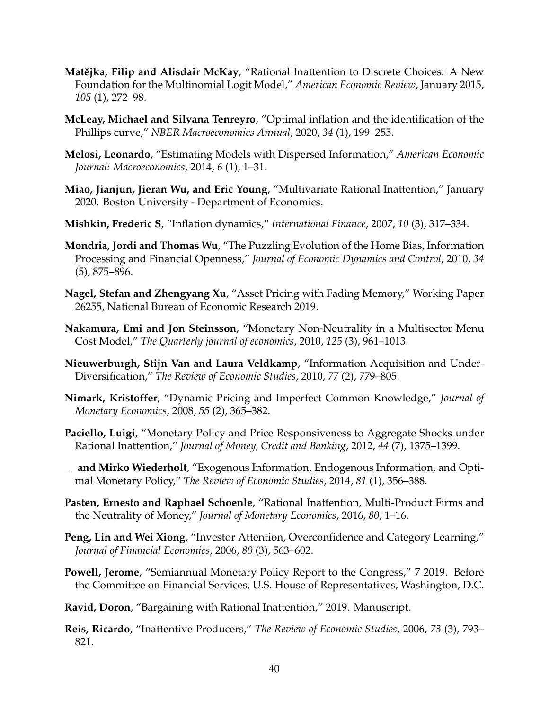- <span id="page-39-14"></span>**Matějka, Filip and Alisdair McKay, "Rational Inattention to Discrete Choices: A New** Foundation for the Multinomial Logit Model," *American Economic Review*, January 2015, *105* (1), 272–98.
- <span id="page-39-11"></span>**McLeay, Michael and Silvana Tenreyro**, "Optimal inflation and the identification of the Phillips curve," *NBER Macroeconomics Annual*, 2020, *34* (1), 199–255.
- <span id="page-39-3"></span>**Melosi, Leonardo**, "Estimating Models with Dispersed Information," *American Economic Journal: Macroeconomics*, 2014, *6* (1), 1–31.
- <span id="page-39-1"></span>**Miao, Jianjun, Jieran Wu, and Eric Young**, "Multivariate Rational Inattention," January 2020. Boston University - Department of Economics.
- <span id="page-39-16"></span>**Mishkin, Frederic S**, "Inflation dynamics," *International Finance*, 2007, *10* (3), 317–334.
- <span id="page-39-8"></span>**Mondria, Jordi and Thomas Wu**, "The Puzzling Evolution of the Home Bias, Information Processing and Financial Openness," *Journal of Economic Dynamics and Control*, 2010, *34* (5), 875–896.
- <span id="page-39-12"></span>**Nagel, Stefan and Zhengyang Xu**, "Asset Pricing with Fading Memory," Working Paper 26255, National Bureau of Economic Research 2019.
- <span id="page-39-15"></span>**Nakamura, Emi and Jon Steinsson**, "Monetary Non-Neutrality in a Multisector Menu Cost Model," *The Quarterly journal of economics*, 2010, *125* (3), 961–1013.
- <span id="page-39-7"></span>**Nieuwerburgh, Stijn Van and Laura Veldkamp**, "Information Acquisition and Under-Diversification," *The Review of Economic Studies*, 2010, *77* (2), 779–805.
- <span id="page-39-10"></span>**Nimark, Kristoffer**, "Dynamic Pricing and Imperfect Common Knowledge," *Journal of Monetary Economics*, 2008, *55* (2), 365–382.
- <span id="page-39-2"></span>**Paciello, Luigi**, "Monetary Policy and Price Responsiveness to Aggregate Shocks under Rational Inattention," *Journal of Money, Credit and Banking*, 2012, *44* (7), 1375–1399.
- <span id="page-39-5"></span>**and Mirko Wiederholt**, "Exogenous Information, Endogenous Information, and Optimal Monetary Policy," *The Review of Economic Studies*, 2014, *81* (1), 356–388.
- <span id="page-39-4"></span>**Pasten, Ernesto and Raphael Schoenle**, "Rational Inattention, Multi-Product Firms and the Neutrality of Money," *Journal of Monetary Economics*, 2016, *80*, 1–16.
- <span id="page-39-6"></span>**Peng, Lin and Wei Xiong**, "Investor Attention, Overconfidence and Category Learning," *Journal of Financial Economics*, 2006, *80* (3), 563–602.
- <span id="page-39-0"></span>**Powell, Jerome**, "Semiannual Monetary Policy Report to the Congress," 7 2019. Before the Committee on Financial Services, U.S. House of Representatives, Washington, D.C.
- <span id="page-39-13"></span>**Ravid, Doron**, "Bargaining with Rational Inattention," 2019. Manuscript.
- <span id="page-39-9"></span>**Reis, Ricardo**, "Inattentive Producers," *The Review of Economic Studies*, 2006, *73* (3), 793– 821.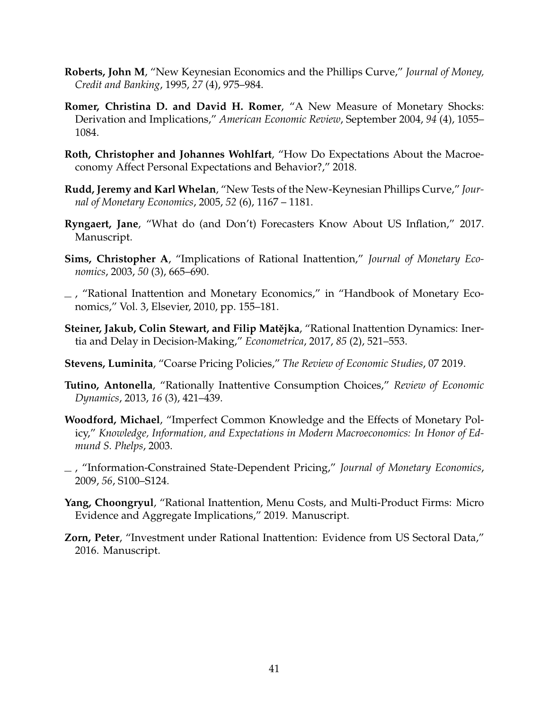- <span id="page-40-8"></span>**Roberts, John M**, "New Keynesian Economics and the Phillips Curve," *Journal of Money, Credit and Banking*, 1995, *27* (4), 975–984.
- <span id="page-40-13"></span>**Romer, Christina D. and David H. Romer**, "A New Measure of Monetary Shocks: Derivation and Implications," *American Economic Review*, September 2004, *94* (4), 1055– 1084.
- <span id="page-40-11"></span>**Roth, Christopher and Johannes Wohlfart**, "How Do Expectations About the Macroeconomy Affect Personal Expectations and Behavior?," 2018.
- <span id="page-40-9"></span>**Rudd, Jeremy and Karl Whelan**, "New Tests of the New-Keynesian Phillips Curve," *Journal of Monetary Economics*, 2005, *52* (6), 1167 – 1181.
- <span id="page-40-10"></span>**Ryngaert, Jane**, "What do (and Don't) Forecasters Know About US Inflation," 2017. Manuscript.
- <span id="page-40-1"></span>**Sims, Christopher A**, "Implications of Rational Inattention," *Journal of Monetary Economics*, 2003, *50* (3), 665–690.
- <span id="page-40-0"></span>, "Rational Inattention and Monetary Economics," in "Handbook of Monetary Economics," Vol. 3, Elsevier, 2010, pp. 155–181.
- <span id="page-40-12"></span>**Steiner, Jakub, Colin Stewart, and Filip Matějka**, "Rational Inattention Dynamics: Inertia and Delay in Decision-Making," *Econometrica*, 2017, *85* (2), 521–553.
- <span id="page-40-6"></span>**Stevens, Luminita**, "Coarse Pricing Policies," *The Review of Economic Studies*, 07 2019.
- <span id="page-40-3"></span>**Tutino, Antonella**, "Rationally Inattentive Consumption Choices," *Review of Economic Dynamics*, 2013, *16* (3), 421–439.
- <span id="page-40-7"></span>**Woodford, Michael**, "Imperfect Common Knowledge and the Effects of Monetary Policy," *Knowledge, Information, and Expectations in Modern Macroeconomics: In Honor of Edmund S. Phelps*, 2003.
- <span id="page-40-5"></span>, "Information-Constrained State-Dependent Pricing," *Journal of Monetary Economics*, 2009, *56*, S100–S124.
- <span id="page-40-2"></span>**Yang, Choongryul**, "Rational Inattention, Menu Costs, and Multi-Product Firms: Micro Evidence and Aggregate Implications," 2019. Manuscript.
- <span id="page-40-4"></span>**Zorn, Peter**, "Investment under Rational Inattention: Evidence from US Sectoral Data," 2016. Manuscript.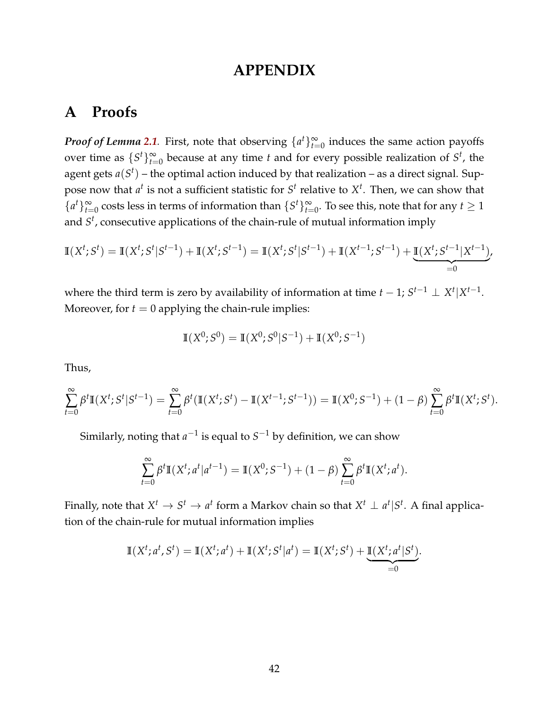## **APPENDIX**

## **A Proofs**

*Proof of Lemma* [2.1](#page-6-1). First, note that observing  $\{a^t\}_{t=0}^{\infty}$  induces the same action payoffs over time as  $\{S^t\}_{t=0}^{\infty}$  because at any time *t* and for every possible realization of  $S^t$ , the agent gets  $a(S^t)$  – the optimal action induced by that realization – as a direct signal. Suppose now that  $a^t$  is not a sufficient statistic for  $S^t$  relative to  $X^t$ . Then, we can show that  ${a<sup>t</sup>}_{t=0}^{\infty}$  costs less in terms of information than  ${S<sup>t</sup>}_{t=0}^{\infty}$ . To see this, note that for any  $t \ge 1$ and *S t* , consecutive applications of the chain-rule of mutual information imply

$$
\mathbb{I}(X^{t}; S^{t}) = \mathbb{I}(X^{t}; S^{t} | S^{t-1}) + \mathbb{I}(X^{t}; S^{t-1}) = \mathbb{I}(X^{t}; S^{t} | S^{t-1}) + \mathbb{I}(X^{t-1}; S^{t-1}) + \underbrace{\mathbb{I}(X^{t}; S^{t-1} | X^{t-1})}_{=0}.
$$

where the third term is zero by availability of information at time  $t - 1$ ;  $S^{t-1} \perp X^t | X^{t-1}$ . Moreover, for  $t = 0$  applying the chain-rule implies:

$$
\mathbb{I}(X^0; S^0) = \mathbb{I}(X^0; S^0|S^{-1}) + \mathbb{I}(X^0; S^{-1})
$$

Thus,

$$
\sum_{t=0}^{\infty} \beta^t \mathbb{I}(X^t; S^t | S^{t-1}) = \sum_{t=0}^{\infty} \beta^t (\mathbb{I}(X^t; S^t) - \mathbb{I}(X^{t-1}; S^{t-1})) = \mathbb{I}(X^0; S^{-1}) + (1 - \beta) \sum_{t=0}^{\infty} \beta^t \mathbb{I}(X^t; S^t).
$$

Similarly, noting that  $a^{-1}$  is equal to  $S^{-1}$  by definition, we can show

$$
\sum_{t=0}^{\infty} \beta^t \mathbb{I}(X^t; a^t | a^{t-1}) = \mathbb{I}(X^0; S^{-1}) + (1 - \beta) \sum_{t=0}^{\infty} \beta^t \mathbb{I}(X^t; a^t).
$$

Finally, note that  $X^t \to S^t \to a^t$  form a Markov chain so that  $X^t \perp a^t | S^t$ . A final application of the chain-rule for mutual information implies

$$
\mathbb{I}(X^t; a^t, S^t) = \mathbb{I}(X^t; a^t) + \mathbb{I}(X^t; S^t | a^t) = \mathbb{I}(X^t; S^t) + \underbrace{\mathbb{I}(X^t; a^t | S^t)}_{=0}.
$$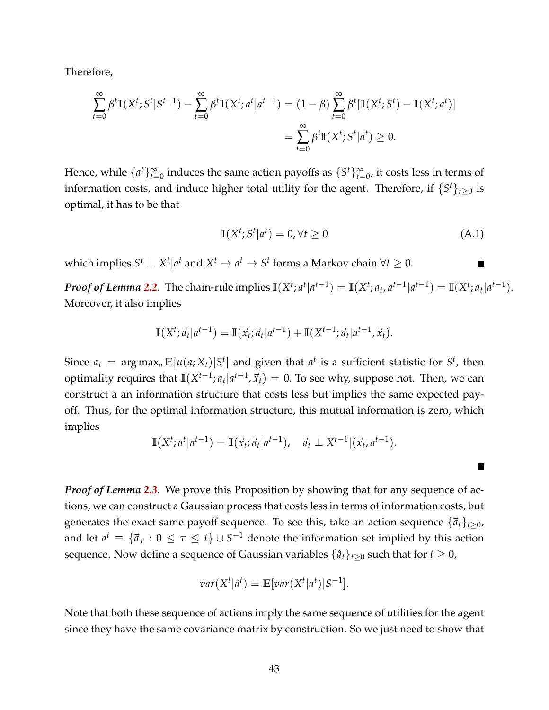Therefore,

$$
\sum_{t=0}^{\infty} \beta^t \mathbb{I}(X^t; S^t | S^{t-1}) - \sum_{t=0}^{\infty} \beta^t \mathbb{I}(X^t; a^t | a^{t-1}) = (1 - \beta) \sum_{t=0}^{\infty} \beta^t [\mathbb{I}(X^t; S^t) - \mathbb{I}(X^t; a^t)]
$$
  
= 
$$
\sum_{t=0}^{\infty} \beta^t \mathbb{I}(X^t; S^t | a^t) \ge 0.
$$

Hence, while  $\{a^t\}_{t=0}^{\infty}$  induces the same action payoffs as  $\{S^t\}_{t=0}^{\infty}$ , it costs less in terms of information costs, and induce higher total utility for the agent. Therefore, if  $\{S^t\}_{t\geq 0}$  is optimal, it has to be that

$$
\mathbb{I}(X^t; S^t | a^t) = 0, \forall t \ge 0 \tag{A.1}
$$

which implies  $S^t \perp X^t | a^t$  and  $X^t \to a^t \to S^t$  forms a Markov chain  $\forall t \geq 0$ .

**Proof of Lemma [2.2](#page-6-2)**. The chain-rule implies  $\mathbb{I}(X^t; a^t|a^{t-1}) = \mathbb{I}(X^t; a_t, a^{t-1}|a^{t-1}) = \mathbb{I}(X^t; a_t|a^{t-1}).$ Moreover, it also implies

$$
\mathbb{I}(X^t; \vec{a}_t | a^{t-1}) = \mathbb{I}(\vec{x}_t; \vec{a}_t | a^{t-1}) + \mathbb{I}(X^{t-1}; \vec{a}_t | a^{t-1}, \vec{x}_t).
$$

Since  $a_t = \argmax_a \mathbb{E}[u(a;X_t)|S^t]$  and given that  $a^t$  is a sufficient statistic for  $S^t$ , then optimality requires that  $\mathbb{I}(X^{t-1}; a_t | a^{t-1}, \vec{x}_t) = 0$ . To see why, suppose not. Then, we can construct a an information structure that costs less but implies the same expected payoff. Thus, for the optimal information structure, this mutual information is zero, which implies

$$
\mathbb{I}(X^{t}; a^{t} | a^{t-1}) = \mathbb{I}(\vec{x}_{t}; \vec{a}_{t} | a^{t-1}), \quad \vec{a}_{t} \perp X^{t-1} | (\vec{x}_{t}, a^{t-1}).
$$

*Proof of Lemma [2.3](#page-7-0).* We prove this Proposition by showing that for any sequence of actions, we can construct a Gaussian process that costs less in terms of information costs, but generates the exact same payoff sequence. To see this, take an action sequence  $\{\vec{a}_t\}_{t>0}$ , and let  $a^t \equiv \{\vec{a}_\tau : 0 \leq \tau \leq t\} \cup S^{-1}$  denote the information set implied by this action sequence. Now define a sequence of Gaussian variables  $\{\hat{a}_t\}_{t\geq0}$  such that for  $t\geq0$ ,

$$
var(X^t | \hat{a}^t) = \mathbb{E}[var(X^t | a^t) | S^{-1}].
$$

Note that both these sequence of actions imply the same sequence of utilities for the agent since they have the same covariance matrix by construction. So we just need to show that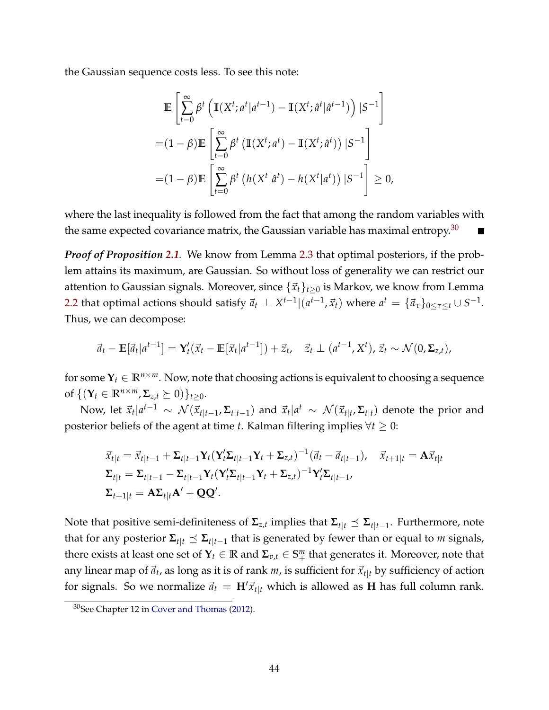the Gaussian sequence costs less. To see this note:

$$
\mathbb{E}\left[\sum_{t=0}^{\infty} \beta^t \left(\mathbb{I}(X^t; a^t | a^{t-1}) - \mathbb{I}(X^t; \hat{a}^t | \hat{a}^{t-1})\right) | S^{-1}\right]
$$

$$
= (1 - \beta)\mathbb{E}\left[\sum_{t=0}^{\infty} \beta^t \left(\mathbb{I}(X^t; a^t) - \mathbb{I}(X^t; \hat{a}^t)\right) | S^{-1}\right]
$$

$$
= (1 - \beta)\mathbb{E}\left[\sum_{t=0}^{\infty} \beta^t \left(h(X^t | \hat{a}^t) - h(X^t | a^t)\right) | S^{-1}\right] \ge 0,
$$

where the last inequality is followed from the fact that among the random variables with the same expected covariance matrix, the Gaussian variable has maximal entropy.<sup>[30](#page-0-0)</sup>

*Proof of Proposition [2.1](#page-7-1).* We know from Lemma [2.3](#page-7-0) that optimal posteriors, if the problem attains its maximum, are Gaussian. So without loss of generality we can restrict our attention to Gaussian signals. Moreover, since  $\{\vec{x}_t\}_{t>0}$  is Markov, we know from Lemma [2.2](#page-6-2) that optimal actions should satisfy  $\vec{a}_t \perp X^{t-1} | (a^{t-1}, \vec{x}_t)$  where  $a^t = \{\vec{a}_\tau\}_{0 \leq \tau \leq t} \cup S^{-1}$ . Thus, we can decompose:

$$
\vec{a}_t - \mathbb{E}[\vec{a}_t|a^{t-1}] = \mathbf{Y}_t'(\vec{x}_t - \mathbb{E}[\vec{x}_t|a^{t-1}]) + \vec{z}_t, \quad \vec{z}_t \perp (a^{t-1}, X^t), \vec{z}_t \sim \mathcal{N}(0, \Sigma_{z,t}),
$$

for some  $Y_t \in \mathbb{R}^{n \times m}$ . Now, note that choosing actions is equivalent to choosing a sequence of  $\{({\bf Y}_t \in \mathbb{R}^{n \times m}, \Sigma_{z,t} \succeq 0)\}_{t>0}$ .

Now, let  $\vec{x}_t | a^{t-1} \sim \mathcal{N}(\vec{x}_{t|t-1}, \Sigma_{t|t-1})$  and  $\vec{x}_t | a^t \sim \mathcal{N}(\vec{x}_{t|t}, \Sigma_{t|t})$  denote the prior and posterior beliefs of the agent at time *t*. Kalman filtering implies ∀*t* ≥ 0:

$$
\begin{aligned}\n\vec{x}_{t|t} &= \vec{x}_{t|t-1} + \Sigma_{t|t-1} \mathbf{Y}_t (\mathbf{Y}_t' \Sigma_{t|t-1} \mathbf{Y}_t + \Sigma_{z,t})^{-1} (\vec{a}_t - \vec{a}_{t|t-1}), \quad \vec{x}_{t+1|t} = \mathbf{A} \vec{x}_{t|t} \\
\Sigma_{t|t} &= \Sigma_{t|t-1} - \Sigma_{t|t-1} \mathbf{Y}_t (\mathbf{Y}_t' \Sigma_{t|t-1} \mathbf{Y}_t + \Sigma_{z,t})^{-1} \mathbf{Y}_t' \Sigma_{t|t-1}, \\
\Sigma_{t+1|t} &= \mathbf{A} \Sigma_{t|t} \mathbf{A}' + \mathbf{Q} \mathbf{Q}'.\n\end{aligned}
$$

Note that positive semi-definiteness of  $Σ_{z,t}$  implies that  $Σ_{t|t} ≤ Σ_{t|t-1}$ . Furthermore, note that for any posterior  $\Sigma_{t|t} \preceq \Sigma_{t|t-1}$  that is generated by fewer than or equal to *m* signals, there exists at least one set of  $\mathbf{Y}_t \in \mathbb{R}$  and  $\mathbf{\Sigma}_{v,t} \in \mathbb{S}^m_+$  that generates it. Moreover, note that any linear map of  $\vec{a}_t$ , as long as it is of rank *m*, is sufficient for  $\vec{x}_{t|t}$  by sufficiency of action for signals. So we normalize  $\vec{a}_t = H' \vec{x}_{t|t}$  which is allowed as **H** has full column rank.

<sup>30</sup>See Chapter 12 in [Cover and Thomas](#page-36-14) [\(2012\)](#page-36-14).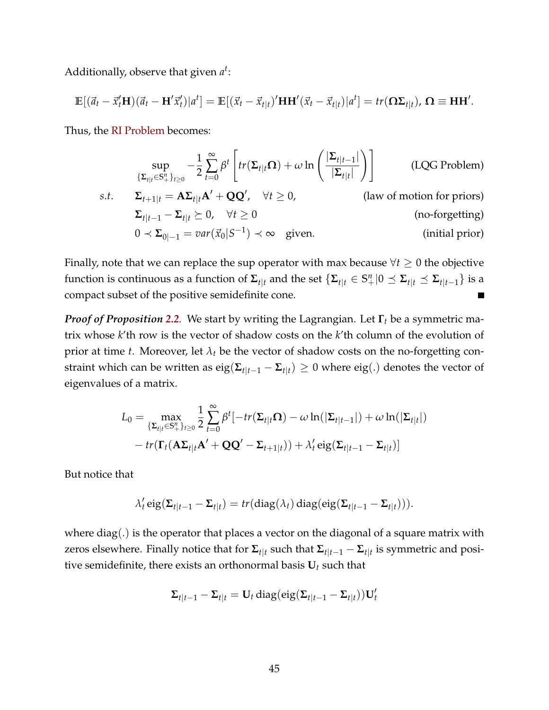Additionally, observe that given *a t* :

$$
\mathbb{E}[(\vec{a}_t - \vec{x}'_t \mathbf{H})(\vec{a}_t - \mathbf{H}'\vec{x}'_t)|a^t] = \mathbb{E}[(\vec{x}_t - \vec{x}_{t|t})'\mathbf{H}\mathbf{H}'(\vec{x}_t - \vec{x}_{t|t})|a^t] = tr(\mathbf{\Omega}\Sigma_{t|t}), \mathbf{\Omega} \equiv \mathbf{H}\mathbf{H}'.
$$

Thus, the [RI Problem](#page-6-0) becomes:

$$
\sup_{\{\Sigma_{t|t}\in\mathbb{S}_{+}^{n}\}_{t\geq0}} -\frac{1}{2}\sum_{t=0}^{\infty}\beta^{t}\left[tr(\Sigma_{t|t}\Omega)+\omega\ln\left(\frac{|\Sigma_{t|t-1}|}{|\Sigma_{t|t}|}\right)\right]
$$
(LQG Problem)  
s.t.  $\Sigma_{t+1|t} = A\Sigma_{t|t}A' + QQ', \forall t \geq 0,$  (law of motion for priors)  
 $\Sigma_{t|t-1} - \Sigma_{t|t} \succeq 0, \forall t \geq 0$  (no-forgetting)  
 $0 \prec \Sigma_{0|-1} = var(\vec{x}_0|S^{-1}) \prec \infty$  given. (initial prior)

Finally, note that we can replace the sup operator with max because  $\forall t \geq 0$  the objective function is continuous as a function of  $\Sigma_{t|t}$  and the set  $\{\Sigma_{t|t}\in\mathbb{S}^n_+|0\preceq\Sigma_{t|t}\preceq\Sigma_{t|t-1}\}$  is a compact subset of the positive semidefinite cone.

*Proof of Proposition [2.2](#page-8-1).* We start by writing the Lagrangian. Let **Γ***<sup>t</sup>* be a symmetric matrix whose *k*'th row is the vector of shadow costs on the *k*'th column of the evolution of prior at time *t*. Moreover, let  $\lambda_t$  be the vector of shadow costs on the no-forgetting constraint which can be written as  $\text{eig}(\mathbf{\Sigma}_{t|t-1} - \mathbf{\Sigma}_{t|t}) \geq 0$  where  $\text{eig}(.)$  denotes the vector of eigenvalues of a matrix.

$$
L_0 = \max_{\{\Sigma_{t|t}\in\mathbb{S}_+^n\}_{t\geq 0}} \frac{1}{2} \sum_{t=0}^{\infty} \beta^t [-tr(\Sigma_{t|t}\Omega) - \omega \ln(|\Sigma_{t|t-1}|) + \omega \ln(|\Sigma_{t|t}|)
$$

$$
- tr(\Gamma_t(\mathbf{A}\Sigma_{t|t}\mathbf{A}' + \mathbf{Q}\mathbf{Q}' - \Sigma_{t+1|t})) + \lambda'_t \text{eig}(\Sigma_{t|t-1} - \Sigma_{t|t})]
$$

But notice that

$$
\lambda_t' \operatorname{eig}(\Sigma_{t|t-1} - \Sigma_{t|t}) = tr(\operatorname{diag}(\lambda_t) \operatorname{diag}(\operatorname{eig}(\Sigma_{t|t-1} - \Sigma_{t|t}))).
$$

where  $diag(.)$  is the operator that places a vector on the diagonal of a square matrix with zeros elsewhere. Finally notice that for  $\Sigma_{t|t}$  such that  $\Sigma_{t|t-1} - \Sigma_{t|t}$  is symmetric and positive semidefinite, there exists an orthonormal basis  $U_t$  such that

$$
\Sigma_{t|t-1} - \Sigma_{t|t} = \mathbf{U}_t \operatorname{diag}(eig(\Sigma_{t|t-1} - \Sigma_{t|t})) \mathbf{U}_t'
$$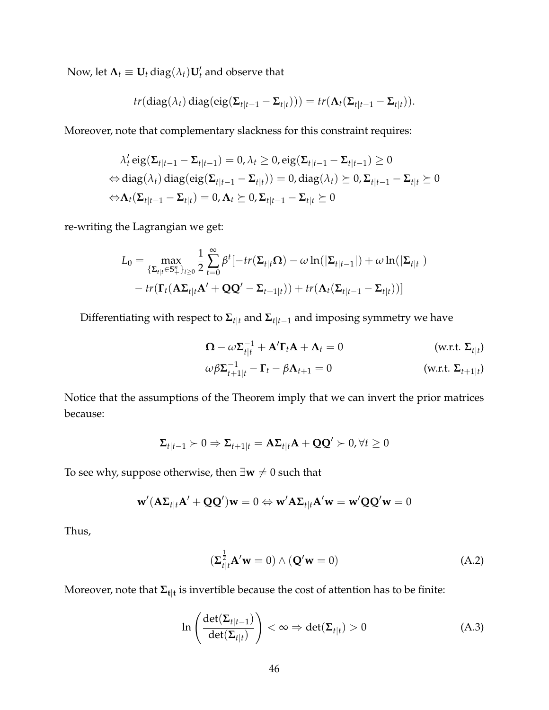Now, let  $\mathbf{\Lambda}_t \equiv \mathbf{U}_t \operatorname{diag}(\lambda_t) \mathbf{U}'_t$  and observe that

$$
tr(\text{diag}(\lambda_t) \text{diag}(\text{eig}(\Sigma_{t|t-1} - \Sigma_{t|t}))) = tr(\Lambda_t(\Sigma_{t|t-1} - \Sigma_{t|t})).
$$

Moreover, note that complementary slackness for this constraint requires:

$$
\lambda'_t \operatorname{eig}(\Sigma_{t|t-1} - \Sigma_{t|t-1}) = 0, \lambda_t \ge 0, \operatorname{eig}(\Sigma_{t|t-1} - \Sigma_{t|t-1}) \ge 0
$$
  
\n
$$
\Leftrightarrow \operatorname{diag}(\lambda_t) \operatorname{diag}(\operatorname{eig}(\Sigma_{t|t-1} - \Sigma_{t|t})) = 0, \operatorname{diag}(\lambda_t) \ge 0, \Sigma_{t|t-1} - \Sigma_{t|t} \ge 0
$$
  
\n
$$
\Leftrightarrow \Lambda_t(\Sigma_{t|t-1} - \Sigma_{t|t}) = 0, \Lambda_t \ge 0, \Sigma_{t|t-1} - \Sigma_{t|t} \ge 0
$$

re-writing the Lagrangian we get:

$$
L_0 = \max_{\{\Sigma_{t|t}\in\mathbb{S}_+^n\}_{t\geq 0}} \frac{1}{2} \sum_{t=0}^\infty \beta^t \left[ -tr(\Sigma_{t|t}\Omega) - \omega \ln(|\Sigma_{t|t-1}|) + \omega \ln(|\Sigma_{t|t}|) \right. \\ \left. - tr(\Gamma_t(\mathbf{A}\Sigma_{t|t}\mathbf{A}' + \mathbf{Q}\mathbf{Q}' - \Sigma_{t+1|t})) + tr(\mathbf{A}_t(\Sigma_{t|t-1} - \Sigma_{t|t})) \right]
$$

Differentiating with respect to  $\Sigma_{t|t}$  and  $\Sigma_{t|t-1}$  and imposing symmetry we have

$$
\Omega - \omega \Sigma_{t|t}^{-1} + A' \Gamma_t A + \Lambda_t = 0
$$
 (w.r.t.  $\Sigma_{t|t}$ )  

$$
\omega \beta \Sigma_{t+1|t}^{-1} - \Gamma_t - \beta \Lambda_{t+1} = 0
$$
 (w.r.t.  $\Sigma_{t+1|t}$ )

Notice that the assumptions of the Theorem imply that we can invert the prior matrices because:

$$
\Sigma_{t|t-1} \succ 0 \Rightarrow \Sigma_{t+1|t} = A\Sigma_{t|t}A + QQ' \succ 0, \forall t \ge 0
$$

To see why, suppose otherwise, then  $\exists w \neq 0$  such that

$$
\mathbf{w}'(\mathbf{A}\boldsymbol{\Sigma}_{t|t}\mathbf{A}'+\mathbf{Q}\mathbf{Q}')\mathbf{w} = 0 \Leftrightarrow \mathbf{w}'\mathbf{A}\boldsymbol{\Sigma}_{t|t}\mathbf{A}'\mathbf{w} = \mathbf{w}'\mathbf{Q}\mathbf{Q}'\mathbf{w} = 0
$$

Thus,

$$
\left(\Sigma_{t|t}^{\frac{1}{2}}\mathbf{A}'\mathbf{w}=0\right) \wedge \left(\mathbf{Q}'\mathbf{w}=0\right) \tag{A.2}
$$

Moreover, note that **Σt**|**<sup>t</sup>** is invertible because the cost of attention has to be finite:

$$
\ln\left(\frac{\det(\Sigma_{t|t-1})}{\det(\Sigma_{t|t})}\right) < \infty \Rightarrow \det(\Sigma_{t|t}) > 0 \tag{A.3}
$$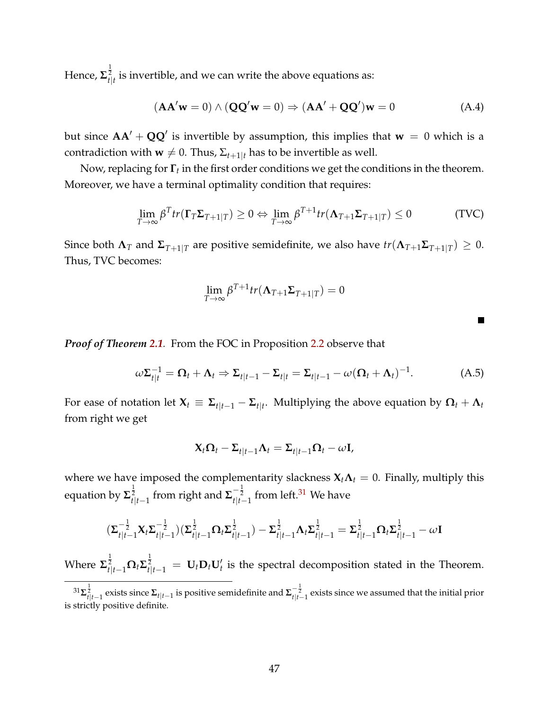Hence,  $\mathbf{\Sigma}_{t|t}^{\frac{1}{2}}$  is invertible, and we can write the above equations as:

$$
(\mathbf{A}\mathbf{A}'\mathbf{w}=0) \wedge (\mathbf{Q}\mathbf{Q}'\mathbf{w}=0) \Rightarrow (\mathbf{A}\mathbf{A}' + \mathbf{Q}\mathbf{Q}')\mathbf{w}=0
$$
 (A.4)

but since  $AA' + QQ'$  is invertible by assumption, this implies that  $w = 0$  which is a contradiction with **w**  $\neq$  0. Thus,  $\Sigma_{t+1|t}$  has to be invertible as well.

Now, replacing for **Γ***<sup>t</sup>* in the first order conditions we get the conditions in the theorem. Moreover, we have a terminal optimality condition that requires:

$$
\lim_{T \to \infty} \beta^T tr(\mathbf{\Gamma}_T \mathbf{\Sigma}_{T+1|T}) \ge 0 \Leftrightarrow \lim_{T \to \infty} \beta^{T+1} tr(\mathbf{\Lambda}_{T+1} \mathbf{\Sigma}_{T+1|T}) \le 0
$$
\n(TVC)

Since both  $\Lambda_T$  and  $\Sigma_{T+1|T}$  are positive semidefinite, we also have  $tr(\Lambda_{T+1}\Sigma_{T+1|T}) \geq 0$ . Thus, TVC becomes:

$$
\lim_{T \to \infty} \beta^{T+1} tr(\mathbf{\Lambda}_{T+1} \Sigma_{T+1|T}) = 0
$$

*Proof of Theorem [2.1](#page-9-4).* From the FOC in Proposition [2.2](#page-8-1) observe that

$$
\omega \Sigma_{t|t}^{-1} = \Omega_t + \Lambda_t \Rightarrow \Sigma_{t|t-1} - \Sigma_{t|t} = \Sigma_{t|t-1} - \omega (\Omega_t + \Lambda_t)^{-1}.
$$
 (A.5)

 $\blacksquare$ 

For ease of notation let  $\mathbf{X}_t \equiv \mathbf{\Sigma}_{t|t-1} - \mathbf{\Sigma}_{t|t}.$  Multiplying the above equation by  $\mathbf{\Omega}_t + \mathbf{\Lambda}_t$ from right we get

$$
\mathbf{X}_t \mathbf{\Omega}_t - \mathbf{\Sigma}_{t|t-1} \mathbf{\Lambda}_t = \mathbf{\Sigma}_{t|t-1} \mathbf{\Omega}_t - \omega \mathbf{I},
$$

where we have imposed the complementarity slackness  $X_t \Lambda_t = 0$ . Finally, multiply this equation by Σ $_{t|t-1}^{1 \over 2}$  from right and Σ $_{t|t-1}^{-{1 \over 2}}$  from left.<sup>[31](#page-0-0)</sup> We have

$$
(\Sigma_{t|t-1}^{-\frac{1}{2}} \mathbf{X}_{t} \Sigma_{t|t-1}^{-\frac{1}{2}}) (\Sigma_{t|t-1}^{\frac{1}{2}} \Omega_{t} \Sigma_{t|t-1}^{\frac{1}{2}}) - \Sigma_{t|t-1}^{\frac{1}{2}} \Lambda_{t} \Sigma_{t|t-1}^{\frac{1}{2}} = \Sigma_{t|t-1}^{\frac{1}{2}} \Omega_{t} \Sigma_{t|t-1}^{\frac{1}{2}} - \omega \mathbf{I}
$$

Where  $\mathbf{\Sigma}_{t|t-1}^{\frac{1}{2}} \mathbf{\Omega}_t \mathbf{\Sigma}_{t|t-1}^{\frac{1}{2}} = \mathbf{U}_t \mathbf{D}_t \mathbf{U}_t'$  is the spectral decomposition stated in the Theorem.

 ${}^{31}\Sigma_{t|t-1}^{\frac12}$  exists since  $\Sigma_{t|t-1}$  is positive semidefinite and  $\Sigma_{t|t-1}^{-\frac12}$  exists since we assumed that the initial prior is strictly positive definite.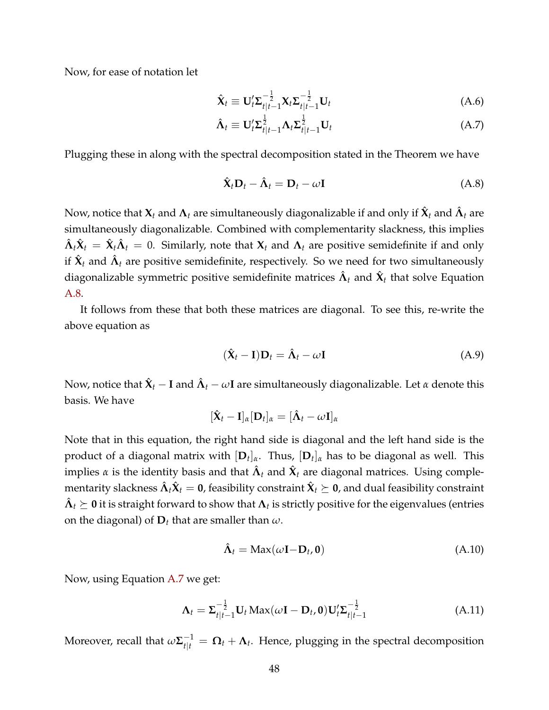Now, for ease of notation let

<span id="page-47-1"></span>
$$
\hat{\mathbf{X}}_t \equiv \mathbf{U}_t^{\prime} \boldsymbol{\Sigma}_{t|t-1}^{-\frac{1}{2}} \mathbf{X}_t \boldsymbol{\Sigma}_{t|t-1}^{-\frac{1}{2}} \mathbf{U}_t
$$
\n(A.6)

$$
\hat{\Lambda}_t \equiv \mathbf{U}_t^{\prime} \Sigma_{t|t-1}^{\frac{1}{2}} \Lambda_t \Sigma_{t|t-1}^{\frac{1}{2}} \mathbf{U}_t
$$
\n(A.7)

Plugging these in along with the spectral decomposition stated in the Theorem we have

<span id="page-47-0"></span>
$$
\hat{\mathbf{X}}_t \mathbf{D}_t - \hat{\mathbf{\Lambda}}_t = \mathbf{D}_t - \omega \mathbf{I}
$$
 (A.8)

Now, notice that  $\mathbf{X}_t$  and  $\mathbf{\Lambda}_t$  are simultaneously diagonalizable if and only if  $\hat{\mathbf{X}}_t$  and  $\hat{\mathbf{\Lambda}}_t$  are simultaneously diagonalizable. Combined with complementarity slackness, this implies  $\hat{\bm{\Lambda}}_t\hat{\bm{X}}_t = \hat{\bm{X}}_t\hat{\bm{\Lambda}}_t = 0$ . Similarly, note that  $\bm{X}_t$  and  $\bm{\Lambda}_t$  are positive semidefinite if and only if  $\hat{\mathbf{X}}_t$  and  $\hat{\mathbf{\Lambda}}_t$  are positive semidefinite, respectively. So we need for two simultaneously diagonalizable symmetric positive semidefinite matrices  $\hat{\bm{\Lambda}}_t$  and  $\hat{\bm{\mathsf{X}}}_t$  that solve Equation [A.8.](#page-47-0)

It follows from these that both these matrices are diagonal. To see this, re-write the above equation as

$$
(\hat{\mathbf{X}}_t - \mathbf{I})\mathbf{D}_t = \hat{\mathbf{\Lambda}}_t - \omega \mathbf{I}
$$
 (A.9)

Now, notice that  $\hat{\bm{X}}_t - \bm{I}$  and  $\hat{\bm{\Lambda}}_t - \omega \textbf{I}$  are simultaneously diagonalizable. Let  $\alpha$  denote this basis. We have

$$
[\hat{\mathbf{X}}_t - \mathbf{I}]_{\alpha} [\mathbf{D}_t]_{\alpha} = [\hat{\mathbf{\Lambda}}_t - \omega \mathbf{I}]_{\alpha}
$$

Note that in this equation, the right hand side is diagonal and the left hand side is the product of a diagonal matrix with [**D***<sup>t</sup>* ]*α*. Thus, [**D***<sup>t</sup>* ]*<sup>α</sup>* has to be diagonal as well. This implies  $\alpha$  is the identity basis and that  $\hat{\bm{\Lambda}}_t$  and  $\hat{\bm{\chi}}_t$  are diagonal matrices. Using comple- $\hat{\bm{\Lambda}}_t$  mentarity slackness  $\hat{\bm{\Lambda}}_t \hat{\bm{X}}_t =$   $\bm{0}$ , feasibility constraint  $\hat{\bm{X}}_t \succeq$   $\bm{0}$ , and dual feasibility constraint  $\hat{\bm{\Lambda}}_t \succeq \bm{0}$  it is straight forward to show that  $\bm{\Lambda}_t$  is strictly positive for the eigenvalues (entries on the diagonal) of  $D_t$  that are smaller than  $\omega$ .

<span id="page-47-2"></span>
$$
\hat{\Lambda}_t = \text{Max}(\omega \mathbf{I} - \mathbf{D}_t, \mathbf{0}) \tag{A.10}
$$

Now, using Equation [A.7](#page-47-1) we get:

$$
\Lambda_t = \Sigma_{t|t-1}^{-\frac{1}{2}} \mathbf{U}_t \operatorname{Max}(\omega \mathbf{I} - \mathbf{D}_t, \mathbf{0}) \mathbf{U}_t' \Sigma_{t|t-1}^{-\frac{1}{2}}
$$
(A.11)

Moreover, recall that  $\omega \mathbf{\Sigma}_{t|t}^{-1} = \mathbf{\Omega}_t + \mathbf{\Lambda}_t$ . Hence, plugging in the spectral decomposition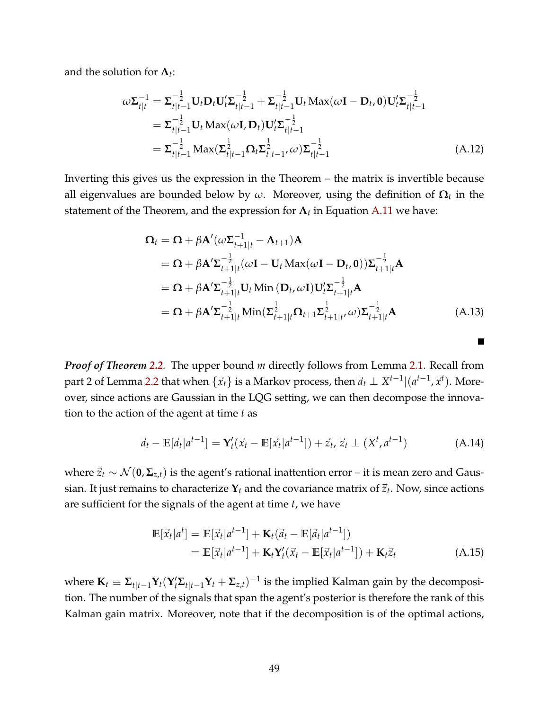and the solution for  $\boldsymbol{\Lambda}_t$ :

$$
\omega \Sigma_{t|t}^{-1} = \Sigma_{t|t-1}^{-\frac{1}{2}} \mathbf{U}_t \mathbf{D}_t \mathbf{U}_t' \Sigma_{t|t-1}^{-\frac{1}{2}} + \Sigma_{t|t-1}^{-\frac{1}{2}} \mathbf{U}_t \operatorname{Max}(\omega \mathbf{I} - \mathbf{D}_t, \mathbf{0}) \mathbf{U}_t' \Sigma_{t|t-1}^{-\frac{1}{2}}
$$
\n
$$
= \Sigma_{t|t-1}^{-\frac{1}{2}} \mathbf{U}_t \operatorname{Max}(\omega \mathbf{I}, \mathbf{D}_t) \mathbf{U}_t' \Sigma_{t|t-1}^{-\frac{1}{2}}
$$
\n
$$
= \Sigma_{t|t-1}^{-\frac{1}{2}} \operatorname{Max}(\Sigma_{t|t-1}^{\frac{1}{2}} \Omega_t \Sigma_{t|t-1}^{\frac{1}{2}} \omega) \Sigma_{t|t-1}^{-\frac{1}{2}}
$$
\n(A.12)

Inverting this gives us the expression in the Theorem – the matrix is invertible because all eigenvalues are bounded below by *ω*. Moreover, using the definition of **Ω***<sup>t</sup>* in the statement of the Theorem, and the expression for **Λ***<sup>t</sup>* in Equation [A.11](#page-47-2) we have:

$$
\Omega_{t} = \Omega + \beta \mathbf{A}'(\omega \Sigma_{t+1|t}^{-1} - \Lambda_{t+1}) \mathbf{A}
$$
  
\n
$$
= \Omega + \beta \mathbf{A}' \Sigma_{t+1|t}^{-\frac{1}{2}} (\omega \mathbf{I} - \mathbf{U}_{t} \text{ Max}(\omega \mathbf{I} - \mathbf{D}_{t}, \mathbf{0})) \Sigma_{t+1|t}^{-\frac{1}{2}} \mathbf{A}
$$
  
\n
$$
= \Omega + \beta \mathbf{A}' \Sigma_{t+1|t}^{-\frac{1}{2}} \mathbf{U}_{t} \text{ Min} (\mathbf{D}_{t}, \omega \mathbf{I}) \mathbf{U}_{t}' \Sigma_{t+1|t}^{-\frac{1}{2}} \mathbf{A}
$$
  
\n
$$
= \Omega + \beta \mathbf{A}' \Sigma_{t+1|t}^{-\frac{1}{2}} \text{Min}(\Sigma_{t+1|t}^{\frac{1}{2}} \Omega_{t+1} \Sigma_{t+1|t}^{\frac{1}{2}} \omega) \Sigma_{t+1|t}^{-\frac{1}{2}} \mathbf{A}
$$
 (A.13)

<span id="page-48-0"></span>**The Second Service** 

*Proof of Theorem [2.2](#page-10-0).* The upper bound *m* directly follows from Lemma [2.1.](#page-6-1) Recall from part 2 of Lemma [2.2](#page-6-2) that when  $\{\vec{x}_t\}$  is a Markov process, then  $\vec{a}_t \perp X^{t-1}|(a^{t-1},\vec{x}^t).$  Moreover, since actions are Gaussian in the LQG setting, we can then decompose the innovation to the action of the agent at time *t* as

$$
\vec{a}_t - \mathbb{E}[\vec{a}_t|a^{t-1}] = \mathbf{Y}_t'(\vec{x}_t - \mathbb{E}[\vec{x}_t|a^{t-1}]) + \vec{z}_t, \vec{z}_t \perp (X^t, a^{t-1})
$$
(A.14)

where  $\vec{z}_t$  ∼  $\mathcal{N}(\mathbf{0}, \mathbf{\Sigma}_{z,t})$  is the agent's rational inattention error – it is mean zero and Gaussian. It just remains to characterize  $\mathbf{Y}_t$  and the covariance matrix of  $\vec{z}_t$ . Now, since actions are sufficient for the signals of the agent at time *t*, we have

$$
\mathbb{E}\left[\vec{x}_t|a^t\right] = \mathbb{E}\left[\vec{x}_t|a^{t-1}\right] + \mathbf{K}_t(\vec{a}_t - \mathbb{E}\left[\vec{a}_t|a^{t-1}\right])
$$
\n
$$
= \mathbb{E}\left[\vec{x}_t|a^{t-1}\right] + \mathbf{K}_t\mathbf{Y}_t'(\vec{x}_t - \mathbb{E}\left[\vec{x}_t|a^{t-1}\right]) + \mathbf{K}_t\vec{z}_t
$$
\n(A.15)

where  $\mathbf{K}_t \equiv \mathbf{\Sigma}_{t|t-1} \mathbf{Y}_t (\mathbf{Y}_t' \mathbf{\Sigma}_{t|t-1} \mathbf{Y}_t + \mathbf{\Sigma}_{z,t})^{-1}$  is the implied Kalman gain by the decomposition. The number of the signals that span the agent's posterior is therefore the rank of this Kalman gain matrix. Moreover, note that if the decomposition is of the optimal actions,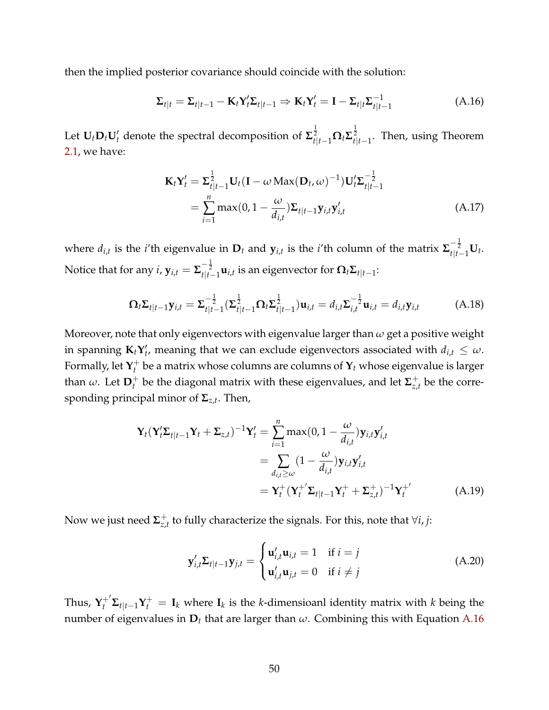then the implied posterior covariance should coincide with the solution:

<span id="page-49-0"></span>
$$
\Sigma_{t|t} = \Sigma_{t|t-1} - \mathbf{K}_t \mathbf{Y}_t' \Sigma_{t|t-1} \Rightarrow \mathbf{K}_t \mathbf{Y}_t' = \mathbf{I} - \Sigma_{t|t} \Sigma_{t|t-1}^{-1}
$$
(A.16)

Let  $U_t D_t U'_t$  denote the spectral decomposition of  $\Sigma_{t|t-1}^{\frac{1}{2}} \Omega_t \Sigma_{t|t-1}^{\frac{1}{2}}$ . Then, using Theorem [2.1,](#page-9-4) we have:

$$
\mathbf{K}_{t}\mathbf{Y}_{t}^{\prime} = \boldsymbol{\Sigma}_{t|t-1}^{\frac{1}{2}}\mathbf{U}_{t}(\mathbf{I} - \omega \operatorname{Max}(\mathbf{D}_{t}, \omega)^{-1})\mathbf{U}_{t}^{\prime}\boldsymbol{\Sigma}_{t|t-1}^{-\frac{1}{2}}
$$

$$
= \sum_{i=1}^{n} \max(0, 1 - \frac{\omega}{d_{i,t}})\boldsymbol{\Sigma}_{t|t-1}\mathbf{y}_{i,t}\mathbf{y}_{i,t}^{\prime}
$$
(A.17)

where  $d_{i,t}$  is the *i*'th eigenvalue in  $D_t$  and  $y_{i,t}$  is the *i*'th column of the matrix  $\sum_{t|t-1}^{-\frac{1}{2}} U_t$ . Notice that for any  $i$ ,  $\mathbf{y}_{i,t} = \mathbf{\Sigma}_{t|t-1}^{-\frac{1}{2}} \mathbf{u}_{i,t}$  is an eigenvector for  $\mathbf{\Omega}_t \mathbf{\Sigma}_{t|t-1}$ :

$$
\Omega_t \Sigma_{t|t-1} \mathbf{y}_{i,t} = \Sigma_{t|t-1}^{-\frac{1}{2}} (\Sigma_{t|t-1}^{\frac{1}{2}} \Omega_t \Sigma_{t|t-1}^{\frac{1}{2}}) \mathbf{u}_{i,t} = d_{i,t} \Sigma_{i,t}^{-\frac{1}{2}} \mathbf{u}_{i,t} = d_{i,t} \mathbf{y}_{i,t}
$$
(A.18)

Moreover, note that only eigenvectors with eigenvalue larger than *ω* get a positive weight in spanning  $\mathbf{K}_t \mathbf{Y}'_t$ , meaning that we can exclude eigenvectors associated with  $d_{i,t} \leq \omega$ . Formally, let  $\mathbf{Y}_t^+$ *t* be a matrix whose columns are columns of **Y***<sup>t</sup>* whose eigenvalue is larger than  $\omega$ . Let  $\mathbf{D}_t^+$  be the diagonal matrix with these eigenvalues, and let  $\mathbf{\Sigma}_{z_i}^+$  $\sigma_{z,t}^+$  be the corresponding principal minor of **Σ***z*,*<sup>t</sup>* . Then,

$$
\mathbf{Y}_{t}(\mathbf{Y}_{t}^{\prime}\boldsymbol{\Sigma}_{t|t-1}\mathbf{Y}_{t}+\boldsymbol{\Sigma}_{z,t})^{-1}\mathbf{Y}_{t}^{\prime}=\sum_{i=1}^{n}\max(0,1-\frac{\omega}{d_{i,t}})\mathbf{y}_{i,t}\mathbf{y}_{i,t}^{\prime}\n=\sum_{d_{i,t}\geq\omega}(1-\frac{\omega}{d_{i,t}})\mathbf{y}_{i,t}\mathbf{y}_{i,t}^{\prime}\n=\mathbf{Y}_{t}^{+}(\mathbf{Y}_{t}^{+}\mathbf{\Sigma}_{t|t-1}\mathbf{Y}_{t}^{+}+\boldsymbol{\Sigma}_{z,t}^{+})^{-1}\mathbf{Y}_{t}^{+}
$$
\n(A.19)

Now we just need **Σ** + *z*,*t* to fully characterize the signals. For this, note that ∀*i*, *j*:

$$
\mathbf{y}'_{i,t}\mathbf{\Sigma}_{t|t-1}\mathbf{y}_{j,t} = \begin{cases} \mathbf{u}'_{i,t}\mathbf{u}_{i,t} = 1 & \text{if } i = j\\ \mathbf{u}'_{i,t}\mathbf{u}_{j,t} = 0 & \text{if } i \neq j \end{cases}
$$
(A.20)

Thus,  $\mathbf{Y}_t^{+'}\mathbf{\Sigma}_{t|t-1}\mathbf{Y}_t^{+} = \mathbf{I}_k$  where  $\mathbf{I}_k$  is the *k*-dimensioanl identity matrix with *k* being the number of eigenvalues in **D***<sup>t</sup>* that are larger than *ω*. Combining this with Equation [A.16](#page-49-0)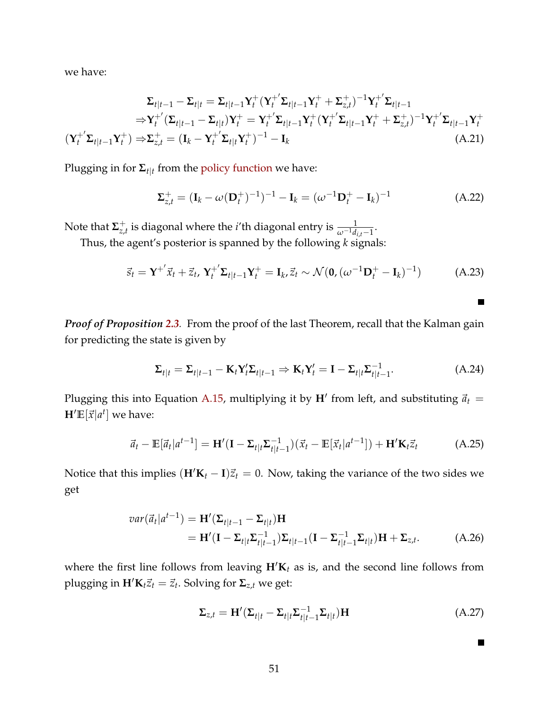we have:

$$
\Sigma_{t|t-1} - \Sigma_{t|t} = \Sigma_{t|t-1} Y_t^+ (Y_t^+ \Sigma_{t|t-1} Y_t^+ + \Sigma_{z,t}^+)^{-1} Y_t^+ \Sigma_{t|t-1}
$$
\n
$$
\Rightarrow Y_t^+ ( \Sigma_{t|t-1} - \Sigma_{t|t} ) Y_t^+ = Y_t^+ \Sigma_{t|t-1} Y_t^+ (Y_t^+ \Sigma_{t|t-1} Y_t^+ + \Sigma_{z,t}^+)^{-1} Y_t^+ \Sigma_{t|t-1} Y_t^+
$$
\n
$$
(Y_t^+ \Sigma_{t|t-1} Y_t^+) \Rightarrow \Sigma_{z,t}^+ = (I_k - Y_t^+ \Sigma_{t|t} Y_t^+)^{-1} - I_k
$$
\n(A.21)

Plugging in for **Σ***t*|*<sup>t</sup>* from the [policy function](#page-9-0) we have:

$$
\Sigma_{z,t}^{+} = (\mathbf{I}_k - \omega(\mathbf{D}_t^{+})^{-1})^{-1} - \mathbf{I}_k = (\omega^{-1}\mathbf{D}_t^{+} - \mathbf{I}_k)^{-1}
$$
(A.22)

Note that **Σ** +  $\frac{1}{z,t}$  is diagonal where the *i*'th diagonal entry is  $\frac{1}{\omega^{-1}d_{i,t}-1}$ .

Thus, the agent's posterior is spanned by the following *k* signals:

$$
\vec{s}_t = \mathbf{Y}^{+'} \vec{x}_t + \vec{z}_t, \, \mathbf{Y}_t^{+'} \mathbf{\Sigma}_{t|t-1} \mathbf{Y}_t^+ = \mathbf{I}_k, \vec{z}_t \sim \mathcal{N}(\mathbf{0}, (\omega^{-1} \mathbf{D}_t^+ - \mathbf{I}_k)^{-1}) \tag{A.23}
$$

*Proof of Proposition [2.3](#page-10-1).* From the proof of the last Theorem, recall that the Kalman gain for predicting the state is given by

$$
\Sigma_{t|t} = \Sigma_{t|t-1} - \mathbf{K}_t \mathbf{Y}_t' \Sigma_{t|t-1} \Rightarrow \mathbf{K}_t \mathbf{Y}_t' = \mathbf{I} - \Sigma_{t|t} \Sigma_{t|t-1}^{-1}.
$$
 (A.24)

Plugging this into Equation [A.15,](#page-48-0) multiplying it by  $H'$  from left, and substituting  $\vec{a}_t$  =  $\mathbf{H}'\mathbb{E}[\vec{x}|a^t]$  we have:

$$
\vec{a}_t - \mathbb{E}[\vec{a}_t|a^{t-1}] = \mathbf{H}'(\mathbf{I} - \Sigma_{t|t}\Sigma_{t|t-1}^{-1})(\vec{x}_t - \mathbb{E}[\vec{x}_t|a^{t-1}]) + \mathbf{H}'\mathbf{K}_t\vec{z}_t
$$
(A.25)

Notice that this implies  $(H/K_t - I)\vec{z}_t = 0$ . Now, taking the variance of the two sides we get

$$
var(\vec{a}_t|a^{t-1}) = \mathbf{H}'(\Sigma_{t|t-1} - \Sigma_{t|t})\mathbf{H}
$$
  
= 
$$
\mathbf{H}'(\mathbf{I} - \Sigma_{t|t}\Sigma_{t|t-1}^{-1})\Sigma_{t|t-1}(\mathbf{I} - \Sigma_{t|t-1}^{-1}\Sigma_{t|t})\mathbf{H} + \Sigma_{z,t}.
$$
 (A.26)

where the first line follows from leaving  $H/K_t$  as is, and the second line follows from plugging in  $\mathbf{H}'\mathbf{K}_t\vec{z}_t = \vec{z}_t$ . Solving for  $\Sigma_{z,t}$  we get:

$$
\Sigma_{z,t} = \mathbf{H}'(\Sigma_{t|t} - \Sigma_{t|t}\Sigma_{t|t-1}^{-1}\Sigma_{t|t})\mathbf{H}
$$
\n(A.27)

 $\blacksquare$ 

 $\blacksquare$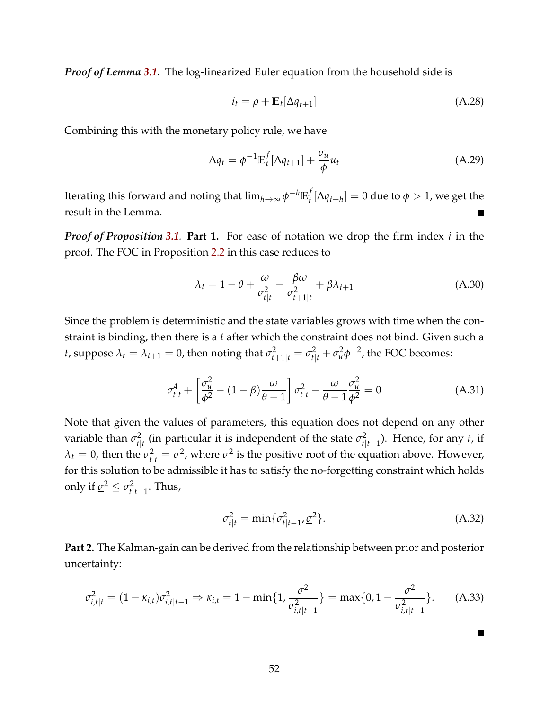*Proof of Lemma [3.1](#page-14-0).* The log-linearized Euler equation from the household side is

$$
i_t = \rho + \mathbb{E}_t[\Delta q_{t+1}] \tag{A.28}
$$

Combining this with the monetary policy rule, we have

$$
\Delta q_t = \phi^{-1} \mathbb{E}_t^f [\Delta q_{t+1}] + \frac{\sigma_u}{\phi} u_t \tag{A.29}
$$

Iterating this forward and noting that  $\lim_{h\to\infty} \phi^{-h} \mathbb{E}_t^f$  $\mu$ <sup>*l*</sup>  $[\Delta q$ <sub>*t*+*h*</sub> $] = 0$  due to  $\phi > 1$ , we get the result in the Lemma.

*Proof of Proposition [3.1](#page-16-0).* **Part 1.** For ease of notation we drop the firm index *i* in the proof. The FOC in Proposition [2.2](#page-8-1) in this case reduces to

$$
\lambda_t = 1 - \theta + \frac{\omega}{\sigma_{t|t}^2} - \frac{\beta \omega}{\sigma_{t+1|t}^2} + \beta \lambda_{t+1}
$$
\n(A.30)

Since the problem is deterministic and the state variables grows with time when the constraint is binding, then there is a *t* after which the constraint does not bind. Given such a *t*, suppose  $\lambda_t = \lambda_{t+1} = 0$ , then noting that  $\sigma_{t+1|t}^2 = \sigma_{t|t}^2 + \sigma_u^2 \phi^{-2}$ , the FOC becomes:

$$
\sigma_{t|t}^4 + \left[\frac{\sigma_u^2}{\phi^2} - (1 - \beta)\frac{\omega}{\theta - 1}\right] \sigma_{t|t}^2 - \frac{\omega}{\theta - 1} \frac{\sigma_u^2}{\phi^2} = 0 \tag{A.31}
$$

Note that given the values of parameters, this equation does not depend on any other variable than *σ*<sup>2</sup><sub>tl</sub>  $t_{t|t}^2$  (in particular it is independent of the state  $\sigma_{t|t}^2$  $t|_{t-1}$ ). Hence, for any *t*, if  $\lambda_t = 0$ , then the  $\sigma_{t|t}^2 = \underline{\sigma}^2$ , where  $\underline{\sigma}^2$  is the positive root of the equation above. However, for this solution to be admissible it has to satisfy the no-forgetting constraint which holds only if  $\underline{\sigma}^2 \leq \sigma_{\text{H}}^2$ *t*|*t*−1 . Thus,

$$
\sigma_{t|t}^2 = \min \{ \sigma_{t|t-1}^2, \underline{\sigma}^2 \}. \tag{A.32}
$$

<span id="page-51-0"></span>H.

**Part 2.** The Kalman-gain can be derived from the relationship between prior and posterior uncertainty:

$$
\sigma_{i,t|t}^2 = (1 - \kappa_{i,t})\sigma_{i,t|t-1}^2 \Rightarrow \kappa_{i,t} = 1 - \min\{1, \frac{\sigma^2}{\sigma_{i,t|t-1}^2}\} = \max\{0, 1 - \frac{\sigma^2}{\sigma_{i,t|t-1}^2}\}.
$$
 (A.33)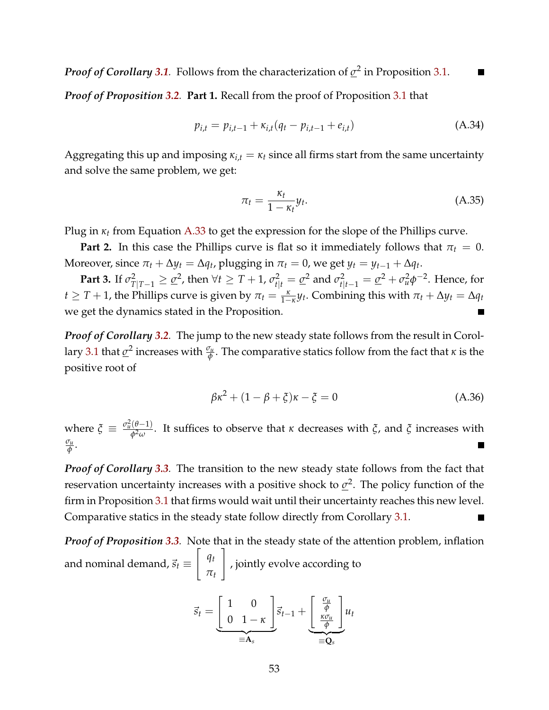*Proof of Corollary* [3.1](#page-17-0). Follows from the characterization of  $\sigma^2$  in Proposition [3.1.](#page-16-0) П

*Proof of Proposition [3.2](#page-18-0).* **Part 1.** Recall from the proof of Proposition [3.1](#page-16-0) that

$$
p_{i,t} = p_{i,t-1} + \kappa_{i,t}(q_t - p_{i,t-1} + e_{i,t})
$$
 (A.34)

Aggregating this up and imposing  $\kappa_{i,t} = \kappa_t$  since all firms start from the same uncertainty and solve the same problem, we get:

$$
\pi_t = \frac{\kappa_t}{1 - \kappa_t} y_t.
$$
\n(A.35)

Plug in *κ<sup>t</sup>* from Equation [A.33](#page-51-0) to get the expression for the slope of the Phillips curve.

**Part 2.** In this case the Phillips curve is flat so it immediately follows that  $\pi_t = 0$ . Moreover, since  $\pi_t + \Delta y_t = \Delta q_t$ , plugging in  $\pi_t = 0$ , we get  $y_t = y_{t-1} + \Delta q_t$ .

**Part 3.** If  $\sigma_{T|T-1}^2 \geq \underline{\sigma}^2$ , then  $\forall t \geq T+1$ ,  $\sigma_{t|t}^2 = \underline{\sigma}^2$  and  $\sigma_{t|t-1}^2 = \underline{\sigma}^2 + \sigma_u^2 \phi^{-2}$ . Hence, for  $t \geq T + 1$ , the Phillips curve is given by  $\pi_t = \frac{\kappa}{1-\kappa} y_t$ . Combining this with  $\pi_t + \Delta y_t = \Delta q_t$ we get the dynamics stated in the Proposition.

*Proof of Corollary [3.2](#page-20-0).* The jump to the new steady state follows from the result in Corol-lary [3.1](#page-17-0) that  $\underline{\sigma}^2$  increases with  $\frac{\sigma_u}{\phi}$ . The comparative statics follow from the fact that  $\kappa$  is the positive root of

$$
\beta \kappa^2 + (1 - \beta + \xi)\kappa - \xi = 0 \tag{A.36}
$$

where  $\zeta \equiv \frac{\sigma_u^2(\theta-1)}{\phi_0^2(\theta)}$ *φ*2*ω* . It suffices to observe that *κ* decreases with *ξ*, and *ξ* increases with *σu φ* .

*Proof of Corollary [3.3](#page-21-0).* The transition to the new steady state follows from the fact that reservation uncertainty increases with a positive shock to  $σ<sup>2</sup>$ . The policy function of the</u> firm in Proposition [3.1](#page-16-0) that firms would wait until their uncertainty reaches this new level. Comparative statics in the steady state follow directly from Corollary [3.1.](#page-17-0)

*Proof of Proposition [3.3](#page-22-0).* Note that in the steady state of the attention problem, inflation and nominal demand,  $\vec{s}_t \equiv$  $\int q_t$ *πt* 1 , jointly evolve according to

$$
\vec{s}_t = \underbrace{\begin{bmatrix} 1 & 0 \\ 0 & 1 - \kappa \end{bmatrix}}_{\equiv \mathbf{A}_s} \vec{s}_{t-1} + \underbrace{\begin{bmatrix} \frac{\sigma_u}{\phi} \\ \frac{\kappa \sigma_u}{\phi} \end{bmatrix}}_{\equiv \mathbf{Q}_s} u_t
$$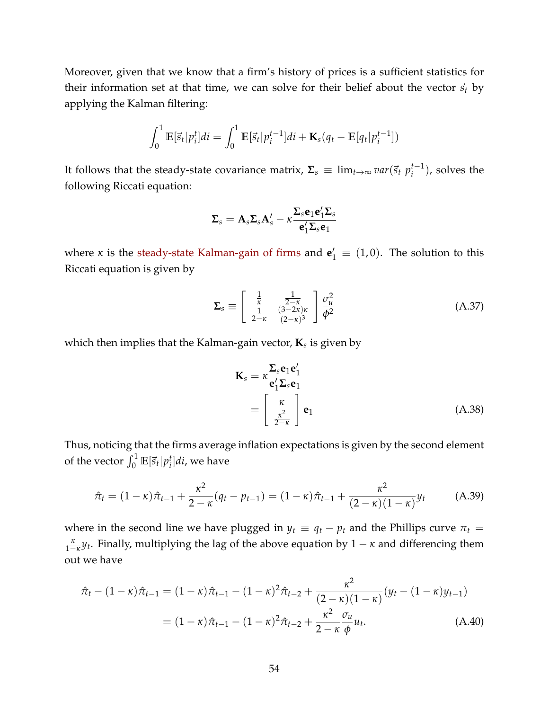Moreover, given that we know that a firm's history of prices is a sufficient statistics for their information set at that time, we can solve for their belief about the vector  $\vec{s}_t$  by applying the Kalman filtering:

$$
\int_0^1 \mathbb{E}[\vec{s}_t|p_i^t]di = \int_0^1 \mathbb{E}[\vec{s}_t|p_i^{t-1}]di + \mathbf{K}_s(q_t - \mathbb{E}[q_t|p_i^{t-1}])
$$

It follows that the steady-state covariance matrix,  $\mathbf{\Sigma}_s \, \equiv \, \lim_{t \to \infty} var(\vec{s}_t | p_i^{t-1})$  $i^{t-1}$ ), solves the following Riccati equation:

$$
\pmb{\Sigma}_s=\pmb{A}_s\pmb{\Sigma}_s\pmb{A}_s'-\kappa\frac{\pmb{\Sigma}_s\pmb{e}_1\pmb{e}_1'\pmb{\Sigma}_s}{\pmb{e}_1'\pmb{\Sigma}_s\pmb{e}_1}
$$

where *κ* is the [steady-state Kalman-gain of firms](#page-17-1) and  $\mathbf{e}'_1 \equiv (1,0)$ . The solution to this Riccati equation is given by

$$
\Sigma_s \equiv \begin{bmatrix} \frac{1}{\kappa} & \frac{1}{2-\kappa} \\ \frac{1}{2-\kappa} & \frac{(3-2\kappa)\kappa}{(2-\kappa)^3} \end{bmatrix} \frac{\sigma_u^2}{\phi^2}
$$
(A.37)

which then implies that the Kalman-gain vector, **K***<sup>s</sup>* is given by

$$
\mathbf{K}_{s} = \kappa \frac{\mathbf{\Sigma}_{s} \mathbf{e}_{1} \mathbf{e}'_{1}}{\mathbf{e}'_{1} \mathbf{\Sigma}_{s} \mathbf{e}_{1}} \n= \begin{bmatrix} \kappa \\ \frac{\kappa^{2}}{2-\kappa} \end{bmatrix} \mathbf{e}_{1}
$$
\n(A.38)

Thus, noticing that the firms average inflation expectations is given by the second element of the vector  $\int_0^1 \mathbb{E}[\vec{s}_t | p_i^t]$ *i* ]*di*, we have

$$
\hat{\pi}_t = (1 - \kappa)\hat{\pi}_{t-1} + \frac{\kappa^2}{2 - \kappa}(q_t - p_{t-1}) = (1 - \kappa)\hat{\pi}_{t-1} + \frac{\kappa^2}{(2 - \kappa)(1 - \kappa)}y_t \tag{A.39}
$$

where in the second line we have plugged in  $y_t \equiv q_t - p_t$  and the Phillips curve  $\pi_t$  $\frac{\kappa}{1-\kappa}y_t$ . Finally, multiplying the lag of the above equation by  $1-\kappa$  and differencing them out we have

$$
\hat{\pi}_t - (1 - \kappa)\hat{\pi}_{t-1} = (1 - \kappa)\hat{\pi}_{t-1} - (1 - \kappa)^2 \hat{\pi}_{t-2} + \frac{\kappa^2}{(2 - \kappa)(1 - \kappa)}(y_t - (1 - \kappa)y_{t-1})
$$

$$
= (1 - \kappa)\hat{\pi}_{t-1} - (1 - \kappa)^2 \hat{\pi}_{t-2} + \frac{\kappa^2}{2 - \kappa} \frac{\sigma_u}{\phi} u_t.
$$
(A.40)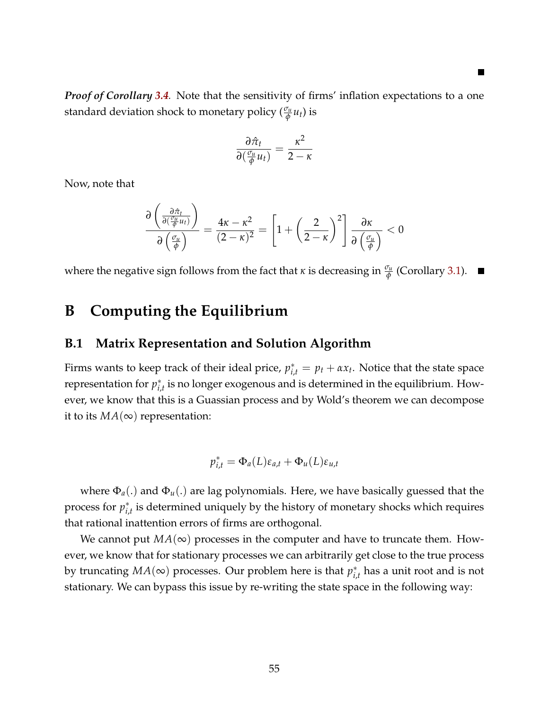*Proof of Corollary [3.4](#page-23-0).* Note that the sensitivity of firms' inflation expectations to a one standard deviation shock to monetary policy  $(\frac{\sigma_u}{\phi}u_t)$  is

$$
\frac{\partial \hat{\pi}_t}{\partial(\frac{\sigma_u}{\phi}u_t)} = \frac{\kappa^2}{2-\kappa}
$$

Now, note that

$$
\frac{\partial \left(\frac{\partial \hat{\pi}_t}{\partial \left(\frac{\sigma_{tt}}{\phi} u_t\right)}\right)}{\partial \left(\frac{\sigma_{tt}}{\phi}\right)} = \frac{4\kappa - \kappa^2}{(2-\kappa)^2} = \left[1 + \left(\frac{2}{2-\kappa}\right)^2\right] \frac{\partial \kappa}{\partial \left(\frac{\sigma_{tt}}{\phi}\right)} < 0
$$

where the negative sign follows from the fact that  $\kappa$  is decreasing in  $\frac{\sigma_u}{\phi}$  (Corollary [3.1\)](#page-17-0).

## **B Computing the Equilibrium**

#### <span id="page-54-0"></span>**B.1 Matrix Representation and Solution Algorithm**

Firms wants to keep track of their ideal price,  $p_{i,t}^* = p_t + \alpha x_t$ . Notice that the state space representation for *p* ∗  $_{i,t}^*$  is no longer exogenous and is determined in the equilibrium. However, we know that this is a Guassian process and by Wold's theorem we can decompose it to its  $MA(\infty)$  representation:

$$
p_{i,t}^* = \Phi_a(L)\varepsilon_{a,t} + \Phi_u(L)\varepsilon_{u,t}
$$

where Φ*a*(.) and Φ*u*(.) are lag polynomials. Here, we have basically guessed that the process for  $p_i^*$ *i*,*t* is determined uniquely by the history of monetary shocks which requires that rational inattention errors of firms are orthogonal.

We cannot put  $MA(\infty)$  processes in the computer and have to truncate them. However, we know that for stationary processes we can arbitrarily get close to the true process by truncating  $MA(\infty)$  processes. Our problem here is that  $p_i^*$ *i*,*t* has a unit root and is not stationary. We can bypass this issue by re-writing the state space in the following way: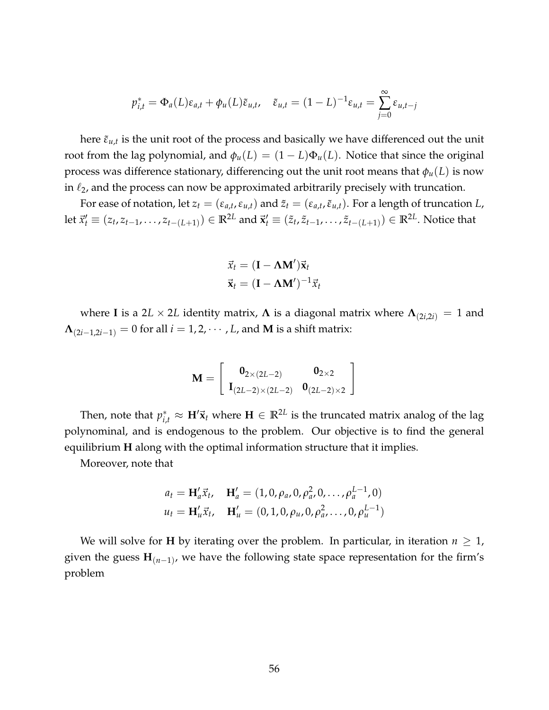$$
p_{i,t}^* = \Phi_a(L)\varepsilon_{a,t} + \phi_u(L)\tilde{\varepsilon}_{u,t}, \quad \tilde{\varepsilon}_{u,t} = (1-L)^{-1}\varepsilon_{u,t} = \sum_{j=0}^{\infty} \varepsilon_{u,t-j}
$$

here  $\tilde{\varepsilon}_{u,t}$  is the unit root of the process and basically we have differenced out the unit root from the lag polynomial, and  $\phi_u(L) = (1 - L)\Phi_u(L)$ . Notice that since the original process was difference stationary, differencing out the unit root means that  $\phi_u(L)$  is now in  $\ell_2$ , and the process can now be approximated arbitrarily precisely with truncation.

For ease of notation, let  $z_t = (\varepsilon_{a,t}, \varepsilon_{u,t})$  and  $\tilde{z}_t = (\varepsilon_{a,t}, \tilde{\varepsilon}_{u,t})$ . For a length of truncation *L*, let  $\vec{x}'_t \equiv (z_t,z_{t-1},\ldots,z_{t-(L+1)}) \in \mathbb{R}^{2L}$  and  $\vec{\mathbf{x}}'_t \equiv (\tilde{z}_t,\tilde{z}_{t-1},\ldots,\tilde{z}_{t-(L+1)}) \in \mathbb{R}^{2L}.$  Notice that

$$
\vec{x}_t = (\mathbf{I} - \mathbf{\Lambda} \mathbf{M}') \vec{\mathbf{x}}_t
$$

$$
\vec{\mathbf{x}}_t = (\mathbf{I} - \mathbf{\Lambda} \mathbf{M}')^{-1} \vec{x}_t
$$

where **I** is a 2*L* × 2*L* identity matrix,  $\Lambda$  is a diagonal matrix where  $\Lambda_{(2i,2i)} = 1$  and  $\Lambda_{(2i-1,2i-1)} = 0$  for all  $i = 1,2,\cdots,L$ , and **M** is a shift matrix:

$$
\mathbf{M} = \left[\begin{array}{cc} \mathbf{0}_{2\times (2L-2)} & \mathbf{0}_{2\times 2} \\ \mathbf{I}_{(2L-2)\times (2L-2)} & \mathbf{0}_{(2L-2)\times 2} \end{array}\right]
$$

Then, note that  $p_{i,t}^* \approx \mathbf{H}'\vec{\mathbf{x}}_t$  where  $\mathbf{H} \in \mathbb{R}^{2L}$  is the truncated matrix analog of the lag polynominal, and is endogenous to the problem. Our objective is to find the general equilibrium **H** along with the optimal information structure that it implies.

Moreover, note that

$$
a_t = \mathbf{H}'_a \vec{x}_t, \quad \mathbf{H}'_a = (1, 0, \rho_a, 0, \rho_a^2, 0, \dots, \rho_a^{L-1}, 0)
$$
  

$$
u_t = \mathbf{H}'_u \vec{x}_t, \quad \mathbf{H}'_u = (0, 1, 0, \rho_u, 0, \rho_a^2, \dots, 0, \rho_u^{L-1})
$$

We will solve for **H** by iterating over the problem. In particular, in iteration  $n \geq 1$ , given the guess **H**(*n*−1) , we have the following state space representation for the firm's problem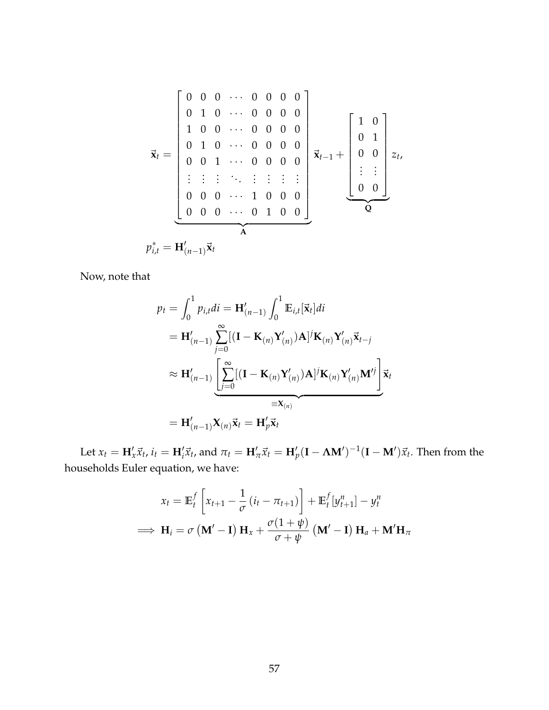$$
\vec{\mathbf{x}}_t = \begin{bmatrix} 0 & 0 & 0 & \cdots & 0 & 0 & 0 & 0 \\ 0 & 1 & 0 & \cdots & 0 & 0 & 0 & 0 \\ 1 & 0 & 0 & \cdots & 0 & 0 & 0 & 0 \\ 0 & 1 & 0 & \cdots & 0 & 0 & 0 & 0 \\ 0 & 0 & 1 & \cdots & 0 & 0 & 0 & 0 \\ \vdots & \vdots & \vdots & \ddots & \vdots & \vdots & \vdots & \vdots \\ 0 & 0 & 0 & \cdots & 1 & 0 & 0 & 0 \\ 0 & 0 & 0 & \cdots & 0 & 1 & 0 & 0 \end{bmatrix} \vec{\mathbf{x}}_{t-1} + \begin{bmatrix} 1 & 0 \\ 0 & 1 \\ 0 & 0 \\ \vdots & \vdots \\ 0 & 0 \end{bmatrix} z_t,
$$

$$
p_{i,t}^* = \mathbf{H}'_{(n-1)} \vec{\mathbf{x}}_t
$$

Now, note that

$$
p_t = \int_0^1 p_{i,t}di = \mathbf{H}'_{(n-1)} \int_0^1 \mathbb{E}_{i,t}[\vec{\mathbf{x}}_t]di
$$
  
\n
$$
= \mathbf{H}'_{(n-1)} \sum_{j=0}^\infty [(\mathbf{I} - \mathbf{K}_{(n)} \mathbf{Y}'_{(n)}) \mathbf{A}]^j \mathbf{K}_{(n)} \mathbf{Y}'_{(n)} \vec{\mathbf{x}}_{t-j}
$$
  
\n
$$
\approx \mathbf{H}'_{(n-1)} \underbrace{\left[ \sum_{j=0}^\infty [(\mathbf{I} - \mathbf{K}_{(n)} \mathbf{Y}'_{(n)}) \mathbf{A}]^j \mathbf{K}_{(n)} \mathbf{Y}'_{(n)} \mathbf{M}'^j \right]}_{\equiv \mathbf{X}_{(n)}}
$$
  
\n
$$
= \mathbf{H}'_{(n-1)} \mathbf{X}_{(n)} \vec{\mathbf{x}}_t = \mathbf{H}'_p \vec{\mathbf{x}}_t
$$

Let  $x_t = \mathbf{H}_x' \vec{x}_t$ ,  $i_t = \mathbf{H}_i' \vec{x}_t$ , and  $\pi_t = \mathbf{H}_\pi' \vec{x}_t = \mathbf{H}_p' (\mathbf{I} - \mathbf{\Lambda} \mathbf{M}')^{-1} (\mathbf{I} - \mathbf{M}') \vec{x}_t$ . Then from the households Euler equation, we have:

$$
x_{t} = \mathbb{E}_{t}^{f} \left[ x_{t+1} - \frac{1}{\sigma} \left( i_{t} - \pi_{t+1} \right) \right] + \mathbb{E}_{t}^{f} \left[ y_{t+1}^{n} \right] - y_{t}^{n}
$$
  
\n
$$
\implies \mathbf{H}_{i} = \sigma \left( \mathbf{M}^{\prime} - \mathbf{I} \right) \mathbf{H}_{x} + \frac{\sigma (1 + \psi)}{\sigma + \psi} \left( \mathbf{M}^{\prime} - \mathbf{I} \right) \mathbf{H}_{a} + \mathbf{M}^{\prime} \mathbf{H}_{\pi}
$$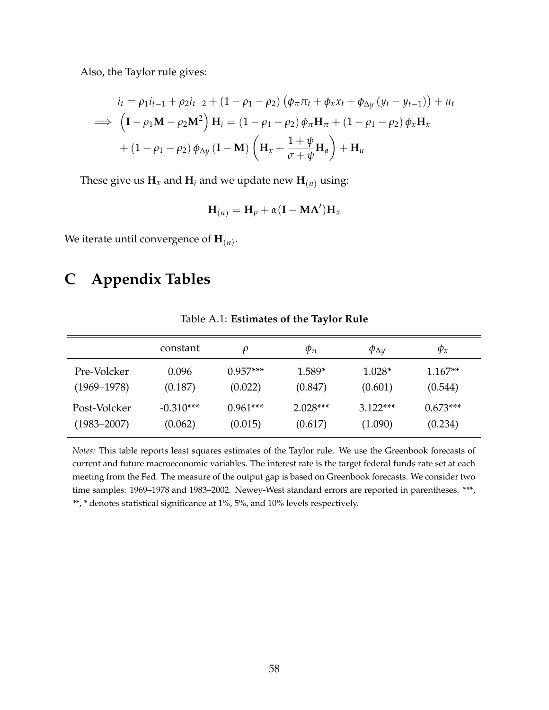Also, the Taylor rule gives:

$$
i_t = \rho_1 i_{t-1} + \rho_2 i_{t-2} + (1 - \rho_1 - \rho_2) \left( \phi_\pi \pi_t + \phi_x x_t + \phi_{\Delta y} \left( y_t - y_{t-1} \right) \right) + u_t
$$
  
\n
$$
\implies \left( \mathbf{I} - \rho_1 \mathbf{M} - \rho_2 \mathbf{M}^2 \right) \mathbf{H}_i = (1 - \rho_1 - \rho_2) \phi_\pi \mathbf{H}_\pi + (1 - \rho_1 - \rho_2) \phi_x \mathbf{H}_x
$$
  
\n
$$
+ (1 - \rho_1 - \rho_2) \phi_{\Delta y} \left( \mathbf{I} - \mathbf{M} \right) \left( \mathbf{H}_x + \frac{1 + \psi}{\sigma + \psi} \mathbf{H}_a \right) + \mathbf{H}_u
$$

These give us  $\mathbf{H}_x$  and  $\mathbf{H}_i$  and we update new  $\mathbf{H}_{(n)}$  using:

$$
\mathbf{H}_{(n)} = \mathbf{H}_p + \alpha(\mathbf{I} - \mathbf{M}\Lambda')\mathbf{H}_x
$$

We iterate until convergence of  $\mathbf{H}_{(n)}.$ 

## **C Appendix Tables**

<span id="page-57-0"></span>

|                 | constant    | $\rho$     | $\varphi_{\pi}$ | $\varphi_{\Delta y}$ | $\varphi_x$ |
|-----------------|-------------|------------|-----------------|----------------------|-------------|
| Pre-Volcker     | 0.096       | $0.957***$ | $1.589*$        | $1.028*$             | $1.167**$   |
| $(1969 - 1978)$ | (0.187)     | (0.022)    | (0.847)         | (0.601)              | (0.544)     |
| Post-Volcker    | $-0.310***$ | $0.961***$ | $2.028***$      | $3.122***$           | $0.673***$  |
| $(1983 - 2007)$ | (0.062)     | (0.015)    | (0.617)         | (1.090)              | (0.234)     |

Table A.1: **Estimates of the Taylor Rule**

*Notes:* This table reports least squares estimates of the Taylor rule. We use the Greenbook forecasts of current and future macroeconomic variables. The interest rate is the target federal funds rate set at each meeting from the Fed. The measure of the output gap is based on Greenbook forecasts. We consider two time samples: 1969–1978 and 1983–2002. Newey-West standard errors are reported in parentheses. \*\*\*, \*\*, \* denotes statistical significance at 1%, 5%, and 10% levels respectively.